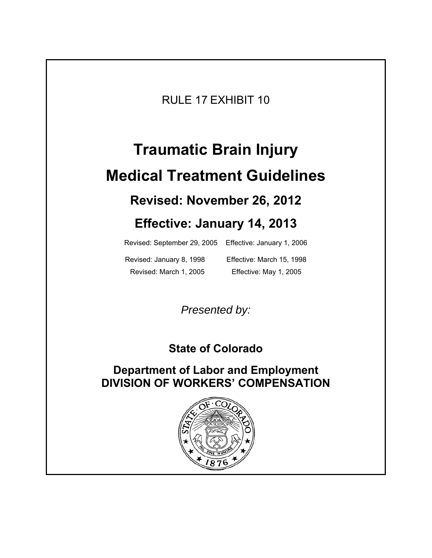RULE 17 EXHIBIT 10

# **Traumatic Brain Injury Medical Treatment Guidelines Revised: November 26, 2012**

# **Effective: January 14, 2013**

Revised: September 29, 2005 Effective: January 1, 2006

Revised: January 8, 1998 Effective: March 15, 1998 Revised: March 1, 2005 Effective: May 1, 2005

*Presented by:* 

# **State of Colorado**

# **Department of Labor and Employment DIVISION OF WORKERS' COMPENSATION**

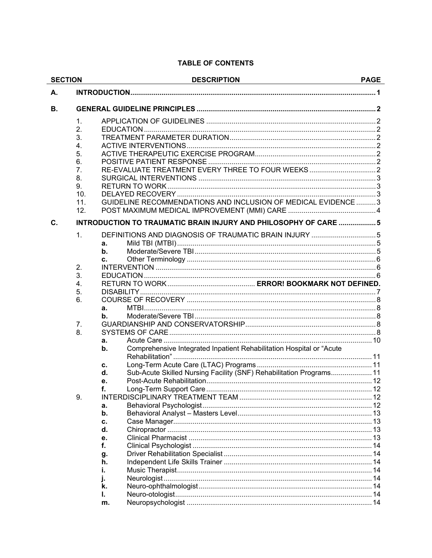#### **TABLE OF CONTENTS**

| <b>SECTION</b> |                  | <b>DESCRIPTION</b>                                                         |    |
|----------------|------------------|----------------------------------------------------------------------------|----|
| А.             |                  |                                                                            |    |
| В.             |                  |                                                                            |    |
|                | 1.               |                                                                            |    |
|                | 2.               |                                                                            |    |
|                | 3.               |                                                                            |    |
|                | 4.               |                                                                            |    |
|                | 5.               |                                                                            |    |
|                | 6.               |                                                                            |    |
|                | 7.               | RE-EVALUATE TREATMENT EVERY THREE TO FOUR WEEKS                            |    |
|                | 8.               |                                                                            |    |
|                | 9.               |                                                                            |    |
|                | 10.              |                                                                            |    |
|                | 11.              | GUIDELINE RECOMMENDATIONS AND INCLUSION OF MEDICAL EVIDENCE  3             |    |
|                | 12.              |                                                                            |    |
| $\mathbf{C}$ . |                  | INTRODUCTION TO TRAUMATIC BRAIN INJURY AND PHILOSOPHY OF CARE  5           |    |
|                | 1.               |                                                                            |    |
|                |                  | а.                                                                         |    |
|                |                  | b.                                                                         |    |
|                |                  | C.                                                                         |    |
|                | 2.               |                                                                            |    |
|                | 3.               |                                                                            |    |
|                | $\overline{4}$ . |                                                                            |    |
|                | 5.               |                                                                            |    |
|                | 6.               |                                                                            |    |
|                |                  | a.                                                                         |    |
|                |                  | b.                                                                         |    |
|                | 7.               |                                                                            |    |
|                | 8.               |                                                                            |    |
|                |                  | a.                                                                         |    |
|                |                  | Comprehensive Integrated Inpatient Rehabilitation Hospital or "Acute<br>b. |    |
|                |                  | с.                                                                         |    |
|                |                  | Sub-Acute Skilled Nursing Facility (SNF) Rehabilitation Programs 11<br>d.  |    |
|                |                  | е.                                                                         |    |
|                |                  |                                                                            | 12 |
|                | 9.               |                                                                            |    |
|                |                  | a.                                                                         |    |
|                |                  | b.                                                                         |    |
|                |                  | c.                                                                         |    |
|                |                  | d.                                                                         |    |
|                |                  | е.                                                                         |    |
|                |                  | f.                                                                         |    |
|                |                  | g.                                                                         |    |
|                |                  | h.                                                                         |    |
|                |                  | i.                                                                         |    |
|                |                  |                                                                            |    |
|                |                  | k.                                                                         |    |
|                |                  | ı.                                                                         |    |
|                |                  | m.                                                                         |    |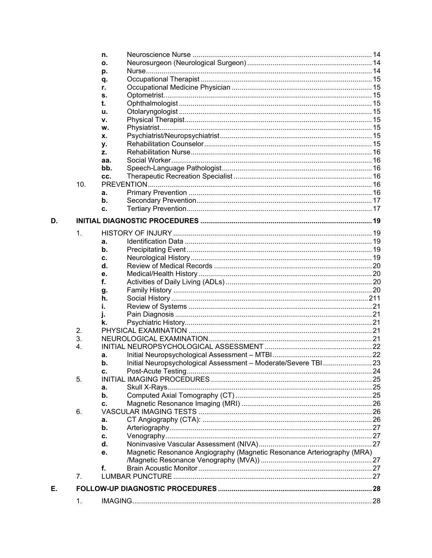|    |                  | n.  |                                                                        |  |
|----|------------------|-----|------------------------------------------------------------------------|--|
|    |                  | ο.  |                                                                        |  |
|    |                  | р.  |                                                                        |  |
|    |                  | q.  |                                                                        |  |
|    |                  | r.  |                                                                        |  |
|    |                  | s.  |                                                                        |  |
|    |                  | t.  |                                                                        |  |
|    |                  | u.  |                                                                        |  |
|    |                  |     |                                                                        |  |
|    |                  | ۷.  |                                                                        |  |
|    |                  | W.  |                                                                        |  |
|    |                  | x.  |                                                                        |  |
|    |                  | у.  |                                                                        |  |
|    |                  | z.  |                                                                        |  |
|    |                  | aa. |                                                                        |  |
|    |                  | bb. |                                                                        |  |
|    |                  | CC. |                                                                        |  |
|    | 10.              |     |                                                                        |  |
|    |                  | а.  |                                                                        |  |
|    |                  | b.  |                                                                        |  |
|    |                  | c.  |                                                                        |  |
|    |                  |     |                                                                        |  |
| D. |                  |     |                                                                        |  |
|    | $\mathbf{1}$ .   |     |                                                                        |  |
|    |                  | a.  |                                                                        |  |
|    |                  |     |                                                                        |  |
|    |                  | b.  |                                                                        |  |
|    |                  | c.  |                                                                        |  |
|    |                  | d.  |                                                                        |  |
|    |                  | е.  |                                                                        |  |
|    |                  | f.  |                                                                        |  |
|    |                  | g.  |                                                                        |  |
|    |                  | h.  |                                                                        |  |
|    |                  | i.  |                                                                        |  |
|    |                  |     |                                                                        |  |
|    |                  | k.  |                                                                        |  |
|    | 2.               |     |                                                                        |  |
|    | 3.               |     |                                                                        |  |
|    | $\overline{4}$ . |     |                                                                        |  |
|    |                  | а.  |                                                                        |  |
|    |                  | b.  | Initial Neuropsychological Assessment - Moderate/Severe TBI  23        |  |
|    |                  | c.  |                                                                        |  |
|    | 5.               |     |                                                                        |  |
|    |                  |     |                                                                        |  |
|    |                  | a.  |                                                                        |  |
|    |                  | b.  |                                                                        |  |
|    |                  | c.  |                                                                        |  |
|    | 6.               |     |                                                                        |  |
|    |                  | а.  |                                                                        |  |
|    |                  | b.  |                                                                        |  |
|    |                  | c.  |                                                                        |  |
|    |                  | d.  |                                                                        |  |
|    |                  | е.  | Magnetic Resonance Angiography (Magnetic Resonance Arteriography (MRA) |  |
|    |                  |     |                                                                        |  |
|    |                  | f.  |                                                                        |  |
|    | 7.               |     |                                                                        |  |
|    |                  |     |                                                                        |  |
| Е. |                  |     |                                                                        |  |
|    | 1.               |     |                                                                        |  |
|    |                  |     |                                                                        |  |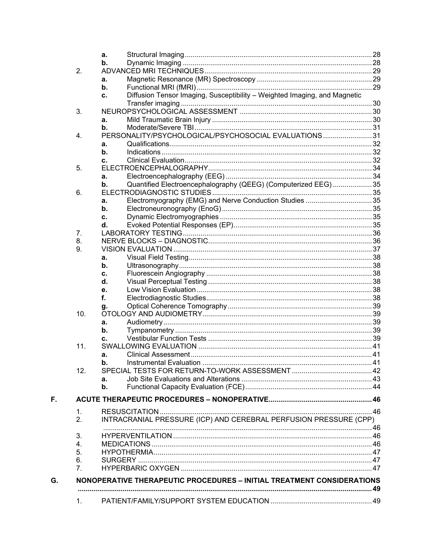|                      | a.                  |                                                                           |  |
|----------------------|---------------------|---------------------------------------------------------------------------|--|
|                      | b.                  |                                                                           |  |
| 2.                   |                     |                                                                           |  |
|                      | a.                  |                                                                           |  |
|                      | $\mathbf b$ .       |                                                                           |  |
|                      | c.                  | Diffusion Tensor Imaging, Susceptibility - Weighted Imaging, and Magnetic |  |
|                      |                     |                                                                           |  |
| 3.                   |                     |                                                                           |  |
|                      | a.                  |                                                                           |  |
|                      | b.                  |                                                                           |  |
| 4.                   |                     | PERSONALITY/PSYCHOLOGICAL/PSYCHOSOCIAL EVALUATIONS31                      |  |
|                      | a.                  |                                                                           |  |
|                      | b.                  |                                                                           |  |
|                      | c.                  |                                                                           |  |
| 5.                   |                     |                                                                           |  |
|                      | a.<br>$\mathbf b$ . | Quantified Electroencephalography (QEEG) (Computerized EEG)  35           |  |
|                      |                     |                                                                           |  |
| 6.                   |                     |                                                                           |  |
|                      | a.<br>b.            | Electromyography (EMG) and Nerve Conduction Studies 35                    |  |
|                      |                     |                                                                           |  |
|                      | c.<br>d.            |                                                                           |  |
| 7.                   |                     |                                                                           |  |
| 8.                   |                     |                                                                           |  |
| 9.                   |                     |                                                                           |  |
|                      | a.                  |                                                                           |  |
|                      | b.                  |                                                                           |  |
|                      | c.                  |                                                                           |  |
|                      | d.                  |                                                                           |  |
|                      | е.                  |                                                                           |  |
|                      | f.                  |                                                                           |  |
|                      | g.                  |                                                                           |  |
| 10.                  |                     |                                                                           |  |
|                      | a.                  |                                                                           |  |
|                      | b.                  |                                                                           |  |
|                      | c.                  |                                                                           |  |
| 11.                  |                     |                                                                           |  |
|                      | a.                  |                                                                           |  |
|                      | b.                  |                                                                           |  |
| 12.                  |                     |                                                                           |  |
|                      | a.                  |                                                                           |  |
|                      | b.                  |                                                                           |  |
|                      |                     |                                                                           |  |
|                      |                     |                                                                           |  |
| $\mathbf{1}$ .       |                     |                                                                           |  |
| 2.                   |                     | INTRACRANIAL PRESSURE (ICP) AND CEREBRAL PERFUSION PRESSURE (CPP)         |  |
|                      |                     |                                                                           |  |
| 3.                   |                     |                                                                           |  |
| 4.                   |                     |                                                                           |  |
| 5.                   |                     |                                                                           |  |
| 6.<br>7 <sub>1</sub> |                     |                                                                           |  |
|                      |                     |                                                                           |  |
|                      |                     | NONOPERATIVE THERAPEUTIC PROCEDURES - INITIAL TREATMENT CONSIDERATIONS    |  |
|                      |                     |                                                                           |  |
| 1.                   |                     |                                                                           |  |
|                      |                     |                                                                           |  |

F.

G.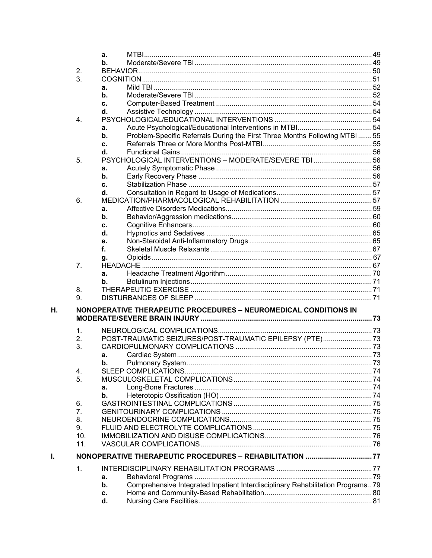|    |                | a.             |                                                                                |  |
|----|----------------|----------------|--------------------------------------------------------------------------------|--|
|    |                | b.             |                                                                                |  |
|    | 2.             |                |                                                                                |  |
|    | 3.             |                |                                                                                |  |
|    |                | a.             |                                                                                |  |
|    |                | b.             |                                                                                |  |
|    |                | c.             |                                                                                |  |
|    |                | d.             |                                                                                |  |
|    |                |                |                                                                                |  |
|    | 4.             |                |                                                                                |  |
|    |                | a.             |                                                                                |  |
|    |                | b.             | Problem-Specific Referrals During the First Three Months Following MTBI 55     |  |
|    |                | c.             |                                                                                |  |
|    |                | $\mathbf{d}$ . |                                                                                |  |
|    | 5.             |                | PSYCHOLOGICAL INTERVENTIONS - MODERATE/SEVERE TBI  56                          |  |
|    |                | a.             |                                                                                |  |
|    |                | b.             |                                                                                |  |
|    |                | c.             |                                                                                |  |
|    |                | d.             |                                                                                |  |
|    | 6.             |                |                                                                                |  |
|    |                | a.             |                                                                                |  |
|    |                | b.             |                                                                                |  |
|    |                |                |                                                                                |  |
|    |                | c.             |                                                                                |  |
|    |                | d.             |                                                                                |  |
|    |                | е.             |                                                                                |  |
|    |                | f.             |                                                                                |  |
|    |                | g.             |                                                                                |  |
|    | 7 <sub>1</sub> |                |                                                                                |  |
|    |                | a.             |                                                                                |  |
|    |                | b.             |                                                                                |  |
|    | 8.             |                |                                                                                |  |
|    | 9.             |                |                                                                                |  |
|    |                |                |                                                                                |  |
| Η. |                |                | NONOPERATIVE THERAPEUTIC PROCEDURES - NEUROMEDICAL CONDITIONS IN               |  |
|    |                |                |                                                                                |  |
|    | 1.             |                |                                                                                |  |
|    | 2.             |                | POST-TRAUMATIC SEIZURES/POST-TRAUMATIC EPILEPSY (PTE)73                        |  |
|    | 3.             |                |                                                                                |  |
|    |                |                |                                                                                |  |
|    |                | a.             |                                                                                |  |
|    |                | b.             |                                                                                |  |
|    | 4.             |                |                                                                                |  |
|    | 5.             |                |                                                                                |  |
|    |                | a.             |                                                                                |  |
|    |                | b.             |                                                                                |  |
|    | 6.             |                |                                                                                |  |
|    | 7.             |                |                                                                                |  |
|    | 8.             |                |                                                                                |  |
|    | 9.             |                |                                                                                |  |
|    | 10.            |                |                                                                                |  |
|    | 11.            |                |                                                                                |  |
|    |                |                |                                                                                |  |
| L. |                |                | NONOPERATIVE THERAPEUTIC PROCEDURES - REHABILITATION 77                        |  |
|    | 1.             |                |                                                                                |  |
|    |                | a.             |                                                                                |  |
|    |                | b.             | Comprehensive Integrated Inpatient Interdisciplinary Rehabilitation Programs79 |  |
|    |                |                |                                                                                |  |
|    |                | c.             |                                                                                |  |
|    |                | d.             |                                                                                |  |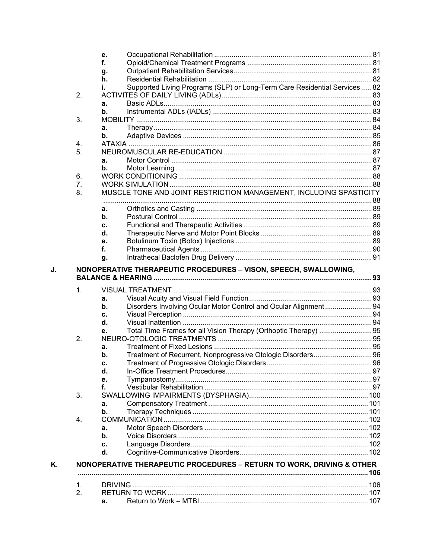|    |    | е.            |                                                                            |  |
|----|----|---------------|----------------------------------------------------------------------------|--|
|    |    | f.            |                                                                            |  |
|    |    | g.            |                                                                            |  |
|    |    | h.            |                                                                            |  |
|    |    | i.            | Supported Living Programs (SLP) or Long-Term Care Residential Services  82 |  |
|    | 2. |               |                                                                            |  |
|    |    | a.            |                                                                            |  |
|    |    | b.            |                                                                            |  |
|    | 3. |               |                                                                            |  |
|    |    | а.            |                                                                            |  |
|    |    | b.            |                                                                            |  |
|    | 4. |               |                                                                            |  |
|    | 5. |               |                                                                            |  |
|    |    | а.            |                                                                            |  |
|    |    | $\mathbf b$ . |                                                                            |  |
|    | 6. |               |                                                                            |  |
|    | 7. |               |                                                                            |  |
|    |    |               | MUSCLE TONE AND JOINT RESTRICTION MANAGEMENT, INCLUDING SPASTICITY         |  |
|    | 8. |               |                                                                            |  |
|    |    | a.            |                                                                            |  |
|    |    | b.            |                                                                            |  |
|    |    | c.            |                                                                            |  |
|    |    | d.            |                                                                            |  |
|    |    | е.            |                                                                            |  |
|    |    | f.            |                                                                            |  |
|    |    | g.            |                                                                            |  |
|    | 1. |               |                                                                            |  |
|    |    | a.            |                                                                            |  |
|    |    | b.            | Disorders Involving Ocular Motor Control and Ocular Alignment 94           |  |
|    |    | c.            |                                                                            |  |
|    |    | d.            |                                                                            |  |
|    |    |               |                                                                            |  |
|    | 2. | е.            |                                                                            |  |
|    |    | a.            |                                                                            |  |
|    |    | b.            |                                                                            |  |
|    |    | с.            |                                                                            |  |
|    |    | d.            |                                                                            |  |
|    |    | е.            |                                                                            |  |
|    |    | f.            |                                                                            |  |
|    | 3. |               |                                                                            |  |
|    |    |               |                                                                            |  |
|    |    | a.            |                                                                            |  |
|    |    | b.            |                                                                            |  |
|    | 4. |               |                                                                            |  |
|    |    | a.            |                                                                            |  |
|    |    | b.            |                                                                            |  |
|    |    | c.            |                                                                            |  |
|    |    | d.            |                                                                            |  |
| Κ. |    |               | NONOPERATIVE THERAPEUTIC PROCEDURES - RETURN TO WORK, DRIVING & OTHER      |  |
|    |    |               |                                                                            |  |
|    |    |               |                                                                            |  |
|    | 1. |               |                                                                            |  |
|    | 2. | а.            |                                                                            |  |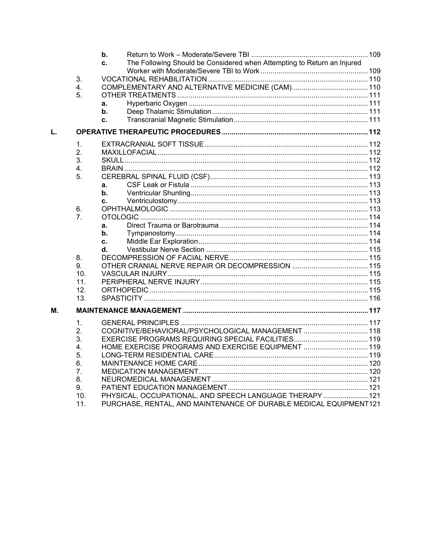|    |                 | b.<br>The Following Should be Considered when Attempting to Return an Injured<br>c.                                          |  |
|----|-----------------|------------------------------------------------------------------------------------------------------------------------------|--|
|    |                 |                                                                                                                              |  |
|    | 3.              |                                                                                                                              |  |
|    | 4.              |                                                                                                                              |  |
|    | 5.              |                                                                                                                              |  |
|    |                 | a.                                                                                                                           |  |
|    |                 | b.                                                                                                                           |  |
|    |                 | C.                                                                                                                           |  |
| L. |                 |                                                                                                                              |  |
|    | 1.              |                                                                                                                              |  |
|    | 2.              |                                                                                                                              |  |
|    | 3.              |                                                                                                                              |  |
|    | 4.              |                                                                                                                              |  |
|    | 5.              |                                                                                                                              |  |
|    |                 | a.                                                                                                                           |  |
|    |                 | b.                                                                                                                           |  |
|    |                 | c.                                                                                                                           |  |
|    | 6.<br>7.        |                                                                                                                              |  |
|    |                 | a.                                                                                                                           |  |
|    |                 | b.                                                                                                                           |  |
|    |                 | c.                                                                                                                           |  |
|    |                 | d.                                                                                                                           |  |
|    | 8.              |                                                                                                                              |  |
|    | 9.              |                                                                                                                              |  |
|    | 10 <sub>1</sub> |                                                                                                                              |  |
|    | 11.             |                                                                                                                              |  |
|    | 12 <sub>1</sub> |                                                                                                                              |  |
|    | 13 <sub>1</sub> |                                                                                                                              |  |
| М. |                 |                                                                                                                              |  |
|    | 1.              |                                                                                                                              |  |
|    | 2.              | COGNITIVE/BEHAVIORAL/PSYCHOLOGICAL MANAGEMENT  118                                                                           |  |
|    | 3.              |                                                                                                                              |  |
|    | 4.              | HOME EXERCISE PROGRAMS AND EXERCISE EQUIPMENT  119                                                                           |  |
|    | 5.              |                                                                                                                              |  |
|    | 6.              |                                                                                                                              |  |
|    | 7.              |                                                                                                                              |  |
|    | 8.              |                                                                                                                              |  |
|    | 9.              |                                                                                                                              |  |
|    | 10.<br>11.      | PHYSICAL, OCCUPATIONAL, AND SPEECH LANGUAGE THERAPY 121<br>PURCHASE, RENTAL, AND MAINTENANCE OF DURABLE MEDICAL EQUIPMENT121 |  |
|    |                 |                                                                                                                              |  |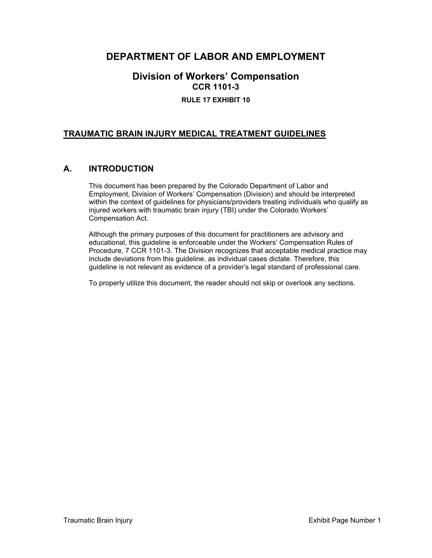### **DEPARTMENT OF LABOR AND EMPLOYMENT**

### **Division of Workers' Compensation CCR 1101-3 RULE 17 EXHIBIT 10**

#### **TRAUMATIC BRAIN INJURY MEDICAL TREATMENT GUIDELINES**

#### **A. INTRODUCTION**

This document has been prepared by the Colorado Department of Labor and Employment, Division of Workers' Compensation (Division) and should be interpreted within the context of guidelines for physicians/providers treating individuals who qualify as injured workers with traumatic brain injury (TBI) under the Colorado Workers' Compensation Act.

Although the primary purposes of this document for practitioners are advisory and educational, this guideline is enforceable under the Workers' Compensation Rules of Procedure, 7 CCR 1101-3. The Division recognizes that acceptable medical practice may include deviations from this guideline, as individual cases dictate. Therefore, this guideline is not relevant as evidence of a provider's legal standard of professional care.

To properly utilize this document, the reader should not skip or overlook any sections.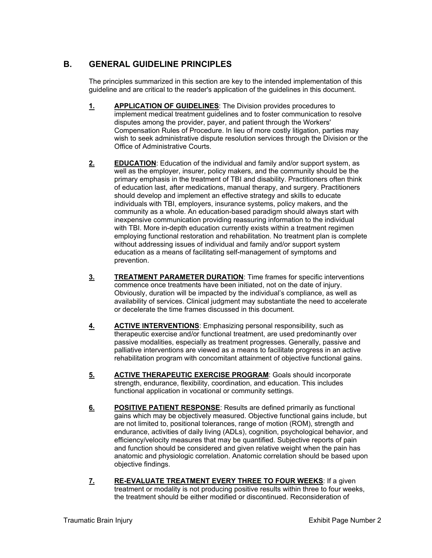#### **B. GENERAL GUIDELINE PRINCIPLES**

The principles summarized in this section are key to the intended implementation of this guideline and are critical to the reader's application of the guidelines in this document.

- **1. APPLICATION OF GUIDELINES**: The Division provides procedures to implement medical treatment guidelines and to foster communication to resolve disputes among the provider, payer, and patient through the Workers' Compensation Rules of Procedure. In lieu of more costly litigation, parties may wish to seek administrative dispute resolution services through the Division or the Office of Administrative Courts.
- **2. EDUCATION:** Education of the individual and family and/or support system, as well as the employer, insurer, policy makers, and the community should be the primary emphasis in the treatment of TBI and disability. Practitioners often think of education last, after medications, manual therapy, and surgery. Practitioners should develop and implement an effective strategy and skills to educate individuals with TBI, employers, insurance systems, policy makers, and the community as a whole. An education-based paradigm should always start with inexpensive communication providing reassuring information to the individual with TBI. More in-depth education currently exists within a treatment regimen employing functional restoration and rehabilitation. No treatment plan is complete without addressing issues of individual and family and/or support system education as a means of facilitating self-management of symptoms and prevention.
- **3. TREATMENT PARAMETER DURATION**: Time frames for specific interventions commence once treatments have been initiated, not on the date of injury. Obviously, duration will be impacted by the individual's compliance, as well as availability of services. Clinical judgment may substantiate the need to accelerate or decelerate the time frames discussed in this document.
- **4. ACTIVE INTERVENTIONS**: Emphasizing personal responsibility, such as therapeutic exercise and/or functional treatment, are used predominantly over passive modalities, especially as treatment progresses. Generally, passive and palliative interventions are viewed as a means to facilitate progress in an active rehabilitation program with concomitant attainment of objective functional gains.
- **5. ACTIVE THERAPEUTIC EXERCISE PROGRAM:** Goals should incorporate strength, endurance, flexibility, coordination, and education. This includes functional application in vocational or community settings.
- **6. POSITIVE PATIENT RESPONSE**: Results are defined primarily as functional gains which may be objectively measured. Objective functional gains include, but are not limited to, positional tolerances, range of motion (ROM), strength and endurance, activities of daily living (ADLs), cognition, psychological behavior, and efficiency/velocity measures that may be quantified. Subjective reports of pain and function should be considered and given relative weight when the pain has anatomic and physiologic correlation. Anatomic correlation should be based upon objective findings.
- **7. RE-EVALUATE TREATMENT EVERY THREE TO FOUR WEEKS**: If a given treatment or modality is not producing positive results within three to four weeks, the treatment should be either modified or discontinued. Reconsideration of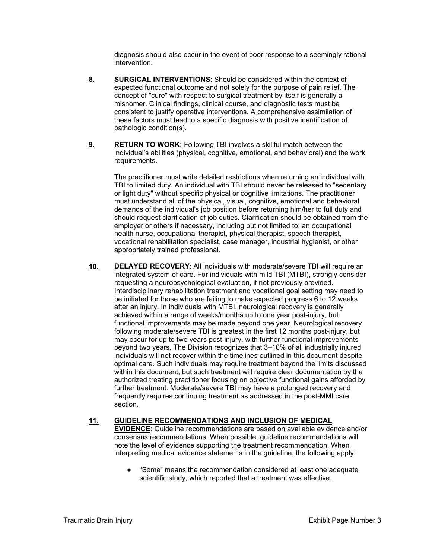diagnosis should also occur in the event of poor response to a seemingly rational intervention.

- **8. SURGICAL INTERVENTIONS**: Should be considered within the context of expected functional outcome and not solely for the purpose of pain relief. The concept of "cure" with respect to surgical treatment by itself is generally a misnomer. Clinical findings, clinical course, and diagnostic tests must be consistent to justify operative interventions. A comprehensive assimilation of these factors must lead to a specific diagnosis with positive identification of pathologic condition(s).
- **9. RETURN TO WORK:** Following TBI involves a skillful match between the individual's abilities (physical, cognitive, emotional, and behavioral) and the work requirements.

The practitioner must write detailed restrictions when returning an individual with TBI to limited duty. An individual with TBI should never be released to "sedentary or light duty" without specific physical or cognitive limitations. The practitioner must understand all of the physical, visual, cognitive, emotional and behavioral demands of the individual's job position before returning him/her to full duty and should request clarification of job duties. Clarification should be obtained from the employer or others if necessary, including but not limited to: an occupational health nurse, occupational therapist, physical therapist, speech therapist, vocational rehabilitation specialist, case manager, industrial hygienist, or other appropriately trained professional.

**10. DELAYED RECOVERY**: All individuals with moderate/severe TBI will require an integrated system of care. For individuals with mild TBI (MTBI), strongly consider requesting a neuropsychological evaluation, if not previously provided. Interdisciplinary rehabilitation treatment and vocational goal setting may need to be initiated for those who are failing to make expected progress 6 to 12 weeks after an injury. In individuals with MTBI, neurological recovery is generally achieved within a range of weeks/months up to one year post-injury, but functional improvements may be made beyond one year. Neurological recovery following moderate/severe TBI is greatest in the first 12 months post-injury, but may occur for up to two years post-injury, with further functional improvements beyond two years. The Division recognizes that 3–10% of all industrially injured individuals will not recover within the timelines outlined in this document despite optimal care. Such individuals may require treatment beyond the limits discussed within this document, but such treatment will require clear documentation by the authorized treating practitioner focusing on objective functional gains afforded by further treatment. Moderate/severe TBI may have a prolonged recovery and frequently requires continuing treatment as addressed in the post-MMI care section.

#### **11. GUIDELINE RECOMMENDATIONS AND INCLUSION OF MEDICAL EVIDENCE**: Guideline recommendations are based on available evidence and/or consensus recommendations. When possible, guideline recommendations will note the level of evidence supporting the treatment recommendation. When interpreting medical evidence statements in the guideline, the following apply:

● "Some" means the recommendation considered at least one adequate scientific study, which reported that a treatment was effective.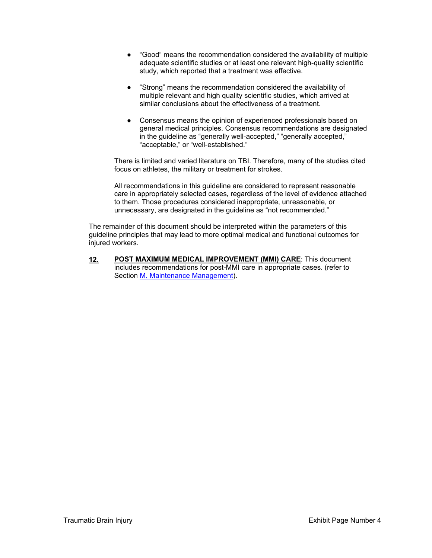- "Good" means the recommendation considered the availability of multiple adequate scientific studies or at least one relevant high-quality scientific study, which reported that a treatment was effective.
- "Strong" means the recommendation considered the availability of multiple relevant and high quality scientific studies, which arrived at similar conclusions about the effectiveness of a treatment.
- Consensus means the opinion of experienced professionals based on general medical principles. Consensus recommendations are designated in the guideline as "generally well-accepted," "generally accepted," "acceptable," or "well-established."

There is limited and varied literature on TBI. Therefore, many of the studies cited focus on athletes, the military or treatment for strokes.

All recommendations in this guideline are considered to represent reasonable care in appropriately selected cases, regardless of the level of evidence attached to them. Those procedures considered inappropriate, unreasonable, or unnecessary, are designated in the guideline as "not recommended."

The remainder of this document should be interpreted within the parameters of this guideline principles that may lead to more optimal medical and functional outcomes for injured workers.

**12. POST MAXIMUM MEDICAL IMPROVEMENT (MMI) CARE**: This document includes recommendations for post-MMI care in appropriate cases. (refer to Section M. Maintenance Management).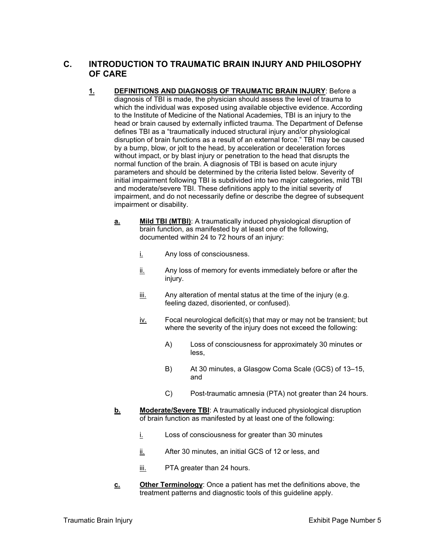#### **C. INTRODUCTION TO TRAUMATIC BRAIN INJURY AND PHILOSOPHY OF CARE**

- **1. DEFINITIONS AND DIAGNOSIS OF TRAUMATIC BRAIN INJURY**: Before a diagnosis of TBI is made, the physician should assess the level of trauma to which the individual was exposed using available objective evidence. According to the Institute of Medicine of the National Academies, TBI is an injury to the head or brain caused by externally inflicted trauma. The Department of Defense defines TBI as a "traumatically induced structural injury and/or physiological disruption of brain functions as a result of an external force." TBI may be caused by a bump, blow, or jolt to the head, by acceleration or deceleration forces without impact, or by blast injury or penetration to the head that disrupts the normal function of the brain. A diagnosis of TBI is based on acute injury parameters and should be determined by the criteria listed below. Severity of initial impairment following TBI is subdivided into two major categories, mild TBI and moderate/severe TBI. These definitions apply to the initial severity of impairment, and do not necessarily define or describe the degree of subsequent impairment or disability.
	- **a. Mild TBI (MTBI)**: A traumatically induced physiological disruption of brain function, as manifested by at least one of the following, documented within 24 to 72 hours of an injury:
		- i. Any loss of consciousness.
		- ii. Any loss of memory for events immediately before or after the injury.
		- iii. Any alteration of mental status at the time of the injury (e.g. feeling dazed, disoriented, or confused).
		- iv. Focal neurological deficit(s) that may or may not be transient; but where the severity of the injury does not exceed the following:
			- A) Loss of consciousness for approximately 30 minutes or less,
			- B) At 30 minutes, a Glasgow Coma Scale (GCS) of 13–15, and
			- C) Post-traumatic amnesia (PTA) not greater than 24 hours.
	- **b.** Moderate/Severe TBI: A traumatically induced physiological disruption of brain function as manifested by at least one of the following:
		- i. Loss of consciousness for greater than 30 minutes
		- ii. After 30 minutes, an initial GCS of 12 or less, and
		- iii. PTA greater than 24 hours.
	- **c.** Other Terminology: Once a patient has met the definitions above, the treatment patterns and diagnostic tools of this guideline apply.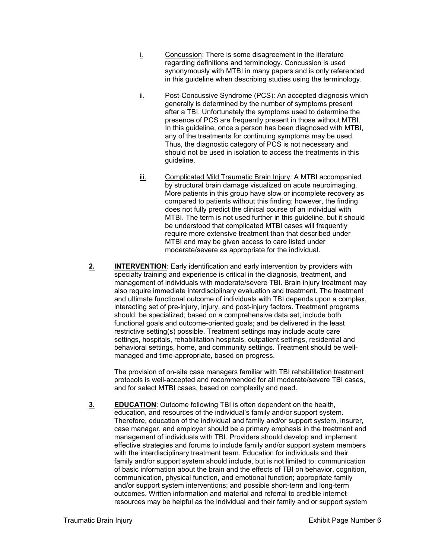- i. Concussion: There is some disagreement in the literature regarding definitions and terminology. Concussion is used synonymously with MTBI in many papers and is only referenced in this guideline when describing studies using the terminology.
- ii. Post-Concussive Syndrome (PCS): An accepted diagnosis which generally is determined by the number of symptoms present after a TBI. Unfortunately the symptoms used to determine the presence of PCS are frequently present in those without MTBI. In this guideline, once a person has been diagnosed with MTBI, any of the treatments for continuing symptoms may be used. Thus, the diagnostic category of PCS is not necessary and should not be used in isolation to access the treatments in this guideline.
- iii. Complicated Mild Traumatic Brain Injury: A MTBI accompanied by structural brain damage visualized on acute neuroimaging. More patients in this group have slow or incomplete recovery as compared to patients without this finding; however, the finding does not fully predict the clinical course of an individual with MTBI. The term is not used further in this guideline, but it should be understood that complicated MTBI cases will frequently require more extensive treatment than that described under MTBI and may be given access to care listed under moderate/severe as appropriate for the individual.
- **2. INTERVENTION:** Early identification and early intervention by providers with specialty training and experience is critical in the diagnosis, treatment, and management of individuals with moderate/severe TBI. Brain injury treatment may also require immediate interdisciplinary evaluation and treatment. The treatment and ultimate functional outcome of individuals with TBI depends upon a complex, interacting set of pre-injury, injury, and post-injury factors. Treatment programs should: be specialized; based on a comprehensive data set; include both functional goals and outcome-oriented goals; and be delivered in the least restrictive setting(s) possible. Treatment settings may include acute care settings, hospitals, rehabilitation hospitals, outpatient settings, residential and behavioral settings, home, and community settings. Treatment should be wellmanaged and time-appropriate, based on progress.

The provision of on-site case managers familiar with TBI rehabilitation treatment protocols is well-accepted and recommended for all moderate/severe TBI cases, and for select MTBI cases, based on complexity and need.

**3. EDUCATION:** Outcome following TBI is often dependent on the health, education, and resources of the individual's family and/or support system. Therefore, education of the individual and family and/or support system, insurer, case manager, and employer should be a primary emphasis in the treatment and management of individuals with TBI. Providers should develop and implement effective strategies and forums to include family and/or support system members with the interdisciplinary treatment team. Education for individuals and their family and/or support system should include, but is not limited to: communication of basic information about the brain and the effects of TBI on behavior, cognition, communication, physical function, and emotional function; appropriate family and/or support system interventions; and possible short-term and long-term outcomes. Written information and material and referral to credible internet resources may be helpful as the individual and their family and or support system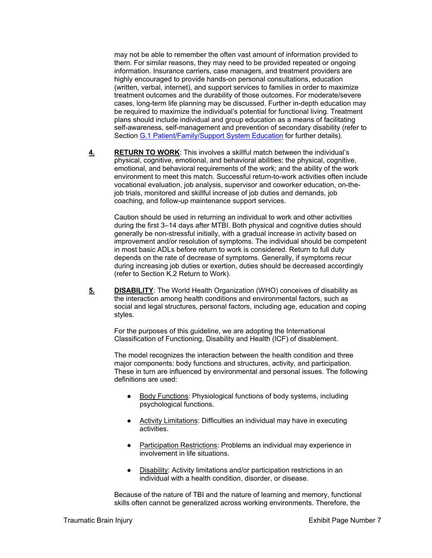may not be able to remember the often vast amount of information provided to them. For similar reasons, they may need to be provided repeated or ongoing information. Insurance carriers, case managers, and treatment providers are highly encouraged to provide hands-on personal consultations, education (written, verbal, internet), and support services to families in order to maximize treatment outcomes and the durability of those outcomes. For moderate/severe cases, long-term life planning may be discussed. Further in-depth education may be required to maximize the individual's potential for functional living. Treatment plans should include individual and group education as a means of facilitating self-awareness, self-management and prevention of secondary disability (refer to Section G.1 Patient/Family/Support System Education for further details).

**4. RETURN TO WORK**: This involves a skillful match between the individual's physical, cognitive, emotional, and behavioral abilities; the physical, cognitive, emotional, and behavioral requirements of the work; and the ability of the work environment to meet this match. Successful return-to-work activities often include vocational evaluation, job analysis, supervisor and coworker education, on-thejob trials, monitored and skillful increase of job duties and demands, job coaching, and follow-up maintenance support services.

Caution should be used in returning an individual to work and other activities during the first 3–14 days after MTBI. Both physical and cognitive duties should generally be non-stressful initially, with a gradual increase in activity based on improvement and/or resolution of symptoms. The individual should be competent in most basic ADLs before return to work is considered. Return to full duty depends on the rate of decrease of symptoms. Generally, if symptoms recur during increasing job duties or exertion, duties should be decreased accordingly (refer to Section K.2 Return to Work).

**5. DISABILITY:** The World Health Organization (WHO) conceives of disability as the interaction among health conditions and environmental factors, such as social and legal structures, personal factors, including age, education and coping styles.

For the purposes of this guideline, we are adopting the International Classification of Functioning, Disability and Health (ICF) of disablement.

The model recognizes the interaction between the health condition and three major components: body functions and structures, activity, and participation. These in turn are influenced by environmental and personal issues. The following definitions are used:

- Body Functions: Physiological functions of body systems, including psychological functions.
- Activity Limitations: Difficulties an individual may have in executing activities.
- Participation Restrictions: Problems an individual may experience in involvement in life situations.
- Disability: Activity limitations and/or participation restrictions in an individual with a health condition, disorder, or disease.

Because of the nature of TBI and the nature of learning and memory, functional skills often cannot be generalized across working environments. Therefore, the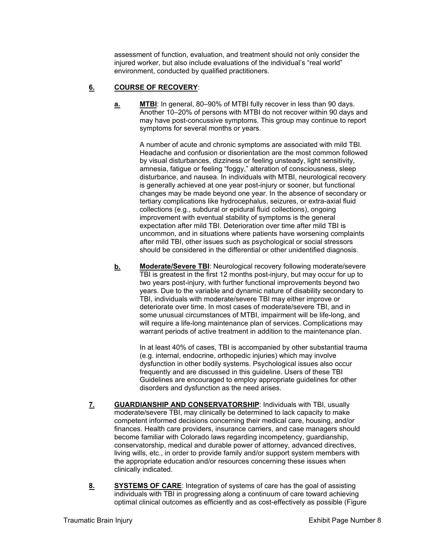assessment of function, evaluation, and treatment should not only consider the injured worker, but also include evaluations of the individual's "real world" environment, conducted by qualified practitioners.

#### **6. COURSE OF RECOVERY**:

**a. MTBI**: In general, 80–90% of MTBI fully recover in less than 90 days. Another 10–20% of persons with MTBI do not recover within 90 days and may have post-concussive symptoms. This group may continue to report symptoms for several months or years.

> A number of acute and chronic symptoms are associated with mild TBI. Headache and confusion or disorientation are the most common followed by visual disturbances, dizziness or feeling unsteady, light sensitivity, amnesia, fatigue or feeling "foggy," alteration of consciousness, sleep disturbance, and nausea. In individuals with MTBI, neurological recovery is generally achieved at one year post-injury or sooner, but functional changes may be made beyond one year. In the absence of secondary or tertiary complications like hydrocephalus, seizures, or extra-axial fluid collections (e.g., subdural or epidural fluid collections), ongoing improvement with eventual stability of symptoms is the general expectation after mild TBI. Deterioration over time after mild TBI is uncommon, and in situations where patients have worsening complaints after mild TBI, other issues such as psychological or social stressors should be considered in the differential or other unidentified diagnosis.

**b. Moderate/Severe TBI:** Neurological recovery following moderate/severe TBI is greatest in the first 12 months post-injury, but may occur for up to two years post-injury, with further functional improvements beyond two years. Due to the variable and dynamic nature of disability secondary to TBI, individuals with moderate/severe TBI may either improve or deteriorate over time. In most cases of moderate/severe TBI, and in some unusual circumstances of MTBI, impairment will be life-long, and will require a life-long maintenance plan of services. Complications may warrant periods of active treatment in addition to the maintenance plan.

> In at least 40% of cases, TBI is accompanied by other substantial trauma (e.g. internal, endocrine, orthopedic injuries) which may involve dysfunction in other bodily systems. Psychological issues also occur frequently and are discussed in this guideline. Users of these TBI Guidelines are encouraged to employ appropriate guidelines for other disorders and dysfunction as the need arises.

- **7. GUARDIANSHIP AND CONSERVATORSHIP**: Individuals with TBI, usually moderate/severe TBI, may clinically be determined to lack capacity to make competent informed decisions concerning their medical care, housing, and/or finances. Health care providers, insurance carriers, and case managers should become familiar with Colorado laws regarding incompetency, guardianship, conservatorship, medical and durable power of attorney, advanced directives, living wills, etc., in order to provide family and/or support system members with the appropriate education and/or resources concerning these issues when clinically indicated.
- 8. SYSTEMS OF CARE: Integration of systems of care has the goal of assisting individuals with TBI in progressing along a continuum of care toward achieving optimal clinical outcomes as efficiently and as cost-effectively as possible (Figure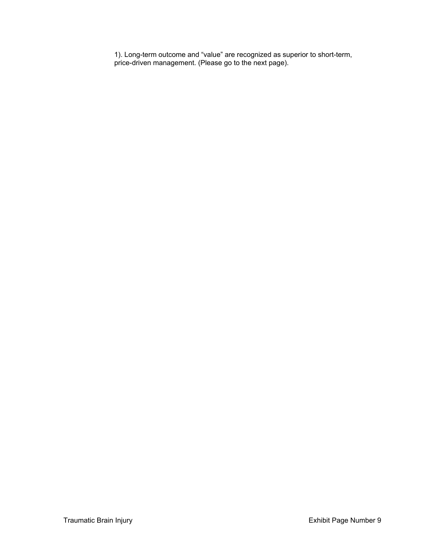1). Long-term outcome and "value" are recognized as superior to short-term, price-driven management. (Please go to the next page).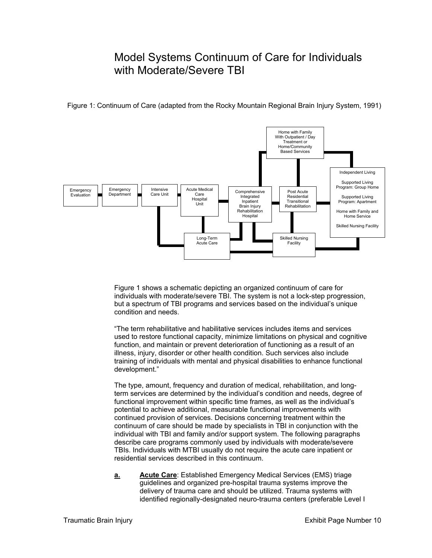# Model Systems Continuum of Care for Individuals with Moderate/Severe TBI



Figure 1: Continuum of Care (adapted from the Rocky Mountain Regional Brain Injury System, 1991)

Figure 1 shows a schematic depicting an organized continuum of care for individuals with moderate/severe TBI. The system is not a lock-step progression, but a spectrum of TBI programs and services based on the individual's unique condition and needs.

"The term rehabilitative and habilitative services includes items and services used to restore functional capacity, minimize limitations on physical and cognitive function, and maintain or prevent deterioration of functioning as a result of an illness, injury, disorder or other health condition. Such services also include training of individuals with mental and physical disabilities to enhance functional development."

The type, amount, frequency and duration of medical, rehabilitation, and longterm services are determined by the individual's condition and needs, degree of functional improvement within specific time frames, as well as the individual's potential to achieve additional, measurable functional improvements with continued provision of services. Decisions concerning treatment within the continuum of care should be made by specialists in TBI in conjunction with the individual with TBI and family and/or support system. The following paragraphs describe care programs commonly used by individuals with moderate/severe TBIs. Individuals with MTBI usually do not require the acute care inpatient or residential services described in this continuum.

**a. Acute Care**: Established Emergency Medical Services (EMS) triage guidelines and organized pre-hospital trauma systems improve the delivery of trauma care and should be utilized. Trauma systems with identified regionally-designated neuro-trauma centers (preferable Level I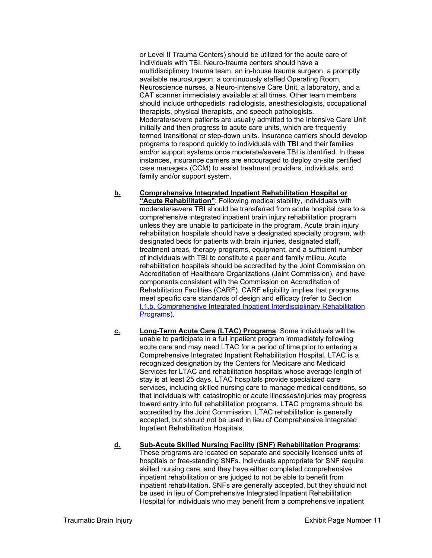or Level II Trauma Centers) should be utilized for the acute care of individuals with TBI. Neuro-trauma centers should have a multidisciplinary trauma team, an in-house trauma surgeon, a promptly available neurosurgeon, a continuously staffed Operating Room, Neuroscience nurses, a Neuro-Intensive Care Unit, a laboratory, and a CAT scanner immediately available at all times. Other team members should include orthopedists, radiologists, anesthesiologists, occupational therapists, physical therapists, and speech pathologists. Moderate/severe patients are usually admitted to the Intensive Care Unit initially and then progress to acute care units, which are frequently termed transitional or step-down units. Insurance carriers should develop programs to respond quickly to individuals with TBI and their families and/or support systems once moderate/severe TBI is identified. In these instances, insurance carriers are encouraged to deploy on-site certified case managers (CCM) to assist treatment providers, individuals, and family and/or support system.

- **b. Comprehensive Integrated Inpatient Rehabilitation Hospital or "Acute Rehabilitation"**: Following medical stability, individuals with moderate/severe TBI should be transferred from acute hospital care to a comprehensive integrated inpatient brain injury rehabilitation program unless they are unable to participate in the program. Acute brain injury rehabilitation hospitals should have a designated specialty program, with designated beds for patients with brain injuries, designated staff, treatment areas, therapy programs, equipment, and a sufficient number of individuals with TBI to constitute a peer and family milieu. Acute rehabilitation hospitals should be accredited by the Joint Commission on Accreditation of Healthcare Organizations (Joint Commission), and have components consistent with the Commission on Accreditation of Rehabilitation Facilities (CARF). CARF eligibility implies that programs meet specific care standards of design and efficacy (refer to Section I.1.b. Comprehensive Integrated Inpatient Interdisciplinary Rehabilitation Programs).
- **c. Long-Term Acute Care (LTAC) Programs**: Some individuals will be unable to participate in a full inpatient program immediately following acute care and may need LTAC for a period of time prior to entering a Comprehensive Integrated Inpatient Rehabilitation Hospital. LTAC is a recognized designation by the Centers for Medicare and Medicaid Services for LTAC and rehabilitation hospitals whose average length of stay is at least 25 days. LTAC hospitals provide specialized care services, including skilled nursing care to manage medical conditions, so that individuals with catastrophic or acute illnesses/injuries may progress toward entry into full rehabilitation programs. LTAC programs should be accredited by the Joint Commission. LTAC rehabilitation is generally accepted, but should not be used in lieu of Comprehensive Integrated Inpatient Rehabilitation Hospitals.

#### **d. Sub-Acute Skilled Nursing Facility (SNF) Rehabilitation Programs**: These programs are located on separate and specially licensed units of hospitals or free-standing SNFs. Individuals appropriate for SNF require skilled nursing care, and they have either completed comprehensive inpatient rehabilitation or are judged to not be able to benefit from inpatient rehabilitation. SNFs are generally accepted, but they should not be used in lieu of Comprehensive Integrated Inpatient Rehabilitation Hospital for individuals who may benefit from a comprehensive inpatient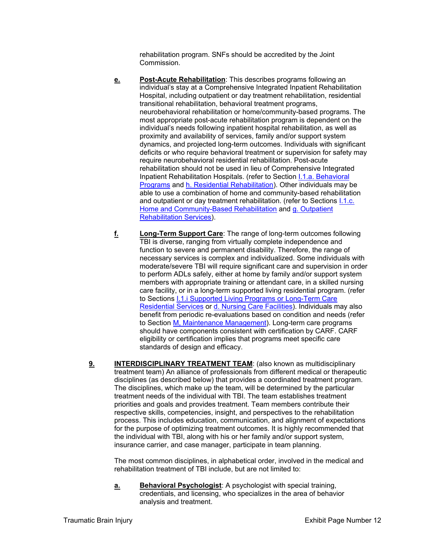rehabilitation program. SNFs should be accredited by the Joint Commission.

- **e. Post-Acute Rehabilitation**: This describes programs following an individual's stay at a Comprehensive Integrated Inpatient Rehabilitation Hospital, including outpatient or day treatment rehabilitation, residential transitional rehabilitation, behavioral treatment programs, neurobehavioral rehabilitation or home/community-based programs. The most appropriate post-acute rehabilitation program is dependent on the individual's needs following inpatient hospital rehabilitation, as well as proximity and availability of services, family and/or support system dynamics, and projected long-term outcomes. Individuals with significant deficits or who require behavioral treatment or supervision for safety may require neurobehavioral residential rehabilitation. Post-acute rehabilitation should not be used in lieu of Comprehensive Integrated Inpatient Rehabilitation Hospitals. (refer to Section I.1.a. Behavioral Programs and h. Residential Rehabilitation). Other individuals may be able to use a combination of home and community-based rehabilitation and outpatient or day treatment rehabilitation. (refer to Sections I.1.c. Home and Community-Based Rehabilitation and g. Outpatient Rehabilitation Services).
- **f. Long-Term Support Care**: The range of long-term outcomes following TBI is diverse, ranging from virtually complete independence and function to severe and permanent disability. Therefore, the range of necessary services is complex and individualized. Some individuals with moderate/severe TBI will require significant care and supervision in order to perform ADLs safely, either at home by family and/or support system members with appropriate training or attendant care, in a skilled nursing care facility, or in a long-term supported living residential program. (refer to Sections **I.1.i Supported Living Programs or Long-Term Care** Residential Services or d. Nursing Care Facilities). Individuals may also benefit from periodic re-evaluations based on condition and needs (refer to Section M, Maintenance Management). Long-term care programs should have components consistent with certification by CARF. CARF eligibility or certification implies that programs meet specific care standards of design and efficacy.
- **9. INTERDISCIPLINARY TREATMENT TEAM:** (also known as multidisciplinary treatment team) An alliance of professionals from different medical or therapeutic disciplines (as described below) that provides a coordinated treatment program. The disciplines, which make up the team, will be determined by the particular treatment needs of the individual with TBI. The team establishes treatment priorities and goals and provides treatment. Team members contribute their respective skills, competencies, insight, and perspectives to the rehabilitation process. This includes education, communication, and alignment of expectations for the purpose of optimizing treatment outcomes. It is highly recommended that the individual with TBI, along with his or her family and/or support system, insurance carrier, and case manager, participate in team planning.

The most common disciplines, in alphabetical order, involved in the medical and rehabilitation treatment of TBI include, but are not limited to:

**a. Behavioral Psychologist**: A psychologist with special training, credentials, and licensing, who specializes in the area of behavior analysis and treatment.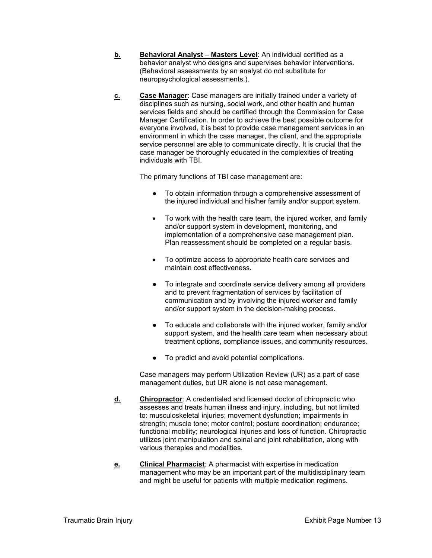- **b.** Behavioral Analyst Masters Level: An individual certified as a behavior analyst who designs and supervises behavior interventions. (Behavioral assessments by an analyst do not substitute for neuropsychological assessments.).
- **c. Case Manager**: Case managers are initially trained under a variety of disciplines such as nursing, social work, and other health and human services fields and should be certified through the Commission for Case Manager Certification. In order to achieve the best possible outcome for everyone involved, it is best to provide case management services in an environment in which the case manager, the client, and the appropriate service personnel are able to communicate directly. It is crucial that the case manager be thoroughly educated in the complexities of treating individuals with TBI.

The primary functions of TBI case management are:

- To obtain information through a comprehensive assessment of the injured individual and his/her family and/or support system.
- To work with the health care team, the injured worker, and family and/or support system in development, monitoring, and implementation of a comprehensive case management plan. Plan reassessment should be completed on a regular basis.
- To optimize access to appropriate health care services and maintain cost effectiveness.
- To integrate and coordinate service delivery among all providers and to prevent fragmentation of services by facilitation of communication and by involving the injured worker and family and/or support system in the decision-making process.
- To educate and collaborate with the injured worker, family and/or support system, and the health care team when necessary about treatment options, compliance issues, and community resources.
- To predict and avoid potential complications.

Case managers may perform Utilization Review (UR) as a part of case management duties, but UR alone is not case management.

- **d. Chiropractor**: A credentialed and licensed doctor of chiropractic who assesses and treats human illness and injury, including, but not limited to: musculoskeletal injuries; movement dysfunction; impairments in strength; muscle tone; motor control; posture coordination; endurance; functional mobility; neurological injuries and loss of function. Chiropractic utilizes joint manipulation and spinal and joint rehabilitation, along with various therapies and modalities.
- **e.** Clinical Pharmacist: A pharmacist with expertise in medication management who may be an important part of the multidisciplinary team and might be useful for patients with multiple medication regimens.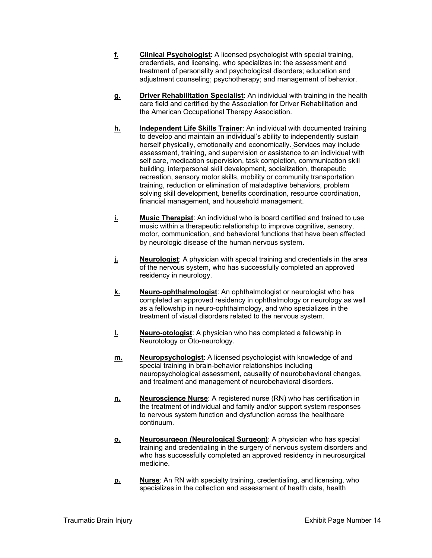- **f. Clinical Psychologist**: A licensed psychologist with special training, credentials, and licensing, who specializes in: the assessment and treatment of personality and psychological disorders; education and adjustment counseling; psychotherapy; and management of behavior.
- **g. Driver Rehabilitation Specialist**: An individual with training in the health care field and certified by the Association for Driver Rehabilitation and the American Occupational Therapy Association.
- **h. Independent Life Skills Trainer**: An individual with documented training to develop and maintain an individual's ability to independently sustain herself physically, emotionally and economically. Services may include assessment, training, and supervision or assistance to an individual with self care, medication supervision, task completion, communication skill building, interpersonal skill development, socialization, therapeutic recreation, sensory motor skills, mobility or community transportation training, reduction or elimination of maladaptive behaviors, problem solving skill development, benefits coordination, resource coordination, financial management, and household management.
- **i.** Music Therapist: An individual who is board certified and trained to use music within a therapeutic relationship to improve cognitive, sensory, motor, communication, and behavioral functions that have been affected by neurologic disease of the human nervous system.
- **j.** Neurologist: A physician with special training and credentials in the area of the nervous system, who has successfully completed an approved residency in neurology.
- **k. Neuro-ophthalmologist**: An ophthalmologist or neurologist who has completed an approved residency in ophthalmology or neurology as well as a fellowship in neuro-ophthalmology, and who specializes in the treatment of visual disorders related to the nervous system.
- **l. Neuro-otologist**: A physician who has completed a fellowship in Neurotology or Oto-neurology.
- **m. Neuropsychologist**: A licensed psychologist with knowledge of and special training in brain-behavior relationships including neuropsychological assessment, causality of neurobehavioral changes, and treatment and management of neurobehavioral disorders.
- **n. Neuroscience Nurse**: A registered nurse (RN) who has certification in the treatment of individual and family and/or support system responses to nervous system function and dysfunction across the healthcare continuum.
- **o. Neurosurgeon (Neurological Surgeon)**: A physician who has special training and credentialing in the surgery of nervous system disorders and who has successfully completed an approved residency in neurosurgical medicine.
- **p. Nurse**: An RN with specialty training, credentialing, and licensing, who specializes in the collection and assessment of health data, health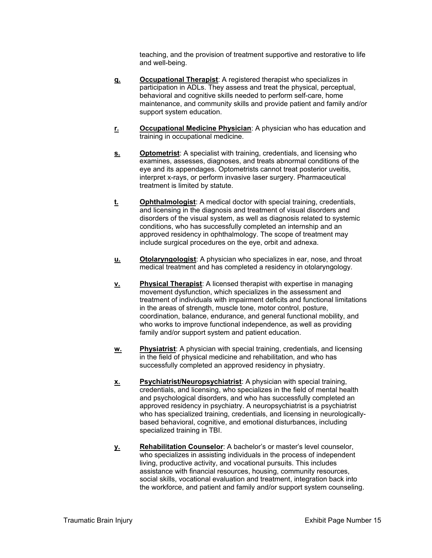teaching, and the provision of treatment supportive and restorative to life and well-being.

- **q. Occupational Therapist**: A registered therapist who specializes in participation in ADLs. They assess and treat the physical, perceptual, behavioral and cognitive skills needed to perform self-care, home maintenance, and community skills and provide patient and family and/or support system education.
- **r. Occupational Medicine Physician**: A physician who has education and training in occupational medicine.
- **<u>s.</u>** Optometrist: A specialist with training, credentials, and licensing who examines, assesses, diagnoses, and treats abnormal conditions of the eye and its appendages. Optometrists cannot treat posterior uveitis, interpret x-rays, or perform invasive laser surgery. Pharmaceutical treatment is limited by statute.
- **t. Ophthalmologist**: A medical doctor with special training, credentials, and licensing in the diagnosis and treatment of visual disorders and disorders of the visual system, as well as diagnosis related to systemic conditions, who has successfully completed an internship and an approved residency in ophthalmology. The scope of treatment may include surgical procedures on the eye, orbit and adnexa.
- **u. Otolaryngologist**: A physician who specializes in ear, nose, and throat medical treatment and has completed a residency in otolaryngology.
- **v. Physical Therapist**: A licensed therapist with expertise in managing movement dysfunction, which specializes in the assessment and treatment of individuals with impairment deficits and functional limitations in the areas of strength, muscle tone, motor control, posture, coordination, balance, endurance, and general functional mobility, and who works to improve functional independence, as well as providing family and/or support system and patient education.
- **w. Physiatrist**: A physician with special training, credentials, and licensing in the field of physical medicine and rehabilitation, and who has successfully completed an approved residency in physiatry.
- **x. Psychiatrist/Neuropsychiatrist**: A physician with special training, credentials, and licensing, who specializes in the field of mental health and psychological disorders, and who has successfully completed an approved residency in psychiatry. A neuropsychiatrist is a psychiatrist who has specialized training, credentials, and licensing in neurologicallybased behavioral, cognitive, and emotional disturbances, including specialized training in TBI.
- **y. Rehabilitation Counselor**: A bachelor's or master's level counselor, who specializes in assisting individuals in the process of independent living, productive activity, and vocational pursuits. This includes assistance with financial resources, housing, community resources, social skills, vocational evaluation and treatment, integration back into the workforce, and patient and family and/or support system counseling.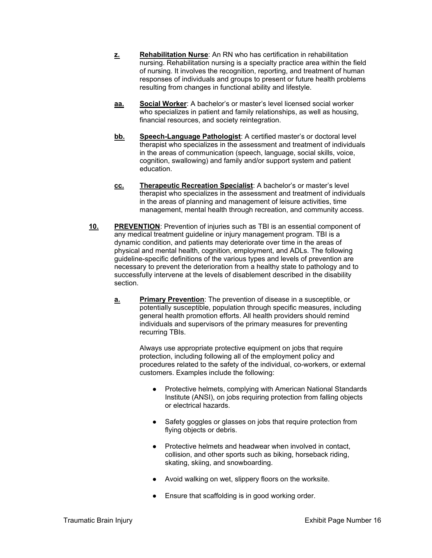- **z.** Rehabilitation Nurse: An RN who has certification in rehabilitation nursing. Rehabilitation nursing is a specialty practice area within the field of nursing. It involves the recognition, reporting, and treatment of human responses of individuals and groups to present or future health problems resulting from changes in functional ability and lifestyle.
- **aa. Social Worker**: A bachelor's or master's level licensed social worker who specializes in patient and family relationships, as well as housing, financial resources, and society reintegration.
- **bb. Speech-Language Pathologist**: A certified master's or doctoral level therapist who specializes in the assessment and treatment of individuals in the areas of communication (speech, language, social skills, voice, cognition, swallowing) and family and/or support system and patient education.
- **cc. Therapeutic Recreation Specialist**: A bachelor's or master's level therapist who specializes in the assessment and treatment of individuals in the areas of planning and management of leisure activities, time management, mental health through recreation, and community access.
- **10. PREVENTION**: Prevention of injuries such as TBI is an essential component of any medical treatment guideline or injury management program. TBI is a dynamic condition, and patients may deteriorate over time in the areas of physical and mental health, cognition, employment, and ADLs. The following guideline-specific definitions of the various types and levels of prevention are necessary to prevent the deterioration from a healthy state to pathology and to successfully intervene at the levels of disablement described in the disability section.
	- **a. Primary Prevention**: The prevention of disease in a susceptible, or potentially susceptible, population through specific measures, including general health promotion efforts. All health providers should remind individuals and supervisors of the primary measures for preventing recurring TBIs.

Always use appropriate protective equipment on jobs that require protection, including following all of the employment policy and procedures related to the safety of the individual, co-workers, or external customers. Examples include the following:

- Protective helmets, complying with American National Standards Institute (ANSI), on jobs requiring protection from falling objects or electrical hazards.
- Safety goggles or glasses on jobs that require protection from flying objects or debris.
- Protective helmets and headwear when involved in contact, collision, and other sports such as biking, horseback riding, skating, skiing, and snowboarding.
- Avoid walking on wet, slippery floors on the worksite.
- Ensure that scaffolding is in good working order.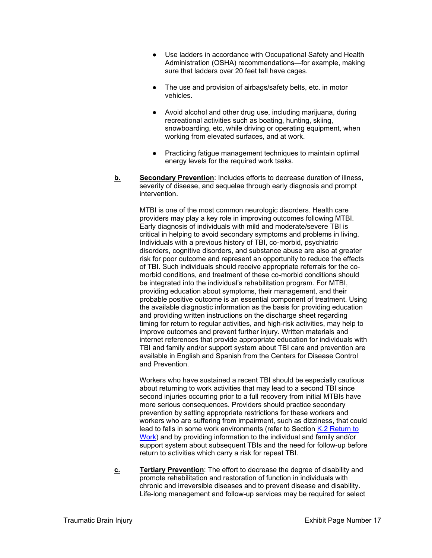- Use ladders in accordance with Occupational Safety and Health Administration (OSHA) recommendations—for example, making sure that ladders over 20 feet tall have cages.
- The use and provision of airbags/safety belts, etc. in motor vehicles.
- Avoid alcohol and other drug use, including marijuana, during recreational activities such as boating, hunting, skiing, snowboarding, etc, while driving or operating equipment, when working from elevated surfaces, and at work.
- Practicing fatigue management techniques to maintain optimal energy levels for the required work tasks.
- **b. Secondary Prevention**: Includes efforts to decrease duration of illness, severity of disease, and sequelae through early diagnosis and prompt intervention.

MTBI is one of the most common neurologic disorders. Health care providers may play a key role in improving outcomes following MTBI. Early diagnosis of individuals with mild and moderate/severe TBI is critical in helping to avoid secondary symptoms and problems in living. Individuals with a previous history of TBI, co-morbid, psychiatric disorders, cognitive disorders, and substance abuse are also at greater risk for poor outcome and represent an opportunity to reduce the effects of TBI. Such individuals should receive appropriate referrals for the comorbid conditions, and treatment of these co-morbid conditions should be integrated into the individual's rehabilitation program. For MTBI, providing education about symptoms, their management, and their probable positive outcome is an essential component of treatment. Using the available diagnostic information as the basis for providing education and providing written instructions on the discharge sheet regarding timing for return to regular activities, and high-risk activities, may help to improve outcomes and prevent further injury. Written materials and internet references that provide appropriate education for individuals with TBI and family and/or support system about TBI care and prevention are available in English and Spanish from the Centers for Disease Control and Prevention.

Workers who have sustained a recent TBI should be especially cautious about returning to work activities that may lead to a second TBI since second injuries occurring prior to a full recovery from initial MTBIs have more serious consequences. Providers should practice secondary prevention by setting appropriate restrictions for these workers and workers who are suffering from impairment, such as dizziness, that could lead to falls in some work environments (refer to Section K.2 Return to Work) and by providing information to the individual and family and/or support system about subsequent TBIs and the need for follow-up before return to activities which carry a risk for repeat TBI.

**c. Tertiary Prevention**: The effort to decrease the degree of disability and promote rehabilitation and restoration of function in individuals with chronic and irreversible diseases and to prevent disease and disability. Life-long management and follow-up services may be required for select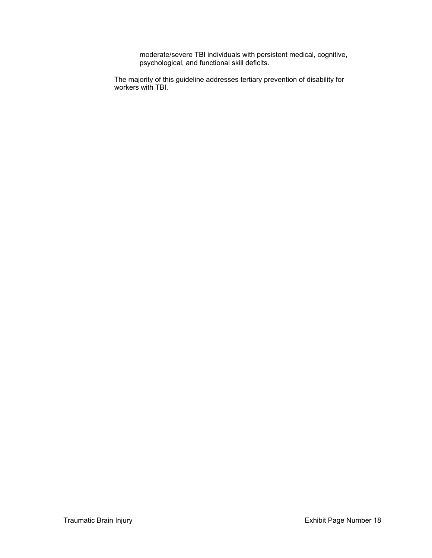moderate/severe TBI individuals with persistent medical, cognitive, psychological, and functional skill deficits.

The majority of this guideline addresses tertiary prevention of disability for workers with TBI.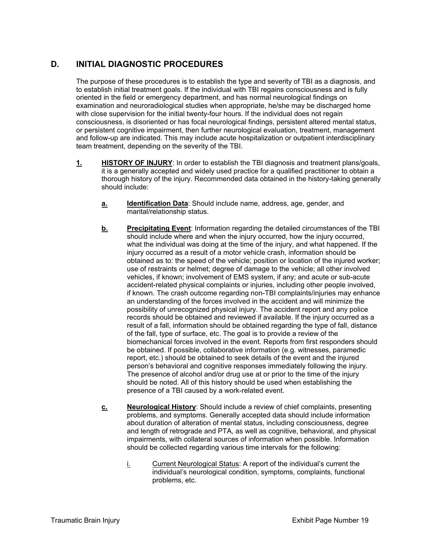#### **D. INITIAL DIAGNOSTIC PROCEDURES**

The purpose of these procedures is to establish the type and severity of TBI as a diagnosis, and to establish initial treatment goals. If the individual with TBI regains consciousness and is fully oriented in the field or emergency department, and has normal neurological findings on examination and neuroradiological studies when appropriate, he/she may be discharged home with close supervision for the initial twenty-four hours. If the individual does not regain consciousness, is disoriented or has focal neurological findings, persistent altered mental status, or persistent cognitive impairment, then further neurological evaluation, treatment, management and follow-up are indicated. This may include acute hospitalization or outpatient interdisciplinary team treatment, depending on the severity of the TBI.

- **1.** HISTORY OF INJURY: In order to establish the TBI diagnosis and treatment plans/goals, it is a generally accepted and widely used practice for a qualified practitioner to obtain a thorough history of the injury. Recommended data obtained in the history-taking generally should include:
	- **a.** Identification Data: Should include name, address, age, gender, and marital/relationship status.
	- **b.** Precipitating Event: Information regarding the detailed circumstances of the TBI should include where and when the injury occurred, how the injury occurred, what the individual was doing at the time of the injury, and what happened. If the injury occurred as a result of a motor vehicle crash, information should be obtained as to: the speed of the vehicle; position or location of the injured worker; use of restraints or helmet; degree of damage to the vehicle; all other involved vehicles, if known; involvement of EMS system, if any; and acute or sub-acute accident-related physical complaints or injuries, including other people involved, if known. The crash outcome regarding non-TBI complaints/injuries may enhance an understanding of the forces involved in the accident and will minimize the possibility of unrecognized physical injury. The accident report and any police records should be obtained and reviewed if available. If the injury occurred as a result of a fall, information should be obtained regarding the type of fall, distance of the fall, type of surface, etc. The goal is to provide a review of the biomechanical forces involved in the event. Reports from first responders should be obtained. If possible, collaborative information (e.g. witnesses, paramedic report, etc.) should be obtained to seek details of the event and the injured person's behavioral and cognitive responses immediately following the injury. The presence of alcohol and/or drug use at or prior to the time of the injury should be noted. All of this history should be used when establishing the presence of a TBI caused by a work-related event.
	- **c. Neurological History**: Should include a review of chief complaints, presenting problems, and symptoms. Generally accepted data should include information about duration of alteration of mental status, including consciousness, degree and length of retrograde and PTA, as well as cognitive, behavioral, and physical impairments, with collateral sources of information when possible. Information should be collected regarding various time intervals for the following:
		- i. Current Neurological Status: A report of the individual's current the individual's neurological condition, symptoms, complaints, functional problems, etc.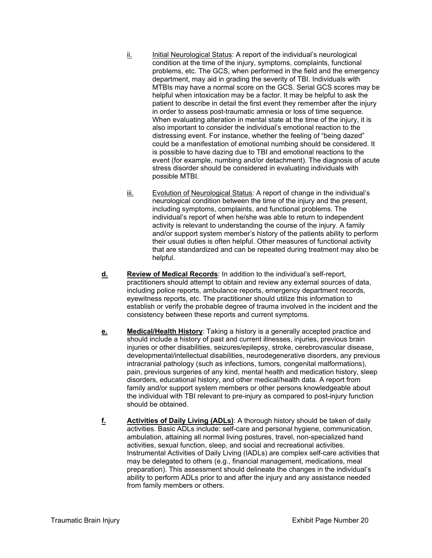- ii. Initial Neurological Status: A report of the individual's neurological condition at the time of the injury, symptoms, complaints, functional problems, etc. The GCS, when performed in the field and the emergency department, may aid in grading the severity of TBI. Individuals with MTBIs may have a normal score on the GCS. Serial GCS scores may be helpful when intoxication may be a factor. It may be helpful to ask the patient to describe in detail the first event they remember after the injury in order to assess post-traumatic amnesia or loss of time sequence. When evaluating alteration in mental state at the time of the injury, it is also important to consider the individual's emotional reaction to the distressing event. For instance, whether the feeling of "being dazed" could be a manifestation of emotional numbing should be considered. It is possible to have dazing due to TBI and emotional reactions to the event (for example, numbing and/or detachment). The diagnosis of acute stress disorder should be considered in evaluating individuals with possible MTBI.
- iii. Evolution of Neurological Status: A report of change in the individual's neurological condition between the time of the injury and the present, including symptoms, complaints, and functional problems. The individual's report of when he/she was able to return to independent activity is relevant to understanding the course of the injury. A family and/or support system member's history of the patients ability to perform their usual duties is often helpful. Other measures of functional activity that are standardized and can be repeated during treatment may also be helpful.
- **d. Review of Medical Records**: In addition to the individual's self-report, practitioners should attempt to obtain and review any external sources of data, including police reports, ambulance reports, emergency department records, eyewitness reports, etc. The practitioner should utilize this information to establish or verify the probable degree of trauma involved in the incident and the consistency between these reports and current symptoms.
- **e. Medical/Health History**: Taking a history is a generally accepted practice and should include a history of past and current illnesses, injuries, previous brain injuries or other disabilities, seizures/epilepsy, stroke, cerebrovascular disease, developmental/intellectual disabilities, neurodegenerative disorders, any previous intracranial pathology (such as infections, tumors, congenital malformations), pain, previous surgeries of any kind, mental health and medication history, sleep disorders, educational history, and other medical/health data. A report from family and/or support system members or other persons knowledgeable about the individual with TBI relevant to pre-injury as compared to post-injury function should be obtained.
- **f.** Activities of Daily Living (ADLs): A thorough history should be taken of daily activities. Basic ADLs include: self-care and personal hygiene, communication, ambulation, attaining all normal living postures, travel, non-specialized hand activities, sexual function, sleep, and social and recreational activities. Instrumental Activities of Daily Living (IADLs) are complex self-care activities that may be delegated to others (e.g., financial management, medications, meal preparation). This assessment should delineate the changes in the individual's ability to perform ADLs prior to and after the injury and any assistance needed from family members or others.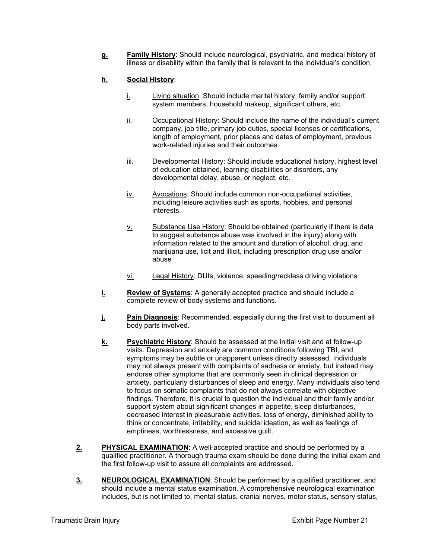**g. Family History**: Should include neurological, psychiatric, and medical history of illness or disability within the family that is relevant to the individual's condition.

#### **h. Social History**:

- $i.$  Living situation: Should include marital history, family and/or support system members, household makeup, significant others, etc.
- ii. Occupational History: Should include the name of the individual's current company, job title, primary job duties, special licenses or certifications, length of employment, prior places and dates of employment, previous work-related injuries and their outcomes
- iii. Developmental History: Should include educational history, highest level of education obtained, learning disabilities or disorders, any developmental delay, abuse, or neglect, etc.
- iv. Avocations: Should include common non-occupational activities, including leisure activities such as sports, hobbies, and personal interests.
- v. Substance Use History: Should be obtained (particularly if there is data to suggest substance abuse was involved in the injury) along with information related to the amount and duration of alcohol, drug, and marijuana use, licit and illicit, including prescription drug use and/or abuse
- vi. Legal History: DUIs, violence, speeding/reckless driving violations
- **i.** Review of Systems: A generally accepted practice and should include a complete review of body systems and functions.
- **j.** Pain Diagnosis: Recommended, especially during the first visit to document all body parts involved.
- **k. Psychiatric History**: Should be assessed at the initial visit and at follow-up visits. Depression and anxiety are common conditions following TBI, and symptoms may be subtle or unapparent unless directly assessed. Individuals may not always present with complaints of sadness or anxiety, but instead may endorse other symptoms that are commonly seen in clinical depression or anxiety, particularly disturbances of sleep and energy. Many individuals also tend to focus on somatic complaints that do not always correlate with objective findings. Therefore, it is crucial to question the individual and their family and/or support system about significant changes in appetite, sleep disturbances, decreased interest in pleasurable activities, loss of energy, diminished ability to think or concentrate, irritability, and suicidal ideation, as well as feelings of emptiness, worthlessness, and excessive guilt.
- **2. PHYSICAL EXAMINATION**: A well-accepted practice and should be performed by a qualified practitioner. A thorough trauma exam should be done during the initial exam and the first follow-up visit to assure all complaints are addressed.
- **3. NEUROLOGICAL EXAMINATION:** Should be performed by a qualified practitioner, and should include a mental status examination. A comprehensive neurological examination includes, but is not limited to, mental status, cranial nerves, motor status, sensory status,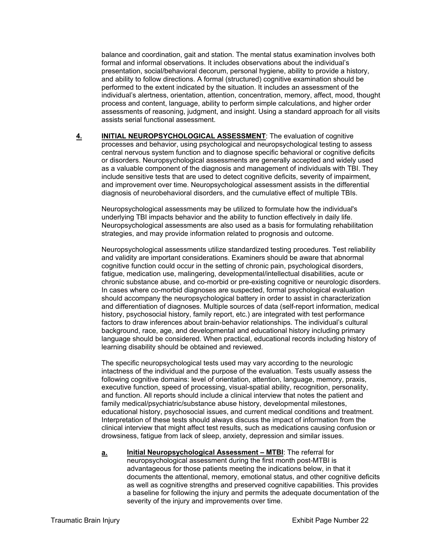balance and coordination, gait and station. The mental status examination involves both formal and informal observations. It includes observations about the individual's presentation, social/behavioral decorum, personal hygiene, ability to provide a history, and ability to follow directions. A formal (structured) cognitive examination should be performed to the extent indicated by the situation. It includes an assessment of the individual's alertness, orientation, attention, concentration, memory, affect, mood, thought process and content, language, ability to perform simple calculations, and higher order assessments of reasoning, judgment, and insight. Using a standard approach for all visits assists serial functional assessment.

**4. INITIAL NEUROPSYCHOLOGICAL ASSESSMENT**: The evaluation of cognitive processes and behavior, using psychological and neuropsychological testing to assess central nervous system function and to diagnose specific behavioral or cognitive deficits or disorders. Neuropsychological assessments are generally accepted and widely used as a valuable component of the diagnosis and management of individuals with TBI. They include sensitive tests that are used to detect cognitive deficits, severity of impairment, and improvement over time. Neuropsychological assessment assists in the differential diagnosis of neurobehavioral disorders, and the cumulative effect of multiple TBIs.

Neuropsychological assessments may be utilized to formulate how the individual's underlying TBI impacts behavior and the ability to function effectively in daily life. Neuropsychological assessments are also used as a basis for formulating rehabilitation strategies, and may provide information related to prognosis and outcome.

Neuropsychological assessments utilize standardized testing procedures. Test reliability and validity are important considerations. Examiners should be aware that abnormal cognitive function could occur in the setting of chronic pain, psychological disorders, fatigue, medication use, malingering, developmental/intellectual disabilities, acute or chronic substance abuse, and co-morbid or pre-existing cognitive or neurologic disorders. In cases where co-morbid diagnoses are suspected, formal psychological evaluation should accompany the neuropsychological battery in order to assist in characterization and differentiation of diagnoses. Multiple sources of data (self-report information, medical history, psychosocial history, family report, etc.) are integrated with test performance factors to draw inferences about brain-behavior relationships. The individual's cultural background, race, age, and developmental and educational history including primary language should be considered. When practical, educational records including history of learning disability should be obtained and reviewed.

The specific neuropsychological tests used may vary according to the neurologic intactness of the individual and the purpose of the evaluation. Tests usually assess the following cognitive domains: level of orientation, attention, language, memory, praxis, executive function, speed of processing, visual-spatial ability, recognition, personality, and function. All reports should include a clinical interview that notes the patient and family medical/psychiatric/substance abuse history, developmental milestones, educational history, psychosocial issues, and current medical conditions and treatment. Interpretation of these tests should always discuss the impact of information from the clinical interview that might affect test results, such as medications causing confusion or drowsiness, fatigue from lack of sleep, anxiety, depression and similar issues.

**a. Initial Neuropsychological Assessment – MTBI**: The referral for neuropsychological assessment during the first month post-MTBI is advantageous for those patients meeting the indications below, in that it documents the attentional, memory, emotional status, and other cognitive deficits as well as cognitive strengths and preserved cognitive capabilities. This provides a baseline for following the injury and permits the adequate documentation of the severity of the injury and improvements over time.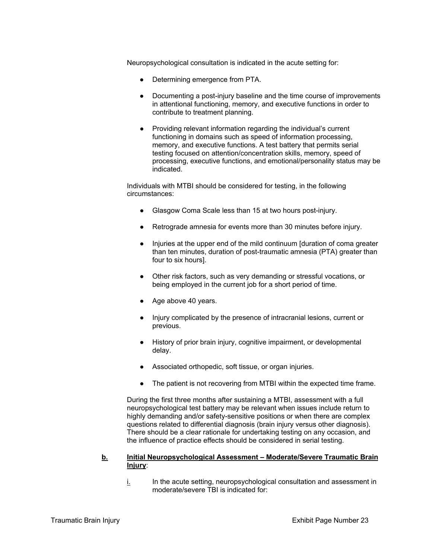Neuropsychological consultation is indicated in the acute setting for:

- Determining emergence from PTA.
- Documenting a post-injury baseline and the time course of improvements in attentional functioning, memory, and executive functions in order to contribute to treatment planning.
- Providing relevant information regarding the individual's current functioning in domains such as speed of information processing, memory, and executive functions. A test battery that permits serial testing focused on attention/concentration skills, memory, speed of processing, executive functions, and emotional/personality status may be indicated.

Individuals with MTBI should be considered for testing, in the following circumstances:

- Glasgow Coma Scale less than 15 at two hours post-injury.
- Retrograde amnesia for events more than 30 minutes before injury.
- Injuries at the upper end of the mild continuum [duration of coma greater than ten minutes, duration of post-traumatic amnesia (PTA) greater than four to six hours].
- Other risk factors, such as very demanding or stressful vocations, or being employed in the current job for a short period of time.
- Age above 40 years.
- Injury complicated by the presence of intracranial lesions, current or previous.
- History of prior brain injury, cognitive impairment, or developmental delay.
- Associated orthopedic, soft tissue, or organ injuries.
- The patient is not recovering from MTBI within the expected time frame.

During the first three months after sustaining a MTBI, assessment with a full neuropsychological test battery may be relevant when issues include return to highly demanding and/or safety-sensitive positions or when there are complex questions related to differential diagnosis (brain injury versus other diagnosis). There should be a clear rationale for undertaking testing on any occasion, and the influence of practice effects should be considered in serial testing.

#### **b. Initial Neuropsychological Assessment – Moderate/Severe Traumatic Brain Injury**:

i. In the acute setting, neuropsychological consultation and assessment in moderate/severe TBI is indicated for: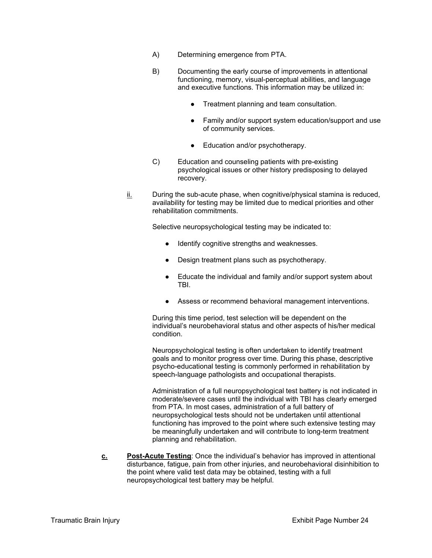- A) Determining emergence from PTA.
- B) Documenting the early course of improvements in attentional functioning, memory, visual-perceptual abilities, and language and executive functions. This information may be utilized in:
	- Treatment planning and team consultation.
	- Family and/or support system education/support and use of community services.
	- Education and/or psychotherapy.
- C) Education and counseling patients with pre-existing psychological issues or other history predisposing to delayed recovery.
- ii. During the sub-acute phase, when cognitive/physical stamina is reduced, availability for testing may be limited due to medical priorities and other rehabilitation commitments.

Selective neuropsychological testing may be indicated to:

- Identify cognitive strengths and weaknesses.
- Design treatment plans such as psychotherapy.
- Educate the individual and family and/or support system about TBI.
- Assess or recommend behavioral management interventions.

During this time period, test selection will be dependent on the individual's neurobehavioral status and other aspects of his/her medical condition.

Neuropsychological testing is often undertaken to identify treatment goals and to monitor progress over time. During this phase, descriptive psycho-educational testing is commonly performed in rehabilitation by speech-language pathologists and occupational therapists.

Administration of a full neuropsychological test battery is not indicated in moderate/severe cases until the individual with TBI has clearly emerged from PTA. In most cases, administration of a full battery of neuropsychological tests should not be undertaken until attentional functioning has improved to the point where such extensive testing may be meaningfully undertaken and will contribute to long-term treatment planning and rehabilitation.

**c. Post-Acute Testing**: Once the individual's behavior has improved in attentional disturbance, fatigue, pain from other injuries, and neurobehavioral disinhibition to the point where valid test data may be obtained, testing with a full neuropsychological test battery may be helpful.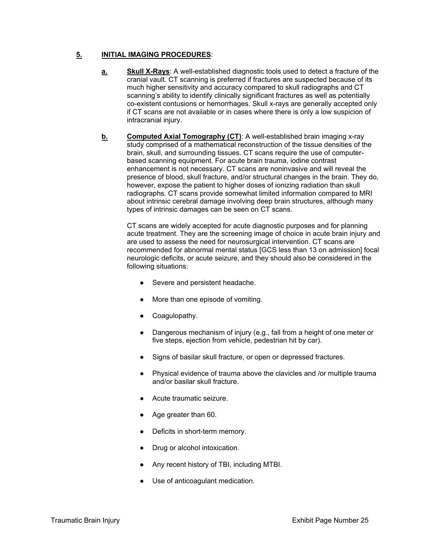#### **5. INITIAL IMAGING PROCEDURES**:

- **a. Skull X-Rays**: A well-established diagnostic tools used to detect a fracture of the cranial vault. CT scanning is preferred if fractures are suspected because of its much higher sensitivity and accuracy compared to skull radiographs and CT scanning's ability to identify clinically significant fractures as well as potentially co-existent contusions or hemorrhages. Skull x-rays are generally accepted only if CT scans are not available or in cases where there is only a low suspicion of intracranial injury.
- **b.** Computed Axial Tomography (CT): A well-established brain imaging x-ray study comprised of a mathematical reconstruction of the tissue densities of the brain, skull, and surrounding tissues. CT scans require the use of computerbased scanning equipment. For acute brain trauma, iodine contrast enhancement is not necessary. CT scans are noninvasive and will reveal the presence of blood, skull fracture, and/or structural changes in the brain. They do, however, expose the patient to higher doses of ionizing radiation than skull radiographs. CT scans provide somewhat limited information compared to MRI about intrinsic cerebral damage involving deep brain structures, although many types of intrinsic damages can be seen on CT scans.

CT scans are widely accepted for acute diagnostic purposes and for planning acute treatment. They are the screening image of choice in acute brain injury and are used to assess the need for neurosurgical intervention. CT scans are recommended for abnormal mental status [GCS less than 13 on admission] focal neurologic deficits, or acute seizure, and they should also be considered in the following situations:

- Severe and persistent headache.
- More than one episode of vomiting.
- Coagulopathy.
- Dangerous mechanism of injury (e.g., fall from a height of one meter or five steps, ejection from vehicle, pedestrian hit by car).
- Signs of basilar skull fracture, or open or depressed fractures.
- Physical evidence of trauma above the clavicles and /or multiple trauma and/or basilar skull fracture.
- Acute traumatic seizure.
- Age greater than 60.
- Deficits in short-term memory.
- Drug or alcohol intoxication.
- Any recent history of TBI, including MTBI.
- Use of anticoagulant medication.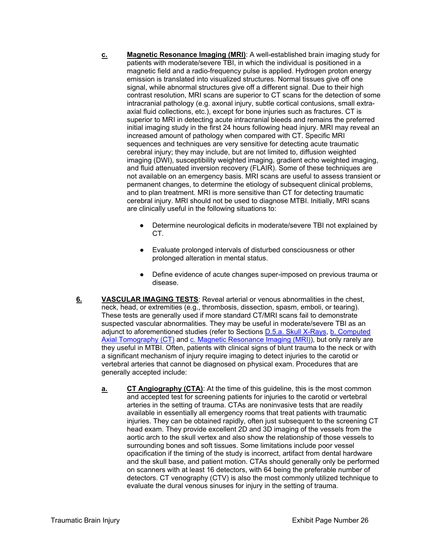- **c. Magnetic Resonance Imaging (MRI)**: A well-established brain imaging study for patients with moderate/severe TBI, in which the individual is positioned in a magnetic field and a radio-frequency pulse is applied. Hydrogen proton energy emission is translated into visualized structures. Normal tissues give off one signal, while abnormal structures give off a different signal. Due to their high contrast resolution, MRI scans are superior to CT scans for the detection of some intracranial pathology (e.g. axonal injury, subtle cortical contusions, small extraaxial fluid collections, etc.), except for bone injuries such as fractures. CT is superior to MRI in detecting acute intracranial bleeds and remains the preferred initial imaging study in the first 24 hours following head injury. MRI may reveal an increased amount of pathology when compared with CT. Specific MRI sequences and techniques are very sensitive for detecting acute traumatic cerebral injury; they may include, but are not limited to, diffusion weighted imaging (DWI), susceptibility weighted imaging, gradient echo weighted imaging, and fluid attenuated inversion recovery (FLAIR). Some of these techniques are not available on an emergency basis. MRI scans are useful to assess transient or permanent changes, to determine the etiology of subsequent clinical problems, and to plan treatment. MRI is more sensitive than CT for detecting traumatic cerebral injury. MRI should not be used to diagnose MTBI. Initially, MRI scans are clinically useful in the following situations to:
	- Determine neurological deficits in moderate/severe TBI not explained by CT.
	- Evaluate prolonged intervals of disturbed consciousness or other prolonged alteration in mental status.
	- Define evidence of acute changes super-imposed on previous trauma or disease.
- **6. VASCULAR IMAGING TESTS**: Reveal arterial or venous abnormalities in the chest, neck, head, or extremities (e.g., thrombosis, dissection, spasm, emboli, or tearing). These tests are generally used if more standard CT/MRI scans fail to demonstrate suspected vascular abnormalities. They may be useful in moderate/severe TBI as an adjunct to aforementioned studies (refer to Sections D.5.a. Skull X-Rays, b. Computed Axial Tomography (CT) and c. Magnetic Resonance Imaging (MRI)), but only rarely are they useful in MTBI. Often, patients with clinical signs of blunt trauma to the neck or with a significant mechanism of injury require imaging to detect injuries to the carotid or vertebral arteries that cannot be diagnosed on physical exam. Procedures that are generally accepted include:
	- **a. CT Angiography (CTA)**: At the time of this guideline, this is the most common and accepted test for screening patients for injuries to the carotid or vertebral arteries in the setting of trauma. CTAs are noninvasive tests that are readily available in essentially all emergency rooms that treat patients with traumatic injuries. They can be obtained rapidly, often just subsequent to the screening CT head exam. They provide excellent 2D and 3D imaging of the vessels from the aortic arch to the skull vertex and also show the relationship of those vessels to surrounding bones and soft tissues. Some limitations include poor vessel opacification if the timing of the study is incorrect, artifact from dental hardware and the skull base, and patient motion. CTAs should generally only be performed on scanners with at least 16 detectors, with 64 being the preferable number of detectors. CT venography (CTV) is also the most commonly utilized technique to evaluate the dural venous sinuses for injury in the setting of trauma.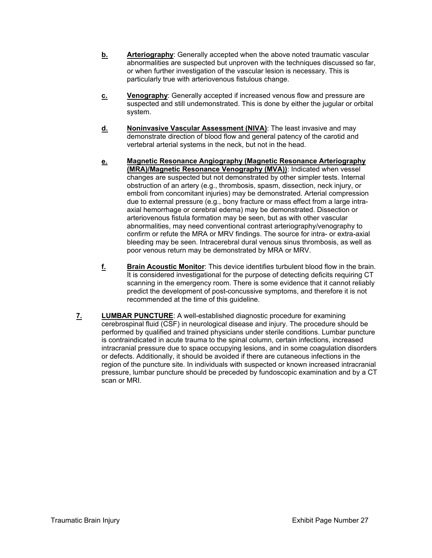- **b.** Arteriography: Generally accepted when the above noted traumatic vascular abnormalities are suspected but unproven with the techniques discussed so far, or when further investigation of the vascular lesion is necessary. This is particularly true with arteriovenous fistulous change.
- **c. Venography**: Generally accepted if increased venous flow and pressure are suspected and still undemonstrated. This is done by either the jugular or orbital system.
- **d.** Noninvasive Vascular Assessment (NIVA): The least invasive and may demonstrate direction of blood flow and general patency of the carotid and vertebral arterial systems in the neck, but not in the head.
- **e. Magnetic Resonance Angiography (Magnetic Resonance Arteriography (MRA)/Magnetic Resonance Venography (MVA))**: Indicated when vessel changes are suspected but not demonstrated by other simpler tests. Internal obstruction of an artery (e.g., thrombosis, spasm, dissection, neck injury, or emboli from concomitant injuries) may be demonstrated. Arterial compression due to external pressure (e.g., bony fracture or mass effect from a large intraaxial hemorrhage or cerebral edema) may be demonstrated. Dissection or arteriovenous fistula formation may be seen, but as with other vascular abnormalities, may need conventional contrast arteriography/venography to confirm or refute the MRA or MRV findings. The source for intra- or extra-axial bleeding may be seen. Intracerebral dural venous sinus thrombosis, as well as poor venous return may be demonstrated by MRA or MRV.
- **f. Brain Acoustic Monitor**: This device identifies turbulent blood flow in the brain. It is considered investigational for the purpose of detecting deficits requiring CT scanning in the emergency room. There is some evidence that it cannot reliably predict the development of post-concussive symptoms, and therefore it is not recommended at the time of this guideline.
- **7. LUMBAR PUNCTURE**: A well-established diagnostic procedure for examining cerebrospinal fluid (CSF) in neurological disease and injury. The procedure should be performed by qualified and trained physicians under sterile conditions. Lumbar puncture is contraindicated in acute trauma to the spinal column, certain infections, increased intracranial pressure due to space occupying lesions, and in some coagulation disorders or defects. Additionally, it should be avoided if there are cutaneous infections in the region of the puncture site. In individuals with suspected or known increased intracranial pressure, lumbar puncture should be preceded by fundoscopic examination and by a CT scan or MRI.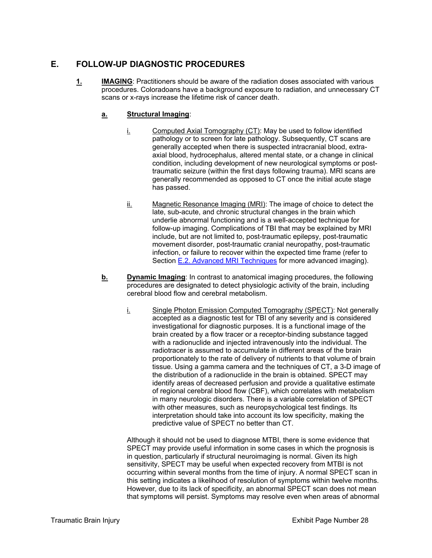#### **E. FOLLOW-UP DIAGNOSTIC PROCEDURES**

**1. IMAGING**: Practitioners should be aware of the radiation doses associated with various procedures. Coloradoans have a background exposure to radiation, and unnecessary CT scans or x-rays increase the lifetime risk of cancer death.

#### **a. Structural Imaging**:

- $i.$  Computed Axial Tomography (CT): May be used to follow identified pathology or to screen for late pathology. Subsequently, CT scans are generally accepted when there is suspected intracranial blood, extraaxial blood, hydrocephalus, altered mental state, or a change in clinical condition, including development of new neurological symptoms or posttraumatic seizure (within the first days following trauma). MRI scans are generally recommended as opposed to CT once the initial acute stage has passed.
- ii. Magnetic Resonance Imaging (MRI): The image of choice to detect the late, sub-acute, and chronic structural changes in the brain which underlie abnormal functioning and is a well-accepted technique for follow-up imaging. Complications of TBI that may be explained by MRI include, but are not limited to, post-traumatic epilepsy, post-traumatic movement disorder, post-traumatic cranial neuropathy, post-traumatic infection, or failure to recover within the expected time frame (refer to Section E.2. Advanced MRI Techniques for more advanced imaging).
- **b. Dynamic Imaging**: In contrast to anatomical imaging procedures, the following procedures are designated to detect physiologic activity of the brain, including cerebral blood flow and cerebral metabolism.
	- i. Single Photon Emission Computed Tomography (SPECT): Not generally accepted as a diagnostic test for TBI of any severity and is considered investigational for diagnostic purposes. It is a functional image of the brain created by a flow tracer or a receptor-binding substance tagged with a radionuclide and injected intravenously into the individual. The radiotracer is assumed to accumulate in different areas of the brain proportionately to the rate of delivery of nutrients to that volume of brain tissue. Using a gamma camera and the techniques of CT, a 3-D image of the distribution of a radionuclide in the brain is obtained. SPECT may identify areas of decreased perfusion and provide a qualitative estimate of regional cerebral blood flow (CBF), which correlates with metabolism in many neurologic disorders. There is a variable correlation of SPECT with other measures, such as neuropsychological test findings. Its interpretation should take into account its low specificity, making the predictive value of SPECT no better than CT.

Although it should not be used to diagnose MTBI, there is some evidence that SPECT may provide useful information in some cases in which the prognosis is in question, particularly if structural neuroimaging is normal. Given its high sensitivity, SPECT may be useful when expected recovery from MTBI is not occurring within several months from the time of injury. A normal SPECT scan in this setting indicates a likelihood of resolution of symptoms within twelve months. However, due to its lack of specificity, an abnormal SPECT scan does not mean that symptoms will persist. Symptoms may resolve even when areas of abnormal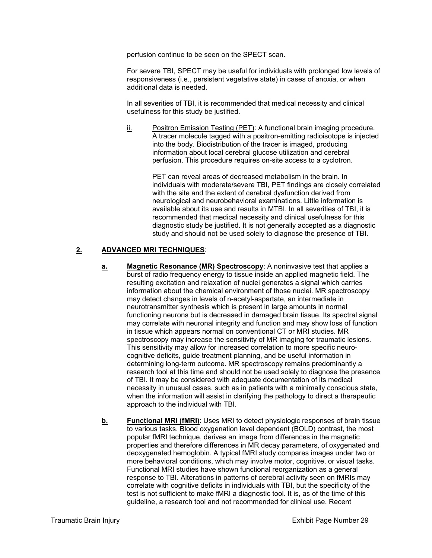perfusion continue to be seen on the SPECT scan.

For severe TBI, SPECT may be useful for individuals with prolonged low levels of responsiveness (i.e., persistent vegetative state) in cases of anoxia, or when additional data is needed.

In all severities of TBI, it is recommended that medical necessity and clinical usefulness for this study be justified.

ii. Positron Emission Testing (PET): A functional brain imaging procedure. A tracer molecule tagged with a positron-emitting radioisotope is injected into the body. Biodistribution of the tracer is imaged, producing information about local cerebral glucose utilization and cerebral perfusion. This procedure requires on-site access to a cyclotron.

> PET can reveal areas of decreased metabolism in the brain. In individuals with moderate/severe TBI, PET findings are closely correlated with the site and the extent of cerebral dysfunction derived from neurological and neurobehavioral examinations. Little information is available about its use and results in MTBI. In all severities of TBI, it is recommended that medical necessity and clinical usefulness for this diagnostic study be justified. It is not generally accepted as a diagnostic study and should not be used solely to diagnose the presence of TBI.

#### **2. ADVANCED MRI TECHNIQUES**:

- **a.** Magnetic Resonance (MR) Spectroscopy: A noninvasive test that applies a burst of radio frequency energy to tissue inside an applied magnetic field. The resulting excitation and relaxation of nuclei generates a signal which carries information about the chemical environment of those nuclei. MR spectroscopy may detect changes in levels of n-acetyl-aspartate, an intermediate in neurotransmitter synthesis which is present in large amounts in normal functioning neurons but is decreased in damaged brain tissue. Its spectral signal may correlate with neuronal integrity and function and may show loss of function in tissue which appears normal on conventional CT or MRI studies. MR spectroscopy may increase the sensitivity of MR imaging for traumatic lesions. This sensitivity may allow for increased correlation to more specific neurocognitive deficits, guide treatment planning, and be useful information in determining long-term outcome. MR spectroscopy remains predominantly a research tool at this time and should not be used solely to diagnose the presence of TBI. It may be considered with adequate documentation of its medical necessity in unusual cases. such as in patients with a minimally conscious state, when the information will assist in clarifying the pathology to direct a therapeutic approach to the individual with TBI.
- **b.** Functional MRI (fMRI): Uses MRI to detect physiologic responses of brain tissue to various tasks. Blood oxygenation level dependent (BOLD) contrast, the most popular fMRI technique, derives an image from differences in the magnetic properties and therefore differences in MR decay parameters, of oxygenated and deoxygenated hemoglobin. A typical fMRI study compares images under two or more behavioral conditions, which may involve motor, cognitive, or visual tasks. Functional MRI studies have shown functional reorganization as a general response to TBI. Alterations in patterns of cerebral activity seen on fMRIs may correlate with cognitive deficits in individuals with TBI, but the specificity of the test is not sufficient to make fMRI a diagnostic tool. It is, as of the time of this guideline, a research tool and not recommended for clinical use. Recent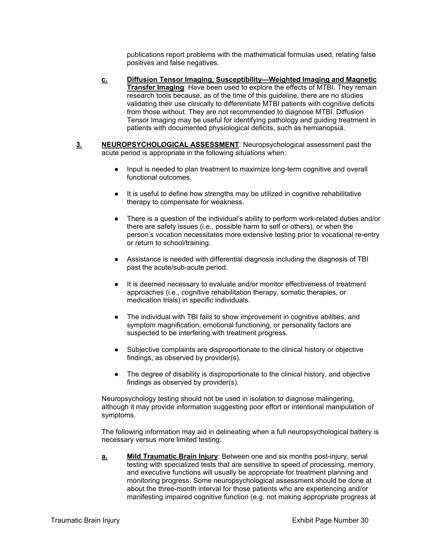publications report problems with the mathematical formulas used, relating false positives and false negatives.

- **c. Diffusion Tensor Imaging, Susceptibility—Weighted Imaging and Magnetic Transfer Imaging**: Have been used to explore the effects of MTBI. They remain research tools because, as of the time of this guideline, there are no studies validating their use clinically to differentiate MTBI patients with cognitive deficits from those without. They are not recommended to diagnose MTBI. Diffusion Tensor Imaging may be useful for identifying pathology and guiding treatment in patients with documented physiological deficits, such as hemianopsia.
- **3. NEUROPSYCHOLOGICAL ASSESSMENT**: Neuropsychological assessment past the acute period is appropriate in the following situations when:
	- Input is needed to plan treatment to maximize long-term cognitive and overall functional outcomes.
	- It is useful to define how strengths may be utilized in cognitive rehabilitative therapy to compensate for weakness.
	- There is a question of the individual's ability to perform work-related duties and/or there are safety issues (i.e., possible harm to self or others), or when the person's vocation necessitates more extensive testing prior to vocational re-entry or return to school/training.
	- Assistance is needed with differential diagnosis including the diagnosis of TBI past the acute/sub-acute period.
	- It is deemed necessary to evaluate and/or monitor effectiveness of treatment approaches (i.e., cognitive rehabilitation therapy, somatic therapies, or medication trials) in specific individuals.
	- The individual with TBI fails to show improvement in cognitive abilities, and symptom magnification, emotional functioning, or personality factors are suspected to be interfering with treatment progress.
	- Subjective complaints are disproportionate to the clinical history or objective findings, as observed by provider(s).
	- The degree of disability is disproportionate to the clinical history, and objective findings as observed by provider(s).

Neuropsychology testing should not be used in isolation to diagnose malingering, although it may provide information suggesting poor effort or intentional manipulation of symptoms.

The following information may aid in delineating when a full neuropsychological battery is necessary versus more limited testing:

**a. Mild Traumatic Brain Injury**: Between one and six months post-injury, serial testing with specialized tests that are sensitive to speed of processing, memory, and executive functions will usually be appropriate for treatment planning and monitoring progress. Some neuropsychological assessment should be done at about the three-month interval for those patients who are experiencing and/or manifesting impaired cognitive function (e.g. not making appropriate progress at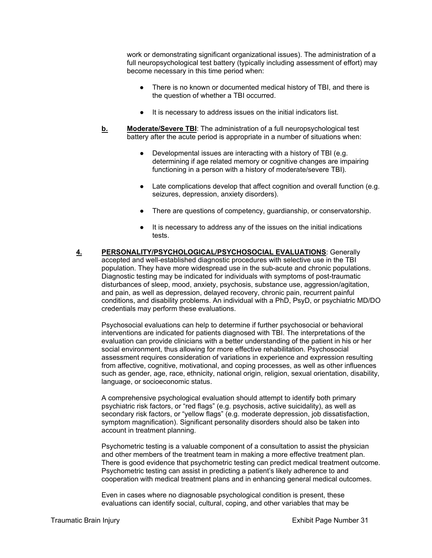work or demonstrating significant organizational issues). The administration of a full neuropsychological test battery (typically including assessment of effort) may become necessary in this time period when:

- There is no known or documented medical history of TBI, and there is the question of whether a TBI occurred.
- It is necessary to address issues on the initial indicators list.
- **b. Moderate/Severe TBI**: The administration of a full neuropsychological test battery after the acute period is appropriate in a number of situations when:
	- Developmental issues are interacting with a history of TBI (e.g. determining if age related memory or cognitive changes are impairing functioning in a person with a history of moderate/severe TBI).
	- Late complications develop that affect cognition and overall function (e.g. seizures, depression, anxiety disorders).
	- There are questions of competency, guardianship, or conservatorship.
	- It is necessary to address any of the issues on the initial indications tests.
- **4. PERSONALITY/PSYCHOLOGICAL/PSYCHOSOCIAL EVALUATIONS**: Generally accepted and well-established diagnostic procedures with selective use in the TBI population. They have more widespread use in the sub-acute and chronic populations. Diagnostic testing may be indicated for individuals with symptoms of post-traumatic disturbances of sleep, mood, anxiety, psychosis, substance use, aggression/agitation, and pain, as well as depression, delayed recovery, chronic pain, recurrent painful conditions, and disability problems. An individual with a PhD, PsyD, or psychiatric MD/DO credentials may perform these evaluations.

Psychosocial evaluations can help to determine if further psychosocial or behavioral interventions are indicated for patients diagnosed with TBI. The interpretations of the evaluation can provide clinicians with a better understanding of the patient in his or her social environment, thus allowing for more effective rehabilitation. Psychosocial assessment requires consideration of variations in experience and expression resulting from affective, cognitive, motivational, and coping processes, as well as other influences such as gender, age, race, ethnicity, national origin, religion, sexual orientation, disability, language, or socioeconomic status.

A comprehensive psychological evaluation should attempt to identify both primary psychiatric risk factors, or "red flags" (e.g. psychosis, active suicidality), as well as secondary risk factors, or "yellow flags" (e.g. moderate depression, job dissatisfaction, symptom magnification). Significant personality disorders should also be taken into account in treatment planning.

Psychometric testing is a valuable component of a consultation to assist the physician and other members of the treatment team in making a more effective treatment plan. There is good evidence that psychometric testing can predict medical treatment outcome. Psychometric testing can assist in predicting a patient's likely adherence to and cooperation with medical treatment plans and in enhancing general medical outcomes.

Even in cases where no diagnosable psychological condition is present, these evaluations can identify social, cultural, coping, and other variables that may be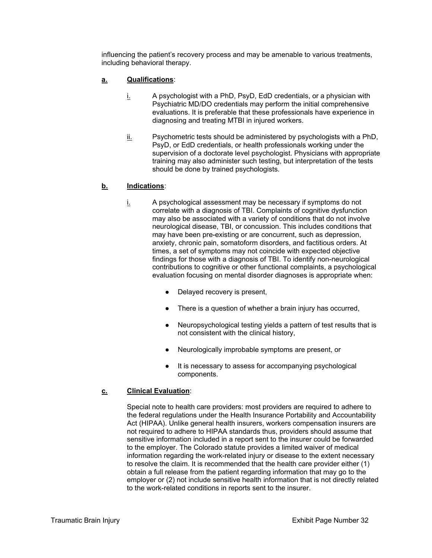influencing the patient's recovery process and may be amenable to various treatments, including behavioral therapy.

## **a. Qualifications**:

- $i.$  A psychologist with a PhD, PsyD, EdD credentials, or a physician with Psychiatric MD/DO credentials may perform the initial comprehensive evaluations. It is preferable that these professionals have experience in diagnosing and treating MTBI in injured workers.
- ii. Psychometric tests should be administered by psychologists with a PhD, PsyD, or EdD credentials, or health professionals working under the supervision of a doctorate level psychologist. Physicians with appropriate training may also administer such testing, but interpretation of the tests should be done by trained psychologists.

## **b. Indications**:

- i. A psychological assessment may be necessary if symptoms do not correlate with a diagnosis of TBI. Complaints of cognitive dysfunction may also be associated with a variety of conditions that do not involve neurological disease, TBI, or concussion. This includes conditions that may have been pre-existing or are concurrent, such as depression, anxiety, chronic pain, somatoform disorders, and factitious orders. At times, a set of symptoms may not coincide with expected objective findings for those with a diagnosis of TBI. To identify non-neurological contributions to cognitive or other functional complaints, a psychological evaluation focusing on mental disorder diagnoses is appropriate when:
	- Delayed recovery is present.
	- There is a question of whether a brain injury has occurred,
	- Neuropsychological testing yields a pattern of test results that is not consistent with the clinical history,
	- Neurologically improbable symptoms are present, or
	- It is necessary to assess for accompanying psychological components.

## **c. Clinical Evaluation**:

Special note to health care providers: most providers are required to adhere to the federal regulations under the Health Insurance Portability and Accountability Act (HIPAA). Unlike general health insurers, workers compensation insurers are not required to adhere to HIPAA standards thus, providers should assume that sensitive information included in a report sent to the insurer could be forwarded to the employer. The Colorado statute provides a limited waiver of medical information regarding the work-related injury or disease to the extent necessary to resolve the claim. It is recommended that the health care provider either (1) obtain a full release from the patient regarding information that may go to the employer or (2) not include sensitive health information that is not directly related to the work-related conditions in reports sent to the insurer.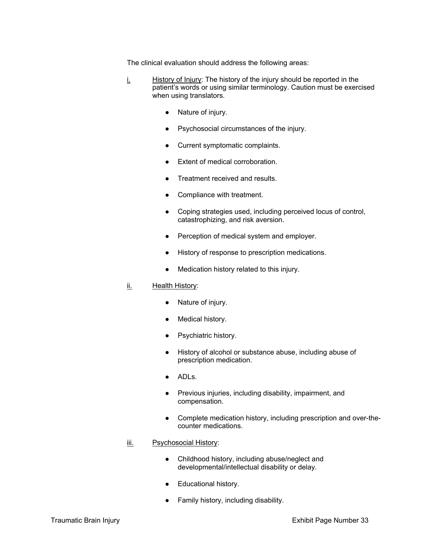The clinical evaluation should address the following areas:

- i. History of Injury: The history of the injury should be reported in the patient's words or using similar terminology. Caution must be exercised when using translators.
	- Nature of injury.
	- Psychosocial circumstances of the injury.
	- Current symptomatic complaints.
	- Extent of medical corroboration.
	- Treatment received and results.
	- Compliance with treatment.
	- Coping strategies used, including perceived locus of control, catastrophizing, and risk aversion.
	- Perception of medical system and employer.
	- History of response to prescription medications.
	- Medication history related to this injury.

#### ii. Health History:

- Nature of injury.
- Medical history.
- Psychiatric history.
- History of alcohol or substance abuse, including abuse of prescription medication.
- ADLs.
- Previous injuries, including disability, impairment, and compensation.
- Complete medication history, including prescription and over-thecounter medications.

#### iii. Psychosocial History:

- Childhood history, including abuse/neglect and developmental/intellectual disability or delay.
- Educational history.
- Family history, including disability.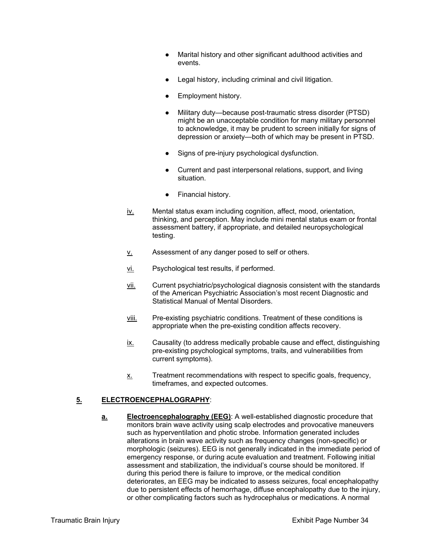- Marital history and other significant adulthood activities and events.
- Legal history, including criminal and civil litigation.
- Employment history.
- Military duty—because post-traumatic stress disorder (PTSD) might be an unacceptable condition for many military personnel to acknowledge, it may be prudent to screen initially for signs of depression or anxiety—both of which may be present in PTSD.
- Signs of pre-injury psychological dysfunction.
- Current and past interpersonal relations, support, and living situation.
- Financial history.
- iv. Mental status exam including cognition, affect, mood, orientation, thinking, and perception. May include mini mental status exam or frontal assessment battery, if appropriate, and detailed neuropsychological testing.
- $v<sub>l</sub>$  Assessment of any danger posed to self or others.
- vi. Psychological test results, if performed.
- vii. Current psychiatric/psychological diagnosis consistent with the standards of the American Psychiatric Association's most recent Diagnostic and Statistical Manual of Mental Disorders.
- viii. Pre-existing psychiatric conditions. Treatment of these conditions is appropriate when the pre-existing condition affects recovery.
- ix. Causality (to address medically probable cause and effect, distinguishing pre-existing psychological symptoms, traits, and vulnerabilities from current symptoms).
- x. Treatment recommendations with respect to specific goals, frequency, timeframes, and expected outcomes.

# **5. ELECTROENCEPHALOGRAPHY**:

**a. Electroencephalography (EEG)**: A well-established diagnostic procedure that monitors brain wave activity using scalp electrodes and provocative maneuvers such as hyperventilation and photic strobe. Information generated includes alterations in brain wave activity such as frequency changes (non-specific) or morphologic (seizures). EEG is not generally indicated in the immediate period of emergency response, or during acute evaluation and treatment. Following initial assessment and stabilization, the individual's course should be monitored. If during this period there is failure to improve, or the medical condition deteriorates, an EEG may be indicated to assess seizures, focal encephalopathy due to persistent effects of hemorrhage, diffuse encephalopathy due to the injury, or other complicating factors such as hydrocephalus or medications. A normal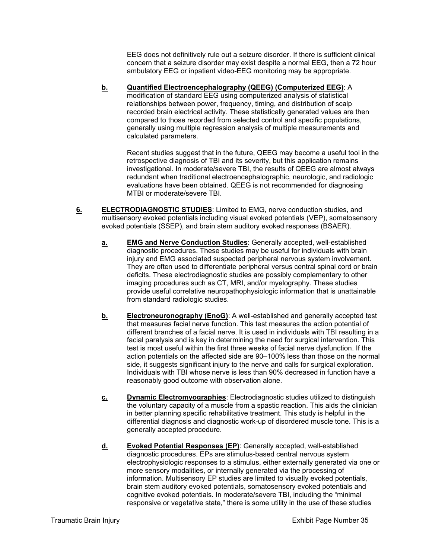EEG does not definitively rule out a seizure disorder. If there is sufficient clinical concern that a seizure disorder may exist despite a normal EEG, then a 72 hour ambulatory EEG or inpatient video-EEG monitoring may be appropriate.

**b. Quantified Electroencephalography (QEEG) (Computerized EEG)**: A modification of standard EEG using computerized analysis of statistical relationships between power, frequency, timing, and distribution of scalp recorded brain electrical activity. These statistically generated values are then compared to those recorded from selected control and specific populations, generally using multiple regression analysis of multiple measurements and calculated parameters.

Recent studies suggest that in the future, QEEG may become a useful tool in the retrospective diagnosis of TBI and its severity, but this application remains investigational. In moderate/severe TBI, the results of QEEG are almost always redundant when traditional electroencephalographic, neurologic, and radiologic evaluations have been obtained. QEEG is not recommended for diagnosing MTBI or moderate/severe TBI.

- **6. ELECTRODIAGNOSTIC STUDIES**: Limited to EMG, nerve conduction studies, and multisensory evoked potentials including visual evoked potentials (VEP), somatosensory evoked potentials (SSEP), and brain stem auditory evoked responses (BSAER).
	- **a. EMG and Nerve Conduction Studies**: Generally accepted, well-established diagnostic procedures. These studies may be useful for individuals with brain injury and EMG associated suspected peripheral nervous system involvement. They are often used to differentiate peripheral versus central spinal cord or brain deficits. These electrodiagnostic studies are possibly complementary to other imaging procedures such as CT, MRI, and/or myelography. These studies provide useful correlative neuropathophysiologic information that is unattainable from standard radiologic studies.
	- **b. Electroneuronography (EnoG)**: A well-established and generally accepted test that measures facial nerve function. This test measures the action potential of different branches of a facial nerve. It is used in individuals with TBI resulting in a facial paralysis and is key in determining the need for surgical intervention. This test is most useful within the first three weeks of facial nerve dysfunction. If the action potentials on the affected side are 90–100% less than those on the normal side, it suggests significant injury to the nerve and calls for surgical exploration. Individuals with TBI whose nerve is less than 90% decreased in function have a reasonably good outcome with observation alone.
	- **c. Dynamic Electromyographies**: Electrodiagnostic studies utilized to distinguish the voluntary capacity of a muscle from a spastic reaction. This aids the clinician in better planning specific rehabilitative treatment. This study is helpful in the differential diagnosis and diagnostic work-up of disordered muscle tone. This is a generally accepted procedure.
	- **d. Evoked Potential Responses (EP)**: Generally accepted, well-established diagnostic procedures. EPs are stimulus-based central nervous system electrophysiologic responses to a stimulus, either externally generated via one or more sensory modalities, or internally generated via the processing of information. Multisensory EP studies are limited to visually evoked potentials, brain stem auditory evoked potentials, somatosensory evoked potentials and cognitive evoked potentials. In moderate/severe TBI, including the "minimal responsive or vegetative state," there is some utility in the use of these studies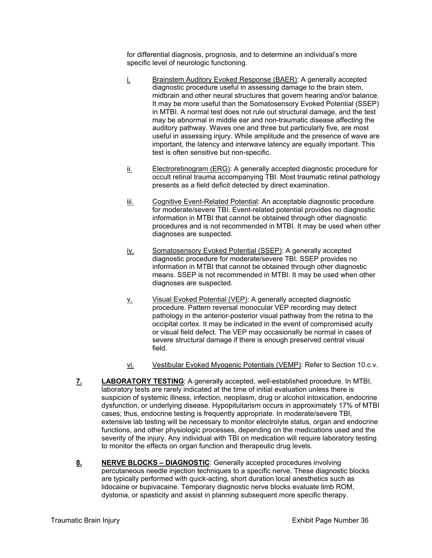for differential diagnosis, prognosis, and to determine an individual's more specific level of neurologic functioning.

- i. Brainstem Auditory Evoked Response (BAER): A generally accepted diagnostic procedure useful in assessing damage to the brain stem, midbrain and other neural structures that govern hearing and/or balance. It may be more useful than the Somatosensory Evoked Potential (SSEP) in MTBI. A normal test does not rule out structural damage, and the test may be abnormal in middle ear and non-traumatic disease affecting the auditory pathway. Waves one and three but particularly five, are most useful in assessing injury. While amplitude and the presence of wave are important, the latency and interwave latency are equally important. This test is often sensitive but non-specific.
- $i$  Electroretinogram (ERG): A generally accepted diagnostic procedure for occult retinal trauma accompanying TBI. Most traumatic retinal pathology presents as a field deficit detected by direct examination.
- iii. Cognitive Event-Related Potential: An acceptable diagnostic procedure for moderate/severe TBI. Event-related potential provides no diagnostic information in MTBI that cannot be obtained through other diagnostic procedures and is not recommended in MTBI. It may be used when other diagnoses are suspected.
- iv. Somatosensory Evoked Potential (SSEP): A generally accepted diagnostic procedure for moderate/severe TBI. SSEP provides no information in MTBI that cannot be obtained through other diagnostic means. SSEP is not recommended in MTBI. It may be used when other diagnoses are suspected.
- v. Visual Evoked Potential (VEP): A generally accepted diagnostic procedure. Pattern reversal monocular VEP recording may detect pathology in the anterior-posterior visual pathway from the retina to the occipital cortex. It may be indicated in the event of compromised acuity or visual field defect. The VEP may occasionally be normal in cases of severe structural damage if there is enough preserved central visual field.
- vi. Vestibular Evoked Myogenic Potentials (VEMP): Refer to Section 10.c.v.
- **7. LABORATORY TESTING**: A generally accepted, well-established procedure. In MTBI, laboratory tests are rarely indicated at the time of initial evaluation unless there is suspicion of systemic illness, infection, neoplasm, drug or alcohol intoxication, endocrine dysfunction, or underlying disease. Hypopituitarism occurs in approximately 17% of MTBI cases; thus, endocrine testing is frequently appropriate. In moderate/severe TBI, extensive lab testing will be necessary to monitor electrolyte status, organ and endocrine functions, and other physiologic processes, depending on the medications used and the severity of the injury. Any individual with TBI on medication will require laboratory testing to monitor the effects on organ function and therapeutic drug levels.
- **8. NERVE BLOCKS DIAGNOSTIC**: Generally accepted procedures involving percutaneous needle injection techniques to a specific nerve. These diagnostic blocks are typically performed with quick-acting, short duration local anesthetics such as lidocaine or bupivacaine. Temporary diagnostic nerve blocks evaluate limb ROM, dystonia, or spasticity and assist in planning subsequent more specific therapy.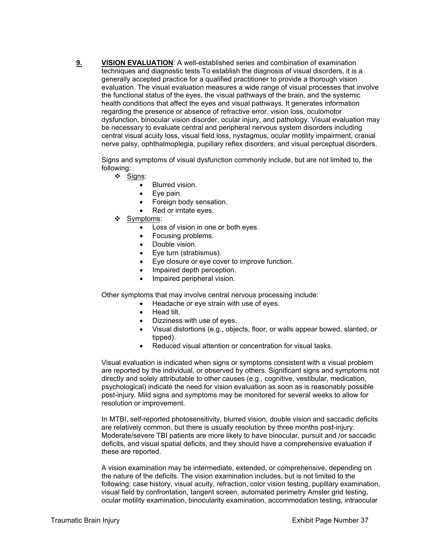**9. VISION EVALUATION**: A well-established series and combination of examination techniques and diagnostic tests To establish the diagnosis of visual disorders, it is a generally accepted practice for a qualified practitioner to provide a thorough vision evaluation. The visual evaluation measures a wide range of visual processes that involve the functional status of the eyes, the visual pathways of the brain, and the systemic health conditions that affect the eyes and visual pathways. It generates information regarding the presence or absence of refractive error, vision loss, oculomotor dysfunction, binocular vision disorder, ocular injury, and pathology. Visual evaluation may be necessary to evaluate central and peripheral nervous system disorders including central visual acuity loss, visual field loss, nystagmus, ocular motility impairment, cranial nerve palsy, ophthalmoplegia, pupillary reflex disorders, and visual perceptual disorders.

Signs and symptoms of visual dysfunction commonly include, but are not limited to, the following:

- Signs:
	- **•** Blurred vision
	- Eye pain.
	- Foreign body sensation.
	- Red or irritate eyes.
- ❖ Symptoms:
	- Loss of vision in one or both eyes.
	- Focusing problems.
	- Double vision.
	- Eve turn (strabismus).
	- Eye closure or eye cover to improve function.
	- Impaired depth perception.
	- Impaired peripheral vision.

Other symptoms that may involve central nervous processing include:

- Headache or eye strain with use of eyes.
- Head tilt.
- Dizziness with use of eyes.
- Visual distortions (e.g., objects, floor, or walls appear bowed, slanted, or tipped).
- Reduced visual attention or concentration for visual tasks.

Visual evaluation is indicated when signs or symptoms consistent with a visual problem are reported by the individual, or observed by others. Significant signs and symptoms not directly and solely attributable to other causes (e.g., cognitive, vestibular, medication, psychological) indicate the need for vision evaluation as soon as is reasonably possible post-injury. Mild signs and symptoms may be monitored for several weeks to allow for resolution or improvement.

In MTBI, self-reported photosensitivity, blurred vision, double vision and saccadic deficits are relatively common, but there is usually resolution by three months post-injury. Moderate/severe TBI patients are more likely to have binocular, pursuit and /or saccadic deficits, and visual spatial deficits, and they should have a comprehensive evaluation if these are reported.

A vision examination may be intermediate, extended, or comprehensive, depending on the nature of the deficits. The vision examination includes, but is not limited to the following: case history, visual acuity, refraction, color vision testing, pupillary examination, visual field by confrontation, tangent screen, automated perimetry Amsler grid testing, ocular motility examination, binocularity examination, accommodation testing, intraocular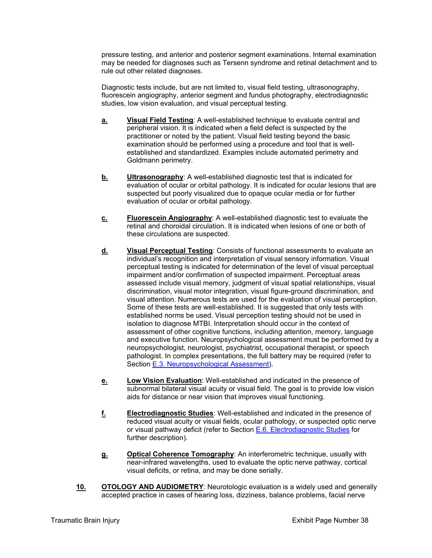pressure testing, and anterior and posterior segment examinations. Internal examination may be needed for diagnoses such as Tersenn syndrome and retinal detachment and to rule out other related diagnoses.

Diagnostic tests include, but are not limited to, visual field testing, ultrasonography, fluorescein angiography, anterior segment and fundus photography, electrodiagnostic studies, low vision evaluation, and visual perceptual testing.

- **a. Visual Field Testing**: A well-established technique to evaluate central and peripheral vision. It is indicated when a field defect is suspected by the practitioner or noted by the patient. Visual field testing beyond the basic examination should be performed using a procedure and tool that is wellestablished and standardized. Examples include automated perimetry and Goldmann perimetry.
- **b.** Ultrasonography: A well-established diagnostic test that is indicated for evaluation of ocular or orbital pathology. It is indicated for ocular lesions that are suspected but poorly visualized due to opaque ocular media or for further evaluation of ocular or orbital pathology.
- **c. Fluorescein Angiography**: A well-established diagnostic test to evaluate the retinal and choroidal circulation. It is indicated when lesions of one or both of these circulations are suspected.
- **d. Visual Perceptual Testing**: Consists of functional assessments to evaluate an individual's recognition and interpretation of visual sensory information. Visual perceptual testing is indicated for determination of the level of visual perceptual impairment and/or confirmation of suspected impairment. Perceptual areas assessed include visual memory, judgment of visual spatial relationships, visual discrimination, visual motor integration, visual figure-ground discrimination, and visual attention. Numerous tests are used for the evaluation of visual perception. Some of these tests are well-established. It is suggested that only tests with established norms be used. Visual perception testing should not be used in isolation to diagnose MTBI. Interpretation should occur in the context of assessment of other cognitive functions, including attention, memory, language and executive function. Neuropsychological assessment must be performed by a neuropsychologist, neurologist, psychiatrist, occupational therapist, or speech pathologist. In complex presentations, the full battery may be required (refer to Section E.3. Neuropsychological Assessment).
- **e. Low Vision Evaluation**: Well-established and indicated in the presence of subnormal bilateral visual acuity or visual field. The goal is to provide low vision aids for distance or near vision that improves visual functioning.
- **f. Electrodiagnostic Studies**: Well-established and indicated in the presence of reduced visual acuity or visual fields, ocular pathology, or suspected optic nerve or visual pathway deficit (refer to Section E.6. Electrodiagnostic Studies for further description).
- **g. Optical Coherence Tomography**: An interferometric technique, usually with near-infrared wavelengths, used to evaluate the optic nerve pathway, cortical visual deficits, or retina, and may be done serially.
- **10. OTOLOGY AND AUDIOMETRY**: Neurotologic evaluation is a widely used and generally accepted practice in cases of hearing loss, dizziness, balance problems, facial nerve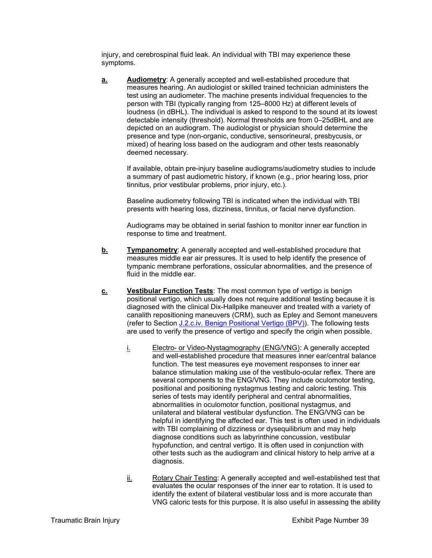injury, and cerebrospinal fluid leak. An individual with TBI may experience these symptoms.

**a. Audiometry**: A generally accepted and well-established procedure that measures hearing. An audiologist or skilled trained technician administers the test using an audiometer. The machine presents individual frequencies to the person with TBI (typically ranging from 125–8000 Hz) at different levels of loudness (in dBHL). The individual is asked to respond to the sound at its lowest detectable intensity (threshold). Normal thresholds are from 0–25dBHL and are depicted on an audiogram. The audiologist or physician should determine the presence and type (non-organic, conductive, sensorineural, presbycusis, or mixed) of hearing loss based on the audiogram and other tests reasonably deemed necessary.

If available, obtain pre-injury baseline audiograms/audiometry studies to include a summary of past audiometric history, if known (e.g., prior hearing loss, prior tinnitus, prior vestibular problems, prior injury, etc.).

Baseline audiometry following TBI is indicated when the individual with TBI presents with hearing loss, dizziness, tinnitus, or facial nerve dysfunction.

Audiograms may be obtained in serial fashion to monitor inner ear function in response to time and treatment.

- **b.** Tympanometry: A generally accepted and well-established procedure that measures middle ear air pressures. It is used to help identify the presence of tympanic membrane perforations, ossicular abnormalities, and the presence of fluid in the middle ear.
- **c. Vestibular Function Tests**: The most common type of vertigo is benign positional vertigo, which usually does not require additional testing because it is diagnosed with the clinical Dix-Hallpike maneuver and treated with a variety of canalith repositioning maneuvers (CRM), such as Epley and Semont maneuvers (refer to Section J.2.c.iv. Benign Positional Vertigo (BPV)). The following tests are used to verify the presence of vertigo and specify the origin when possible.
	- i. Electro- or Video-Nystagmography (ENG/VNG): A generally accepted and well-established procedure that measures inner ear/central balance function. The test measures eye movement responses to inner ear balance stimulation making use of the vestibulo-ocular reflex. There are several components to the ENG/VNG. They include oculomotor testing, positional and positioning nystagmus testing and caloric testing. This series of tests may identify peripheral and central abnormalities, abnormalities in oculomotor function, positional nystagmus, and unilateral and bilateral vestibular dysfunction. The ENG/VNG can be helpful in identifying the affected ear. This test is often used in individuals with TBI complaining of dizziness or dysequilibrium and may help diagnose conditions such as labyrinthine concussion, vestibular hypofunction, and central vertigo. It is often used in conjunction with other tests such as the audiogram and clinical history to help arrive at a diagnosis.
	- ii. Rotary Chair Testing: A generally accepted and well-established test that evaluates the ocular responses of the inner ear to rotation. It is used to identify the extent of bilateral vestibular loss and is more accurate than VNG caloric tests for this purpose. It is also useful in assessing the ability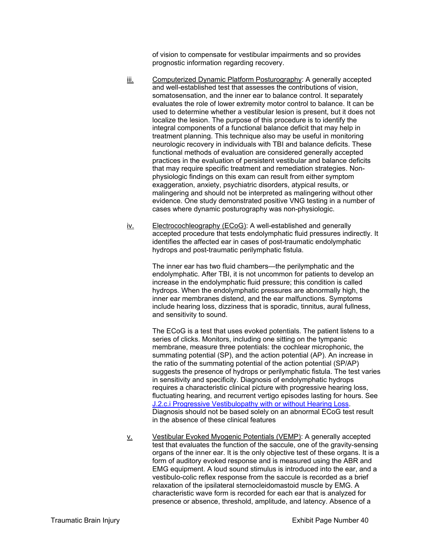of vision to compensate for vestibular impairments and so provides prognostic information regarding recovery.

- iii. Computerized Dynamic Platform Posturography: A generally accepted and well-established test that assesses the contributions of vision, somatosensation, and the inner ear to balance control. It separately evaluates the role of lower extremity motor control to balance. It can be used to determine whether a vestibular lesion is present, but it does not localize the lesion. The purpose of this procedure is to identify the integral components of a functional balance deficit that may help in treatment planning. This technique also may be useful in monitoring neurologic recovery in individuals with TBI and balance deficits. These functional methods of evaluation are considered generally accepted practices in the evaluation of persistent vestibular and balance deficits that may require specific treatment and remediation strategies. Nonphysiologic findings on this exam can result from either symptom exaggeration, anxiety, psychiatric disorders, atypical results, or malingering and should not be interpreted as malingering without other evidence. One study demonstrated positive VNG testing in a number of cases where dynamic posturography was non-physiologic.
- iv. Electrocochleography (ECoG): A well-established and generally accepted procedure that tests endolymphatic fluid pressures indirectly. It identifies the affected ear in cases of post-traumatic endolymphatic hydrops and post-traumatic perilymphatic fistula.

The inner ear has two fluid chambers—the perilymphatic and the endolymphatic. After TBI, it is not uncommon for patients to develop an increase in the endolymphatic fluid pressure; this condition is called hydrops. When the endolymphatic pressures are abnormally high, the inner ear membranes distend, and the ear malfunctions. Symptoms include hearing loss, dizziness that is sporadic, tinnitus, aural fullness, and sensitivity to sound.

The ECoG is a test that uses evoked potentials. The patient listens to a series of clicks. Monitors, including one sitting on the tympanic membrane, measure three potentials: the cochlear microphonic, the summating potential (SP), and the action potential (AP). An increase in the ratio of the summating potential of the action potential (SP/AP) suggests the presence of hydrops or perilymphatic fistula. The test varies in sensitivity and specificity. Diagnosis of endolymphatic hydrops requires a characteristic clinical picture with progressive hearing loss, fluctuating hearing, and recurrent vertigo episodes lasting for hours. See J.2.c.i Progressive Vestibulopathy with or without Hearing Loss. Diagnosis should not be based solely on an abnormal ECoG test result in the absence of these clinical features

v. Vestibular Evoked Myogenic Potentials (VEMP): A generally accepted test that evaluates the function of the saccule, one of the gravity-sensing organs of the inner ear. It is the only objective test of these organs. It is a form of auditory evoked response and is measured using the ABR and EMG equipment. A loud sound stimulus is introduced into the ear, and a vestibulo-colic reflex response from the saccule is recorded as a brief relaxation of the ipsilateral sternocleidomastoid muscle by EMG. A characteristic wave form is recorded for each ear that is analyzed for presence or absence, threshold, amplitude, and latency. Absence of a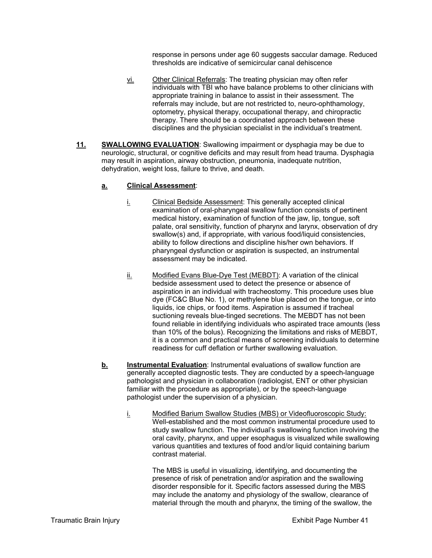response in persons under age 60 suggests saccular damage. Reduced thresholds are indicative of semicircular canal dehiscence

- vi. Other Clinical Referrals: The treating physician may often refer individuals with TBI who have balance problems to other clinicians with appropriate training in balance to assist in their assessment. The referrals may include, but are not restricted to, neuro-ophthamology, optometry, physical therapy, occupational therapy, and chiropractic therapy. There should be a coordinated approach between these disciplines and the physician specialist in the individual's treatment.
- **11. SWALLOWING EVALUATION**: Swallowing impairment or dysphagia may be due to neurologic, structural, or cognitive deficits and may result from head trauma. Dysphagia may result in aspiration, airway obstruction, pneumonia, inadequate nutrition, dehydration, weight loss, failure to thrive, and death.

## **a. Clinical Assessment**:

- i. Clinical Bedside Assessment: This generally accepted clinical examination of oral-pharyngeal swallow function consists of pertinent medical history, examination of function of the jaw, lip, tongue, soft palate, oral sensitivity, function of pharynx and larynx, observation of dry swallow(s) and, if appropriate, with various food/liquid consistencies. ability to follow directions and discipline his/her own behaviors. If pharyngeal dysfunction or aspiration is suspected, an instrumental assessment may be indicated.
- ii. Modified Evans Blue-Dye Test (MEBDT): A variation of the clinical bedside assessment used to detect the presence or absence of aspiration in an individual with tracheostomy. This procedure uses blue dye (FC&C Blue No. 1), or methylene blue placed on the tongue, or into liquids, ice chips, or food items. Aspiration is assumed if tracheal suctioning reveals blue-tinged secretions. The MEBDT has not been found reliable in identifying individuals who aspirated trace amounts (less than 10% of the bolus). Recognizing the limitations and risks of MEBDT, it is a common and practical means of screening individuals to determine readiness for cuff deflation or further swallowing evaluation.
- **b. Instrumental Evaluation**: Instrumental evaluations of swallow function are generally accepted diagnostic tests. They are conducted by a speech-language pathologist and physician in collaboration (radiologist, ENT or other physician familiar with the procedure as appropriate), or by the speech-language pathologist under the supervision of a physician.
	- i. Modified Barium Swallow Studies (MBS) or Videofluoroscopic Study: Well-established and the most common instrumental procedure used to study swallow function. The individual's swallowing function involving the oral cavity, pharynx, and upper esophagus is visualized while swallowing various quantities and textures of food and/or liquid containing barium contrast material.

The MBS is useful in visualizing, identifying, and documenting the presence of risk of penetration and/or aspiration and the swallowing disorder responsible for it. Specific factors assessed during the MBS may include the anatomy and physiology of the swallow, clearance of material through the mouth and pharynx, the timing of the swallow, the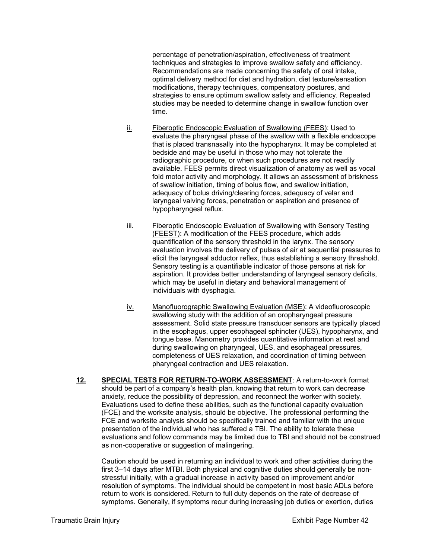percentage of penetration/aspiration, effectiveness of treatment techniques and strategies to improve swallow safety and efficiency. Recommendations are made concerning the safety of oral intake, optimal delivery method for diet and hydration, diet texture/sensation modifications, therapy techniques, compensatory postures, and strategies to ensure optimum swallow safety and efficiency. Repeated studies may be needed to determine change in swallow function over time.

- ii. Fiberoptic Endoscopic Evaluation of Swallowing (FEES): Used to evaluate the pharyngeal phase of the swallow with a flexible endoscope that is placed transnasally into the hypopharynx. It may be completed at bedside and may be useful in those who may not tolerate the radiographic procedure, or when such procedures are not readily available. FEES permits direct visualization of anatomy as well as vocal fold motor activity and morphology. It allows an assessment of briskness of swallow initiation, timing of bolus flow, and swallow initiation, adequacy of bolus driving/clearing forces, adequacy of velar and laryngeal valving forces, penetration or aspiration and presence of hypopharyngeal reflux.
- iii. Fiberoptic Endoscopic Evaluation of Swallowing with Sensory Testing (FEEST): A modification of the FEES procedure, which adds quantification of the sensory threshold in the larynx. The sensory evaluation involves the delivery of pulses of air at sequential pressures to elicit the laryngeal adductor reflex, thus establishing a sensory threshold. Sensory testing is a quantifiable indicator of those persons at risk for aspiration. It provides better understanding of laryngeal sensory deficits, which may be useful in dietary and behavioral management of individuals with dysphagia.
- iv. Manofluorographic Swallowing Evaluation (MSE): A videofluoroscopic swallowing study with the addition of an oropharyngeal pressure assessment. Solid state pressure transducer sensors are typically placed in the esophagus, upper esophageal sphincter (UES), hypopharynx, and tongue base. Manometry provides quantitative information at rest and during swallowing on pharyngeal, UES, and esophageal pressures, completeness of UES relaxation, and coordination of timing between pharyngeal contraction and UES relaxation.
- **12. SPECIAL TESTS FOR RETURN-TO-WORK ASSESSMENT**: A return-to-work format should be part of a company's health plan, knowing that return to work can decrease anxiety, reduce the possibility of depression, and reconnect the worker with society. Evaluations used to define these abilities, such as the functional capacity evaluation (FCE) and the worksite analysis, should be objective. The professional performing the FCE and worksite analysis should be specifically trained and familiar with the unique presentation of the individual who has suffered a TBI. The ability to tolerate these evaluations and follow commands may be limited due to TBI and should not be construed as non-cooperative or suggestion of malingering.

Caution should be used in returning an individual to work and other activities during the first 3–14 days after MTBI. Both physical and cognitive duties should generally be nonstressful initially, with a gradual increase in activity based on improvement and/or resolution of symptoms. The individual should be competent in most basic ADLs before return to work is considered. Return to full duty depends on the rate of decrease of symptoms. Generally, if symptoms recur during increasing job duties or exertion, duties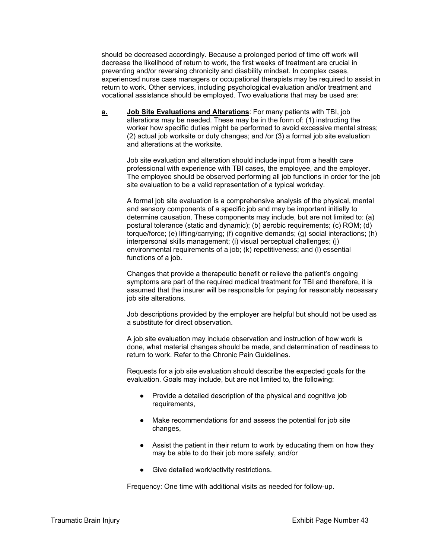should be decreased accordingly. Because a prolonged period of time off work will decrease the likelihood of return to work, the first weeks of treatment are crucial in preventing and/or reversing chronicity and disability mindset. In complex cases, experienced nurse case managers or occupational therapists may be required to assist in return to work. Other services, including psychological evaluation and/or treatment and vocational assistance should be employed. Two evaluations that may be used are:

**a. Job Site Evaluations and Alterations**: For many patients with TBI, job alterations may be needed. These may be in the form of: (1) instructing the worker how specific duties might be performed to avoid excessive mental stress; (2) actual job worksite or duty changes; and /or (3) a formal job site evaluation and alterations at the worksite.

Job site evaluation and alteration should include input from a health care professional with experience with TBI cases, the employee, and the employer. The employee should be observed performing all job functions in order for the job site evaluation to be a valid representation of a typical workday.

A formal job site evaluation is a comprehensive analysis of the physical, mental and sensory components of a specific job and may be important initially to determine causation. These components may include, but are not limited to: (a) postural tolerance (static and dynamic); (b) aerobic requirements; (c) ROM; (d) torque/force; (e) lifting/carrying; (f) cognitive demands; (g) social interactions; (h) interpersonal skills management; (i) visual perceptual challenges; (j) environmental requirements of a job; (k) repetitiveness; and (l) essential functions of a job.

Changes that provide a therapeutic benefit or relieve the patient's ongoing symptoms are part of the required medical treatment for TBI and therefore, it is assumed that the insurer will be responsible for paying for reasonably necessary job site alterations.

Job descriptions provided by the employer are helpful but should not be used as a substitute for direct observation.

A job site evaluation may include observation and instruction of how work is done, what material changes should be made, and determination of readiness to return to work. Refer to the Chronic Pain Guidelines.

Requests for a job site evaluation should describe the expected goals for the evaluation. Goals may include, but are not limited to, the following:

- Provide a detailed description of the physical and cognitive job requirements,
- Make recommendations for and assess the potential for job site changes,
- Assist the patient in their return to work by educating them on how they may be able to do their job more safely, and/or
- Give detailed work/activity restrictions.

Frequency: One time with additional visits as needed for follow-up.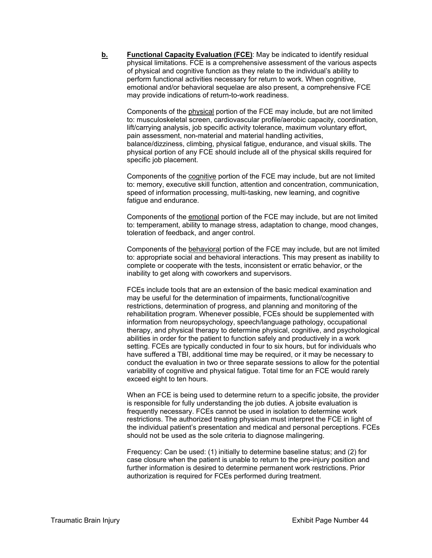**b.** Functional Capacity Evaluation (FCE): May be indicated to identify residual physical limitations. FCE is a comprehensive assessment of the various aspects of physical and cognitive function as they relate to the individual's ability to perform functional activities necessary for return to work. When cognitive, emotional and/or behavioral sequelae are also present, a comprehensive FCE may provide indications of return-to-work readiness.

Components of the physical portion of the FCE may include, but are not limited to: musculoskeletal screen, cardiovascular profile/aerobic capacity, coordination, lift/carrying analysis, job specific activity tolerance, maximum voluntary effort, pain assessment, non-material and material handling activities, balance/dizziness, climbing, physical fatigue, endurance, and visual skills. The physical portion of any FCE should include all of the physical skills required for specific job placement.

Components of the cognitive portion of the FCE may include, but are not limited to: memory, executive skill function, attention and concentration, communication, speed of information processing, multi-tasking, new learning, and cognitive fatigue and endurance.

Components of the emotional portion of the FCE may include, but are not limited to: temperament, ability to manage stress, adaptation to change, mood changes, toleration of feedback, and anger control.

Components of the behavioral portion of the FCE may include, but are not limited to: appropriate social and behavioral interactions. This may present as inability to complete or cooperate with the tests, inconsistent or erratic behavior, or the inability to get along with coworkers and supervisors.

FCEs include tools that are an extension of the basic medical examination and may be useful for the determination of impairments, functional/cognitive restrictions, determination of progress, and planning and monitoring of the rehabilitation program. Whenever possible, FCEs should be supplemented with information from neuropsychology, speech/language pathology, occupational therapy, and physical therapy to determine physical, cognitive, and psychological abilities in order for the patient to function safely and productively in a work setting. FCEs are typically conducted in four to six hours, but for individuals who have suffered a TBI, additional time may be required, or it may be necessary to conduct the evaluation in two or three separate sessions to allow for the potential variability of cognitive and physical fatigue. Total time for an FCE would rarely exceed eight to ten hours.

When an FCE is being used to determine return to a specific jobsite, the provider is responsible for fully understanding the job duties. A jobsite evaluation is frequently necessary. FCEs cannot be used in isolation to determine work restrictions. The authorized treating physician must interpret the FCE in light of the individual patient's presentation and medical and personal perceptions. FCEs should not be used as the sole criteria to diagnose malingering.

Frequency: Can be used: (1) initially to determine baseline status; and (2) for case closure when the patient is unable to return to the pre-injury position and further information is desired to determine permanent work restrictions. Prior authorization is required for FCEs performed during treatment.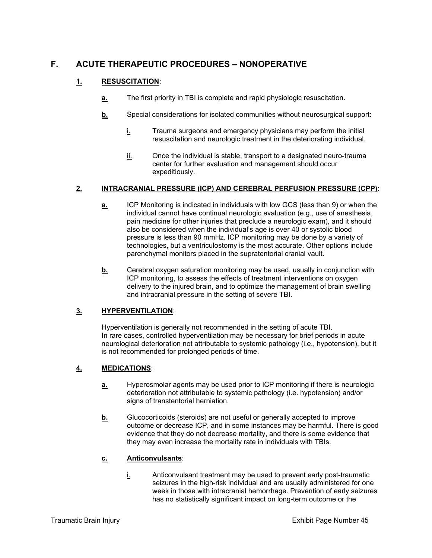# **F. ACUTE THERAPEUTIC PROCEDURES – NONOPERATIVE**

# **1. RESUSCITATION**:

- **a.** The first priority in TBI is complete and rapid physiologic resuscitation.
- **b.** Special considerations for isolated communities without neurosurgical support:
	- $i$  Trauma surgeons and emergency physicians may perform the initial resuscitation and neurologic treatment in the deteriorating individual.
	- ii. Once the individual is stable, transport to a designated neuro-trauma center for further evaluation and management should occur expeditiously.

## **2. INTRACRANIAL PRESSURE (ICP) AND CEREBRAL PERFUSION PRESSURE (CPP)**:

- **a.** ICP Monitoring is indicated in individuals with low GCS (less than 9) or when the individual cannot have continual neurologic evaluation (e.g., use of anesthesia, pain medicine for other injuries that preclude a neurologic exam), and it should also be considered when the individual's age is over 40 or systolic blood pressure is less than 90 mmHz. ICP monitoring may be done by a variety of technologies, but a ventriculostomy is the most accurate. Other options include parenchymal monitors placed in the supratentorial cranial vault.
- **b.** Cerebral oxygen saturation monitoring may be used, usually in conjunction with ICP monitoring, to assess the effects of treatment interventions on oxygen delivery to the injured brain, and to optimize the management of brain swelling and intracranial pressure in the setting of severe TBI.

# **3. HYPERVENTILATION**:

Hyperventilation is generally not recommended in the setting of acute TBI. In rare cases, controlled hyperventilation may be necessary for brief periods in acute neurological deterioration not attributable to systemic pathology (i.e., hypotension), but it is not recommended for prolonged periods of time.

# **4. MEDICATIONS**:

- **a.** Hyperosmolar agents may be used prior to ICP monitoring if there is neurologic deterioration not attributable to systemic pathology (i.e. hypotension) and/or signs of transtentorial herniation.
- **b.** Glucocorticoids (steroids) are not useful or generally accepted to improve outcome or decrease ICP, and in some instances may be harmful. There is good evidence that they do not decrease mortality, and there is some evidence that they may even increase the mortality rate in individuals with TBIs.

## **c. Anticonvulsants**:

i. Anticonvulsant treatment may be used to prevent early post-traumatic seizures in the high-risk individual and are usually administered for one week in those with intracranial hemorrhage. Prevention of early seizures has no statistically significant impact on long-term outcome or the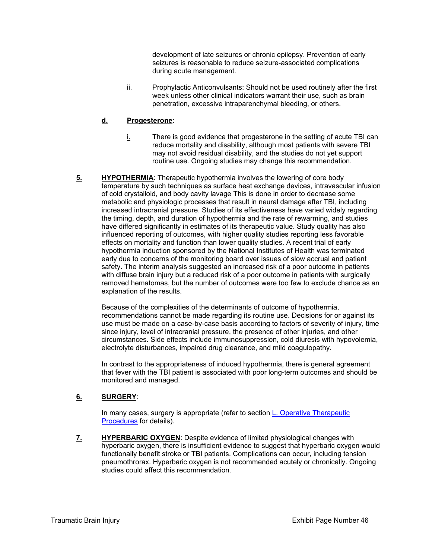development of late seizures or chronic epilepsy. Prevention of early seizures is reasonable to reduce seizure-associated complications during acute management.

 $i$  Prophylactic Anticonvulsants: Should not be used routinely after the first week unless other clinical indicators warrant their use, such as brain penetration, excessive intraparenchymal bleeding, or others.

## **d. Progesterone**:

- i. There is good evidence that progesterone in the setting of acute TBI can reduce mortality and disability, although most patients with severe TBI may not avoid residual disability, and the studies do not yet support routine use. Ongoing studies may change this recommendation.
- **5. HYPOTHERMIA:** Therapeutic hypothermia involves the lowering of core body temperature by such techniques as surface heat exchange devices, intravascular infusion of cold crystalloid, and body cavity lavage This is done in order to decrease some metabolic and physiologic processes that result in neural damage after TBI, including increased intracranial pressure. Studies of its effectiveness have varied widely regarding the timing, depth, and duration of hypothermia and the rate of rewarming, and studies have differed significantly in estimates of its therapeutic value. Study quality has also influenced reporting of outcomes, with higher quality studies reporting less favorable effects on mortality and function than lower quality studies. A recent trial of early hypothermia induction sponsored by the National Institutes of Health was terminated early due to concerns of the monitoring board over issues of slow accrual and patient safety. The interim analysis suggested an increased risk of a poor outcome in patients with diffuse brain injury but a reduced risk of a poor outcome in patients with surgically removed hematomas, but the number of outcomes were too few to exclude chance as an explanation of the results.

Because of the complexities of the determinants of outcome of hypothermia, recommendations cannot be made regarding its routine use. Decisions for or against its use must be made on a case-by-case basis according to factors of severity of injury, time since injury, level of intracranial pressure, the presence of other injuries, and other circumstances. Side effects include immunosuppression, cold diuresis with hypovolemia, electrolyte disturbances, impaired drug clearance, and mild coagulopathy.

In contrast to the appropriateness of induced hypothermia, there is general agreement that fever with the TBI patient is associated with poor long-term outcomes and should be monitored and managed.

# **6. SURGERY**:

In many cases, surgery is appropriate (refer to section L. Operative Therapeutic Procedures for details).

**7. HYPERBARIC OXYGEN**: Despite evidence of limited physiological changes with hyperbaric oxygen, there is insufficient evidence to suggest that hyperbaric oxygen would functionally benefit stroke or TBI patients. Complications can occur, including tension pneumothrorax. Hyperbaric oxygen is not recommended acutely or chronically. Ongoing studies could affect this recommendation.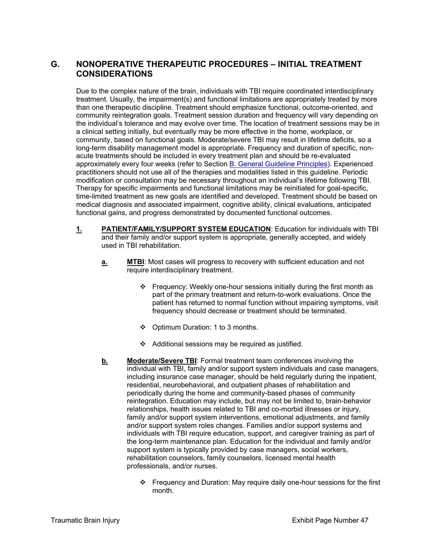# **G. NONOPERATIVE THERAPEUTIC PROCEDURES – INITIAL TREATMENT CONSIDERATIONS**

Due to the complex nature of the brain, individuals with TBI require coordinated interdisciplinary treatment. Usually, the impairment(s) and functional limitations are appropriately treated by more than one therapeutic discipline. Treatment should emphasize functional, outcome-oriented, and community reintegration goals. Treatment session duration and frequency will vary depending on the individual's tolerance and may evolve over time. The location of treatment sessions may be in a clinical setting initially, but eventually may be more effective in the home, workplace, or community, based on functional goals. Moderate/severe TBI may result in lifetime deficits, so a long-term disability management model is appropriate. Frequency and duration of specific, nonacute treatments should be included in every treatment plan and should be re-evaluated approximately every four weeks (refer to Section B. General Guideline Principles). Experienced practitioners should not use all of the therapies and modalities listed in this guideline. Periodic modification or consultation may be necessary throughout an individual's lifetime following TBI. Therapy for specific impairments and functional limitations may be reinitiated for goal-specific, time-limited treatment as new goals are identified and developed. Treatment should be based on medical diagnosis and associated impairment, cognitive ability, clinical evaluations, anticipated functional gains, and progress demonstrated by documented functional outcomes.

- **1. PATIENT/FAMILY/SUPPORT SYSTEM EDUCATION**: Education for individuals with TBI and their family and/or support system is appropriate, generally accepted, and widely used in TBI rehabilitation.
	- **a.** MITBI: Most cases will progress to recovery with sufficient education and not require interdisciplinary treatment.
		- Frequency: Weekly one-hour sessions initially during the first month as part of the primary treatment and return-to-work evaluations. Once the patient has returned to normal function without impairing symptoms, visit frequency should decrease or treatment should be terminated.
		- ❖ Optimum Duration: 1 to 3 months.
		- $\div$  Additional sessions may be required as justified.
	- **b.** Moderate/Severe TBI: Formal treatment team conferences involving the individual with TBI, family and/or support system individuals and case managers, including insurance case manager, should be held regularly during the inpatient, residential, neurobehavioral, and outpatient phases of rehabilitation and periodically during the home and community-based phases of community reintegration. Education may include, but may not be limited to, brain-behavior relationships, health issues related to TBI and co-morbid illnesses or injury, family and/or support system interventions, emotional adjustments, and family and/or support system roles changes. Families and/or support systems and individuals with TBI require education, support, and caregiver training as part of the long-term maintenance plan. Education for the individual and family and/or support system is typically provided by case managers, social workers, rehabilitation counselors, family counselors, licensed mental health professionals, and/or nurses.
		- Frequency and Duration: May require daily one-hour sessions for the first month.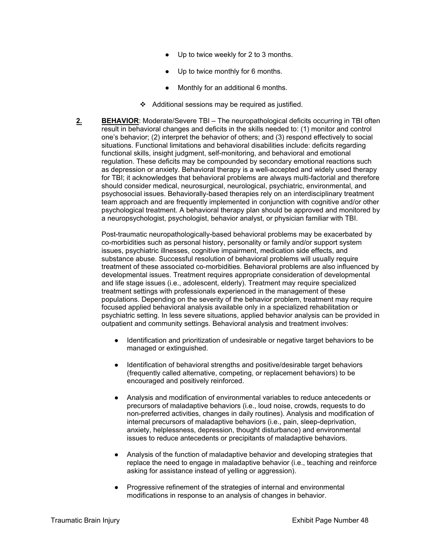- Up to twice weekly for 2 to 3 months.
- Up to twice monthly for 6 months.
- Monthly for an additional 6 months.
- $\triangleleft$  Additional sessions may be required as justified.
- **2. BEHAVIOR**: Moderate/Severe TBI The neuropathological deficits occurring in TBI often result in behavioral changes and deficits in the skills needed to: (1) monitor and control one's behavior; (2) interpret the behavior of others; and (3) respond effectively to social situations. Functional limitations and behavioral disabilities include: deficits regarding functional skills, insight judgment, self-monitoring, and behavioral and emotional regulation. These deficits may be compounded by secondary emotional reactions such as depression or anxiety. Behavioral therapy is a well-accepted and widely used therapy for TBI; it acknowledges that behavioral problems are always multi-factorial and therefore should consider medical, neurosurgical, neurological, psychiatric, environmental, and psychosocial issues. Behaviorally-based therapies rely on an interdisciplinary treatment team approach and are frequently implemented in conjunction with cognitive and/or other psychological treatment. A behavioral therapy plan should be approved and monitored by a neuropsychologist, psychologist, behavior analyst, or physician familiar with TBI.

Post-traumatic neuropathologically-based behavioral problems may be exacerbated by co-morbidities such as personal history, personality or family and/or support system issues, psychiatric illnesses, cognitive impairment, medication side effects, and substance abuse. Successful resolution of behavioral problems will usually require treatment of these associated co-morbidities. Behavioral problems are also influenced by developmental issues. Treatment requires appropriate consideration of developmental and life stage issues (i.e., adolescent, elderly). Treatment may require specialized treatment settings with professionals experienced in the management of these populations. Depending on the severity of the behavior problem, treatment may require focused applied behavioral analysis available only in a specialized rehabilitation or psychiatric setting. In less severe situations, applied behavior analysis can be provided in outpatient and community settings. Behavioral analysis and treatment involves:

- Identification and prioritization of undesirable or negative target behaviors to be managed or extinguished.
- Identification of behavioral strengths and positive/desirable target behaviors (frequently called alternative, competing, or replacement behaviors) to be encouraged and positively reinforced.
- Analysis and modification of environmental variables to reduce antecedents or precursors of maladaptive behaviors (i.e., loud noise, crowds, requests to do non-preferred activities, changes in daily routines). Analysis and modification of internal precursors of maladaptive behaviors (i.e., pain, sleep-deprivation, anxiety, helplessness, depression, thought disturbance) and environmental issues to reduce antecedents or precipitants of maladaptive behaviors.
- Analysis of the function of maladaptive behavior and developing strategies that replace the need to engage in maladaptive behavior (i.e., teaching and reinforce asking for assistance instead of yelling or aggression).
- Progressive refinement of the strategies of internal and environmental modifications in response to an analysis of changes in behavior.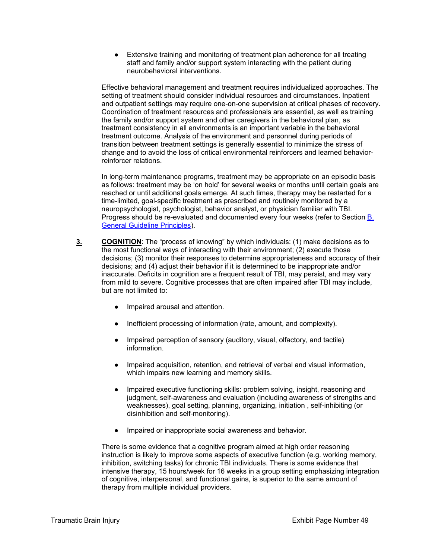● Extensive training and monitoring of treatment plan adherence for all treating staff and family and/or support system interacting with the patient during neurobehavioral interventions.

Effective behavioral management and treatment requires individualized approaches. The setting of treatment should consider individual resources and circumstances. Inpatient and outpatient settings may require one-on-one supervision at critical phases of recovery. Coordination of treatment resources and professionals are essential, as well as training the family and/or support system and other caregivers in the behavioral plan, as treatment consistency in all environments is an important variable in the behavioral treatment outcome. Analysis of the environment and personnel during periods of transition between treatment settings is generally essential to minimize the stress of change and to avoid the loss of critical environmental reinforcers and learned behaviorreinforcer relations.

In long-term maintenance programs, treatment may be appropriate on an episodic basis as follows: treatment may be 'on hold' for several weeks or months until certain goals are reached or until additional goals emerge. At such times, therapy may be restarted for a time-limited, goal-specific treatment as prescribed and routinely monitored by a neuropsychologist, psychologist, behavior analyst, or physician familiar with TBI. Progress should be re-evaluated and documented every four weeks (refer to Section B. General Guideline Principles).

- **3. COGNITION**: The "process of knowing" by which individuals: (1) make decisions as to the most functional ways of interacting with their environment; (2) execute those decisions; (3) monitor their responses to determine appropriateness and accuracy of their decisions; and (4) adjust their behavior if it is determined to be inappropriate and/or inaccurate. Deficits in cognition are a frequent result of TBI, may persist, and may vary from mild to severe. Cognitive processes that are often impaired after TBI may include, but are not limited to:
	- Impaired arousal and attention.
	- Inefficient processing of information (rate, amount, and complexity).
	- Impaired perception of sensory (auditory, visual, olfactory, and tactile) information.
	- Impaired acquisition, retention, and retrieval of verbal and visual information, which impairs new learning and memory skills.
	- Impaired executive functioning skills: problem solving, insight, reasoning and judgment, self-awareness and evaluation (including awareness of strengths and weaknesses), goal setting, planning, organizing, initiation , self-inhibiting (or disinhibition and self-monitoring).
	- Impaired or inappropriate social awareness and behavior.

There is some evidence that a cognitive program aimed at high order reasoning instruction is likely to improve some aspects of executive function (e.g. working memory, inhibition, switching tasks) for chronic TBI individuals. There is some evidence that intensive therapy, 15 hours/week for 16 weeks in a group setting emphasizing integration of cognitive, interpersonal, and functional gains, is superior to the same amount of therapy from multiple individual providers.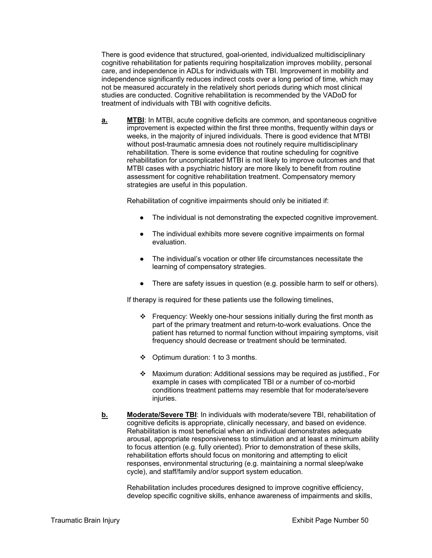There is good evidence that structured, goal-oriented, individualized multidisciplinary cognitive rehabilitation for patients requiring hospitalization improves mobility, personal care, and independence in ADLs for individuals with TBI. Improvement in mobility and independence significantly reduces indirect costs over a long period of time, which may not be measured accurately in the relatively short periods during which most clinical studies are conducted. Cognitive rehabilitation is recommended by the VADoD for treatment of individuals with TBI with cognitive deficits.

**a.** MTBI: In MTBI, acute cognitive deficits are common, and spontaneous cognitive improvement is expected within the first three months, frequently within days or weeks, in the majority of injured individuals. There is good evidence that MTBI without post-traumatic amnesia does not routinely require multidisciplinary rehabilitation. There is some evidence that routine scheduling for cognitive rehabilitation for uncomplicated MTBI is not likely to improve outcomes and that MTBI cases with a psychiatric history are more likely to benefit from routine assessment for cognitive rehabilitation treatment. Compensatory memory strategies are useful in this population.

Rehabilitation of cognitive impairments should only be initiated if:

- The individual is not demonstrating the expected cognitive improvement.
- The individual exhibits more severe cognitive impairments on formal evaluation.
- The individual's vocation or other life circumstances necessitate the learning of compensatory strategies.
- There are safety issues in question (e.g. possible harm to self or others).

If therapy is required for these patients use the following timelines,

- $\div$  Frequency: Weekly one-hour sessions initially during the first month as part of the primary treatment and return-to-work evaluations. Once the patient has returned to normal function without impairing symptoms, visit frequency should decrease or treatment should be terminated.
- Optimum duration: 1 to 3 months.
- $\div$  Maximum duration: Additional sessions may be required as justified., For example in cases with complicated TBI or a number of co-morbid conditions treatment patterns may resemble that for moderate/severe injuries.
- **b.** Moderate/Severe TBI: In individuals with moderate/severe TBI, rehabilitation of cognitive deficits is appropriate, clinically necessary, and based on evidence. Rehabilitation is most beneficial when an individual demonstrates adequate arousal, appropriate responsiveness to stimulation and at least a minimum ability to focus attention (e.g. fully oriented). Prior to demonstration of these skills, rehabilitation efforts should focus on monitoring and attempting to elicit responses, environmental structuring (e.g. maintaining a normal sleep/wake cycle), and staff/family and/or support system education.

Rehabilitation includes procedures designed to improve cognitive efficiency, develop specific cognitive skills, enhance awareness of impairments and skills,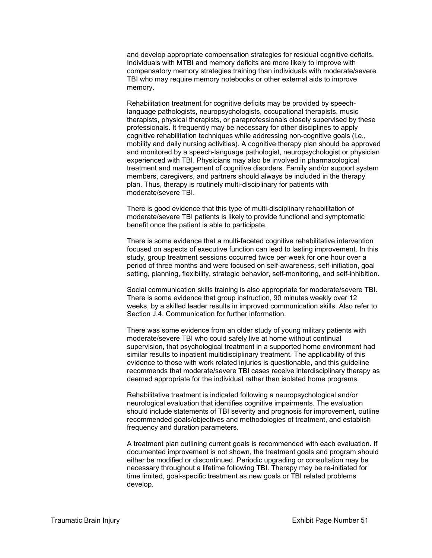and develop appropriate compensation strategies for residual cognitive deficits. Individuals with MTBI and memory deficits are more likely to improve with compensatory memory strategies training than individuals with moderate/severe TBI who may require memory notebooks or other external aids to improve memory.

Rehabilitation treatment for cognitive deficits may be provided by speechlanguage pathologists, neuropsychologists, occupational therapists, music therapists, physical therapists, or paraprofessionals closely supervised by these professionals. It frequently may be necessary for other disciplines to apply cognitive rehabilitation techniques while addressing non-cognitive goals (i.e., mobility and daily nursing activities). A cognitive therapy plan should be approved and monitored by a speech-language pathologist, neuropsychologist or physician experienced with TBI. Physicians may also be involved in pharmacological treatment and management of cognitive disorders. Family and/or support system members, caregivers, and partners should always be included in the therapy plan. Thus, therapy is routinely multi-disciplinary for patients with moderate/severe TBI.

There is good evidence that this type of multi-disciplinary rehabilitation of moderate/severe TBI patients is likely to provide functional and symptomatic benefit once the patient is able to participate.

There is some evidence that a multi-faceted cognitive rehabilitative intervention focused on aspects of executive function can lead to lasting improvement. In this study, group treatment sessions occurred twice per week for one hour over a period of three months and were focused on self-awareness, self-initiation, goal setting, planning, flexibility, strategic behavior, self-monitoring, and self-inhibition.

Social communication skills training is also appropriate for moderate/severe TBI. There is some evidence that group instruction, 90 minutes weekly over 12 weeks, by a skilled leader results in improved communication skills. Also refer to Section J.4. Communication for further information.

There was some evidence from an older study of young military patients with moderate/severe TBI who could safely live at home without continual supervision, that psychological treatment in a supported home environment had similar results to inpatient multidisciplinary treatment. The applicability of this evidence to those with work related injuries is questionable, and this guideline recommends that moderate/severe TBI cases receive interdisciplinary therapy as deemed appropriate for the individual rather than isolated home programs.

Rehabilitative treatment is indicated following a neuropsychological and/or neurological evaluation that identifies cognitive impairments. The evaluation should include statements of TBI severity and prognosis for improvement, outline recommended goals/objectives and methodologies of treatment, and establish frequency and duration parameters.

A treatment plan outlining current goals is recommended with each evaluation. If documented improvement is not shown, the treatment goals and program should either be modified or discontinued. Periodic upgrading or consultation may be necessary throughout a lifetime following TBI. Therapy may be re-initiated for time limited, goal-specific treatment as new goals or TBI related problems develop.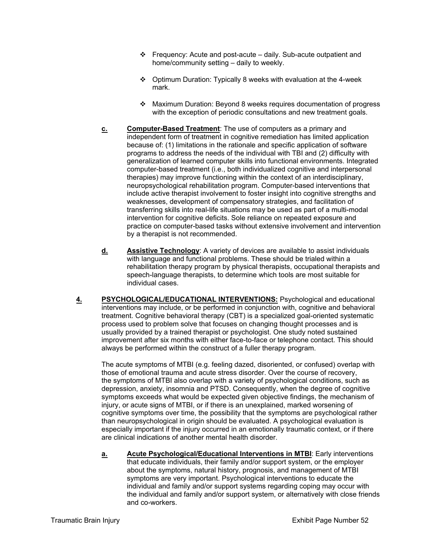- $\div$  Frequency: Acute and post-acute daily. Sub-acute outpatient and home/community setting – daily to weekly.
- Optimum Duration: Typically 8 weeks with evaluation at the 4-week mark.
- Maximum Duration: Beyond 8 weeks requires documentation of progress with the exception of periodic consultations and new treatment goals.
- **c.** Computer-Based Treatment: The use of computers as a primary and independent form of treatment in cognitive remediation has limited application because of: (1) limitations in the rationale and specific application of software programs to address the needs of the individual with TBI and (2) difficulty with generalization of learned computer skills into functional environments. Integrated computer-based treatment (i.e., both individualized cognitive and interpersonal therapies) may improve functioning within the context of an interdisciplinary, neuropsychological rehabilitation program. Computer-based interventions that include active therapist involvement to foster insight into cognitive strengths and weaknesses, development of compensatory strategies, and facilitation of transferring skills into real-life situations may be used as part of a multi-modal intervention for cognitive deficits. Sole reliance on repeated exposure and practice on computer-based tasks without extensive involvement and intervention by a therapist is not recommended.
- **d. Assistive Technology**: A variety of devices are available to assist individuals with language and functional problems. These should be trialed within a rehabilitation therapy program by physical therapists, occupational therapists and speech-language therapists, to determine which tools are most suitable for individual cases.
- **4. PSYCHOLOGICAL/EDUCATIONAL INTERVENTIONS:** Psychological and educational interventions may include, or be performed in conjunction with, cognitive and behavioral treatment. Cognitive behavioral therapy (CBT) is a specialized goal-oriented systematic process used to problem solve that focuses on changing thought processes and is usually provided by a trained therapist or psychologist. One study noted sustained improvement after six months with either face-to-face or telephone contact. This should always be performed within the construct of a fuller therapy program.

The acute symptoms of MTBI (e.g. feeling dazed, disoriented, or confused) overlap with those of emotional trauma and acute stress disorder. Over the course of recovery, the symptoms of MTBI also overlap with a variety of psychological conditions, such as depression, anxiety, insomnia and PTSD. Consequently, when the degree of cognitive symptoms exceeds what would be expected given objective findings, the mechanism of injury, or acute signs of MTBI, or if there is an unexplained, marked worsening of cognitive symptoms over time, the possibility that the symptoms are psychological rather than neuropsychological in origin should be evaluated. A psychological evaluation is especially important if the injury occurred in an emotionally traumatic context, or if there are clinical indications of another mental health disorder.

**a. Acute Psychological/Educational Interventions in MTBI**: Early interventions that educate individuals, their family and/or support system, or the employer about the symptoms, natural history, prognosis, and management of MTBI symptoms are very important. Psychological interventions to educate the individual and family and/or support systems regarding coping may occur with the individual and family and/or support system, or alternatively with close friends and co-workers.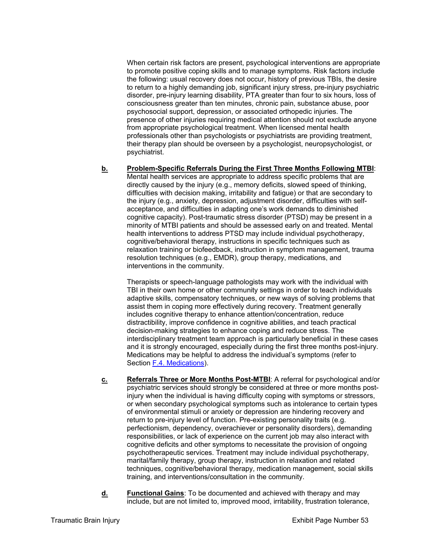When certain risk factors are present, psychological interventions are appropriate to promote positive coping skills and to manage symptoms. Risk factors include the following: usual recovery does not occur, history of previous TBIs, the desire to return to a highly demanding job, significant injury stress, pre-injury psychiatric disorder, pre-injury learning disability, PTA greater than four to six hours, loss of consciousness greater than ten minutes, chronic pain, substance abuse, poor psychosocial support, depression, or associated orthopedic injuries. The presence of other injuries requiring medical attention should not exclude anyone from appropriate psychological treatment. When licensed mental health professionals other than psychologists or psychiatrists are providing treatment, their therapy plan should be overseen by a psychologist, neuropsychologist, or psychiatrist.

**b. Problem-Specific Referrals During the First Three Months Following MTBI**: Mental health services are appropriate to address specific problems that are directly caused by the injury (e.g., memory deficits, slowed speed of thinking, difficulties with decision making, irritability and fatigue) or that are secondary to the injury (e.g., anxiety, depression, adjustment disorder, difficulties with selfacceptance, and difficulties in adapting one's work demands to diminished cognitive capacity). Post-traumatic stress disorder (PTSD) may be present in a minority of MTBI patients and should be assessed early on and treated. Mental health interventions to address PTSD may include individual psychotherapy, cognitive/behavioral therapy, instructions in specific techniques such as relaxation training or biofeedback, instruction in symptom management, trauma resolution techniques (e.g., EMDR), group therapy, medications, and interventions in the community.

Therapists or speech-language pathologists may work with the individual with TBI in their own home or other community settings in order to teach individuals adaptive skills, compensatory techniques, or new ways of solving problems that assist them in coping more effectively during recovery. Treatment generally includes cognitive therapy to enhance attention/concentration, reduce distractibility, improve confidence in cognitive abilities, and teach practical decision-making strategies to enhance coping and reduce stress. The interdisciplinary treatment team approach is particularly beneficial in these cases and it is strongly encouraged, especially during the first three months post-injury. Medications may be helpful to address the individual's symptoms (refer to Section F.4. Medications).

- **c. Referrals Three or More Months Post-MTBI**: A referral for psychological and/or psychiatric services should strongly be considered at three or more months postinjury when the individual is having difficulty coping with symptoms or stressors, or when secondary psychological symptoms such as intolerance to certain types of environmental stimuli or anxiety or depression are hindering recovery and return to pre-injury level of function. Pre-existing personality traits (e.g. perfectionism, dependency, overachiever or personality disorders), demanding responsibilities, or lack of experience on the current job may also interact with cognitive deficits and other symptoms to necessitate the provision of ongoing psychotherapeutic services. Treatment may include individual psychotherapy, marital/family therapy, group therapy, instruction in relaxation and related techniques, cognitive/behavioral therapy, medication management, social skills training, and interventions/consultation in the community.
- **d. Functional Gains**: To be documented and achieved with therapy and may include, but are not limited to, improved mood, irritability, frustration tolerance,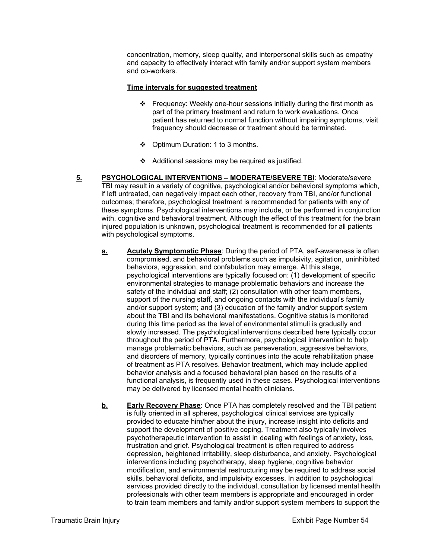concentration, memory, sleep quality, and interpersonal skills such as empathy and capacity to effectively interact with family and/or support system members and co-workers.

#### **Time intervals for suggested treatment**

- Frequency: Weekly one-hour sessions initially during the first month as part of the primary treatment and return to work evaluations. Once patient has returned to normal function without impairing symptoms, visit frequency should decrease or treatment should be terminated.
- Optimum Duration: 1 to 3 months.
- $\div$  Additional sessions may be required as justified.
- **5. PSYCHOLOGICAL INTERVENTIONS MODERATE/SEVERE TBI**: Moderate/severe TBI may result in a variety of cognitive, psychological and/or behavioral symptoms which, if left untreated, can negatively impact each other, recovery from TBI, and/or functional outcomes; therefore, psychological treatment is recommended for patients with any of these symptoms. Psychological interventions may include, or be performed in conjunction with, cognitive and behavioral treatment. Although the effect of this treatment for the brain injured population is unknown, psychological treatment is recommended for all patients with psychological symptoms.
	- **a.** Acutely Symptomatic Phase: During the period of PTA, self-awareness is often compromised, and behavioral problems such as impulsivity, agitation, uninhibited behaviors, aggression, and confabulation may emerge. At this stage, psychological interventions are typically focused on: (1) development of specific environmental strategies to manage problematic behaviors and increase the safety of the individual and staff; (2) consultation with other team members, support of the nursing staff, and ongoing contacts with the individual's family and/or support system; and (3) education of the family and/or support system about the TBI and its behavioral manifestations. Cognitive status is monitored during this time period as the level of environmental stimuli is gradually and slowly increased. The psychological interventions described here typically occur throughout the period of PTA. Furthermore, psychological intervention to help manage problematic behaviors, such as perseveration, aggressive behaviors, and disorders of memory, typically continues into the acute rehabilitation phase of treatment as PTA resolves. Behavior treatment, which may include applied behavior analysis and a focused behavioral plan based on the results of a functional analysis, is frequently used in these cases. Psychological interventions may be delivered by licensed mental health clinicians.
	- **b. Early Recovery Phase**: Once PTA has completely resolved and the TBI patient is fully oriented in all spheres, psychological clinical services are typically provided to educate him/her about the injury, increase insight into deficits and support the development of positive coping. Treatment also typically involves psychotherapeutic intervention to assist in dealing with feelings of anxiety, loss, frustration and grief. Psychological treatment is often required to address depression, heightened irritability, sleep disturbance, and anxiety. Psychological interventions including psychotherapy, sleep hygiene, cognitive behavior modification, and environmental restructuring may be required to address social skills, behavioral deficits, and impulsivity excesses. In addition to psychological services provided directly to the individual, consultation by licensed mental health professionals with other team members is appropriate and encouraged in order to train team members and family and/or support system members to support the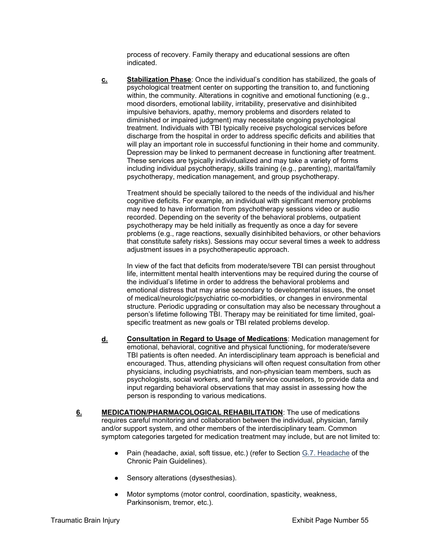process of recovery. Family therapy and educational sessions are often indicated.

**c. Stabilization Phase**: Once the individual's condition has stabilized, the goals of psychological treatment center on supporting the transition to, and functioning within, the community. Alterations in cognitive and emotional functioning (e.g., mood disorders, emotional lability, irritability, preservative and disinhibited impulsive behaviors, apathy, memory problems and disorders related to diminished or impaired judgment) may necessitate ongoing psychological treatment. Individuals with TBI typically receive psychological services before discharge from the hospital in order to address specific deficits and abilities that will play an important role in successful functioning in their home and community. Depression may be linked to permanent decrease in functioning after treatment. These services are typically individualized and may take a variety of forms including individual psychotherapy, skills training (e.g., parenting), marital/family psychotherapy, medication management, and group psychotherapy.

Treatment should be specially tailored to the needs of the individual and his/her cognitive deficits. For example, an individual with significant memory problems may need to have information from psychotherapy sessions video or audio recorded. Depending on the severity of the behavioral problems, outpatient psychotherapy may be held initially as frequently as once a day for severe problems (e.g., rage reactions, sexually disinhibited behaviors, or other behaviors that constitute safety risks). Sessions may occur several times a week to address adjustment issues in a psychotherapeutic approach.

In view of the fact that deficits from moderate/severe TBI can persist throughout life, intermittent mental health interventions may be required during the course of the individual's lifetime in order to address the behavioral problems and emotional distress that may arise secondary to developmental issues, the onset of medical/neurologic/psychiatric co-morbidities, or changes in environmental structure. Periodic upgrading or consultation may also be necessary throughout a person's lifetime following TBI. Therapy may be reinitiated for time limited, goalspecific treatment as new goals or TBI related problems develop.

- **d. Consultation in Regard to Usage of Medications**: Medication management for emotional, behavioral, cognitive and physical functioning, for moderate/severe TBI patients is often needed. An interdisciplinary team approach is beneficial and encouraged. Thus, attending physicians will often request consultation from other physicians, including psychiatrists, and non-physician team members, such as psychologists, social workers, and family service counselors, to provide data and input regarding behavioral observations that may assist in assessing how the person is responding to various medications.
- **6. MEDICATION/PHARMACOLOGICAL REHABILITATION**: The use of medications requires careful monitoring and collaboration between the individual, physician, family and/or support system, and other members of the interdisciplinary team. Common symptom categories targeted for medication treatment may include, but are not limited to:
	- Pain (headache, axial, soft tissue, etc.) (refer to Section G.7. Headache of the Chronic Pain Guidelines).
	- Sensory alterations (dysesthesias).
	- Motor symptoms (motor control, coordination, spasticity, weakness, Parkinsonism, tremor, etc.).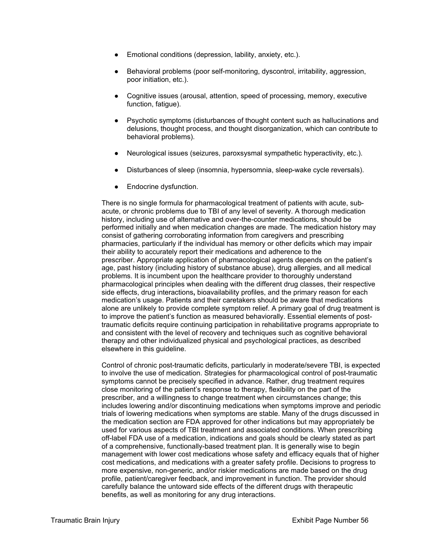- Emotional conditions (depression, lability, anxiety, etc.).
- Behavioral problems (poor self-monitoring, dyscontrol, irritability, aggression, poor initiation, etc.).
- Cognitive issues (arousal, attention, speed of processing, memory, executive function, fatigue).
- Psychotic symptoms (disturbances of thought content such as hallucinations and delusions, thought process, and thought disorganization, which can contribute to behavioral problems).
- Neurological issues (seizures, paroxsysmal sympathetic hyperactivity, etc.).
- Disturbances of sleep (insomnia, hypersomnia, sleep-wake cycle reversals).
- Endocrine dysfunction.

There is no single formula for pharmacological treatment of patients with acute, subacute, or chronic problems due to TBI of any level of severity. A thorough medication history, including use of alternative and over-the-counter medications, should be performed initially and when medication changes are made. The medication history may consist of gathering corroborating information from caregivers and prescribing pharmacies, particularly if the individual has memory or other deficits which may impair their ability to accurately report their medications and adherence to the prescriber. Appropriate application of pharmacological agents depends on the patient's age, past history (including history of substance abuse), drug allergies, and all medical problems. It is incumbent upon the healthcare provider to thoroughly understand pharmacological principles when dealing with the different drug classes, their respective side effects, drug interactions**,** bioavailability profiles, and the primary reason for each medication's usage. Patients and their caretakers should be aware that medications alone are unlikely to provide complete symptom relief. A primary goal of drug treatment is to improve the patient's function as measured behaviorally. Essential elements of posttraumatic deficits require continuing participation in rehabilitative programs appropriate to and consistent with the level of recovery and techniques such as cognitive behavioral therapy and other individualized physical and psychological practices, as described elsewhere in this guideline.

Control of chronic post-traumatic deficits, particularly in moderate/severe TBI, is expected to involve the use of medication. Strategies for pharmacological control of post-traumatic symptoms cannot be precisely specified in advance. Rather, drug treatment requires close monitoring of the patient's response to therapy, flexibility on the part of the prescriber, and a willingness to change treatment when circumstances change; this includes lowering and/or discontinuing medications when symptoms improve and periodic trials of lowering medications when symptoms are stable. Many of the drugs discussed in the medication section are FDA approved for other indications but may appropriately be used for various aspects of TBI treatment and associated conditions. When prescribing off-label FDA use of a medication, indications and goals should be clearly stated as part of a comprehensive, functionally-based treatment plan. It is generally wise to begin management with lower cost medications whose safety and efficacy equals that of higher cost medications, and medications with a greater safety profile. Decisions to progress to more expensive, non-generic, and/or riskier medications are made based on the drug profile, patient/caregiver feedback, and improvement in function. The provider should carefully balance the untoward side effects of the different drugs with therapeutic benefits, as well as monitoring for any drug interactions.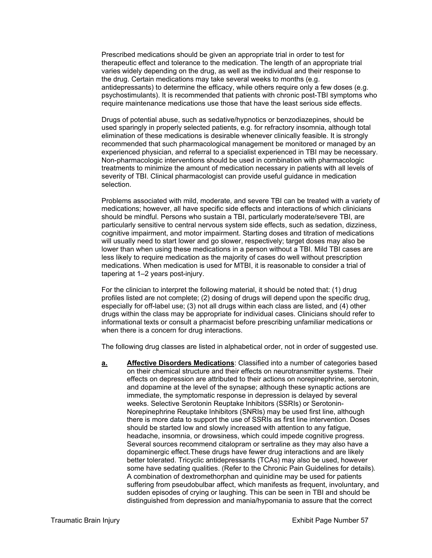Prescribed medications should be given an appropriate trial in order to test for therapeutic effect and tolerance to the medication. The length of an appropriate trial varies widely depending on the drug, as well as the individual and their response to the drug. Certain medications may take several weeks to months (e.g. antidepressants) to determine the efficacy, while others require only a few doses (e.g. psychostimulants). It is recommended that patients with chronic post-TBI symptoms who require maintenance medications use those that have the least serious side effects.

Drugs of potential abuse, such as sedative/hypnotics or benzodiazepines, should be used sparingly in properly selected patients, e.g. for refractory insomnia, although total elimination of these medications is desirable whenever clinically feasible. It is strongly recommended that such pharmacological management be monitored or managed by an experienced physician, and referral to a specialist experienced in TBI may be necessary. Non-pharmacologic interventions should be used in combination with pharmacologic treatments to minimize the amount of medication necessary in patients with all levels of severity of TBI. Clinical pharmacologist can provide useful guidance in medication selection.

Problems associated with mild, moderate, and severe TBI can be treated with a variety of medications; however, all have specific side effects and interactions of which clinicians should be mindful. Persons who sustain a TBI, particularly moderate/severe TBI, are particularly sensitive to central nervous system side effects, such as sedation, dizziness, cognitive impairment, and motor impairment. Starting doses and titration of medications will usually need to start lower and go slower, respectively; target doses may also be lower than when using these medications in a person without a TBI. Mild TBI cases are less likely to require medication as the majority of cases do well without prescription medications. When medication is used for MTBI, it is reasonable to consider a trial of tapering at 1–2 years post-injury.

For the clinician to interpret the following material, it should be noted that: (1) drug profiles listed are not complete; (2) dosing of drugs will depend upon the specific drug, especially for off-label use; (3) not all drugs within each class are listed, and (4) other drugs within the class may be appropriate for individual cases. Clinicians should refer to informational texts or consult a pharmacist before prescribing unfamiliar medications or when there is a concern for drug interactions.

The following drug classes are listed in alphabetical order, not in order of suggested use.

**a. Affective Disorders Medications**: Classified into a number of categories based on their chemical structure and their effects on neurotransmitter systems. Their effects on depression are attributed to their actions on norepinephrine, serotonin, and dopamine at the level of the synapse; although these synaptic actions are immediate, the symptomatic response in depression is delayed by several weeks. Selective Serotonin Reuptake Inhibitors (SSRIs) or Serotonin-Norepinephrine Reuptake Inhibitors (SNRIs) may be used first line, although there is more data to support the use of SSRIs as first line intervention. Doses should be started low and slowly increased with attention to any fatigue, headache, insomnia, or drowsiness, which could impede cognitive progress. Several sources recommend citalopram or sertraline as they may also have a dopaminergic effect.These drugs have fewer drug interactions and are likely better tolerated. Tricyclic antidepressants (TCAs) may also be used, however some have sedating qualities. (Refer to the Chronic Pain Guidelines for details)*.*  A combination of dextromethorphan and quinidine may be used for patients suffering from pseudobulbar affect, which manifests as frequent, involuntary, and sudden episodes of crying or laughing. This can be seen in TBI and should be distinguished from depression and mania/hypomania to assure that the correct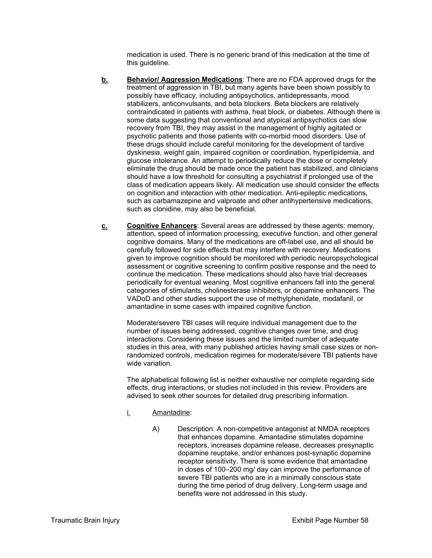medication is used. There is no generic brand of this medication at the time of this guideline.

- **b. Behavior/ Aggression Medications**: There are no FDA approved drugs for the treatment of aggression in TBI, but many agents have been shown possibly to possibly have efficacy, including antipsychotics, antidepressants, mood stabilizers, anticonvulsants, and beta blockers. Beta blockers are relatively contraindicated in patients with asthma, heat block, or diabetes. Although there is some data suggesting that conventional and atypical antipsychotics can slow recovery from TBI, they may assist in the management of highly agitated or psychotic patients and those patients with co-morbid mood disorders. Use of these drugs should include careful monitoring for the development of tardive dyskinesia, weight gain, impaired cognition or coordination, hyperlipidemia, and glucose intolerance. An attempt to periodically reduce the dose or completely eliminate the drug should be made once the patient has stabilized, and clinicians should have a low threshold for consulting a psychiatrist if prolonged use of the class of medication appears likely. All medication use should consider the effects on cognition and interaction with other medication. Anti-epileptic medications, such as carbamazepine and valproate and other antihypertensive medications, such as clonidine, may also be beneficial.
- **c. Cognitive Enhancers**: Several areas are addressed by these agents: memory, attention, speed of information processing, executive function, and other general cognitive domains. Many of the medications are off-label use, and all should be carefully followed for side effects that may interfere with recovery. Medications given to improve cognition should be monitored with periodic neuropsychological assessment or cognitive screening to confirm positive response and the need to continue the medication. These medications should also have trial decreases periodically for eventual weaning. Most cognitive enhancers fall into the general categories of stimulants, cholinesterase inhibitors, or dopamine enhancers. The VADoD and other studies support the use of methylphenidate, modafanil, or amantadine in some cases with impaired cognitive function.

Moderate/severe TBI cases will require individual management due to the number of issues being addressed, cognitive changes over time, and drug interactions. Considering these issues and the limited number of adequate studies in this area, with many published articles having small case sizes or nonrandomized controls, medication regimes for moderate/severe TBI patients have wide variation.

The alphabetical following list is neither exhaustive nor complete regarding side effects, drug interactions, or studies not included in this review. Providers are advised to seek other sources for detailed drug prescribing information.

- i. Amantadine:
	- A) Description: A non-competitive antagonist at NMDA receptors that enhances dopamine. Amantadine stimulates dopamine receptors, increases dopamine release, decreases presynaptic dopamine reuptake, and/or enhances post-synaptic dopamine receptor sensitivity. There is some evidence that amantadine in doses of 100–200 mg/ day can improve the performance of severe TBI patients who are in a minimally conscious state during the time period of drug delivery. Long-term usage and benefits were not addressed in this study.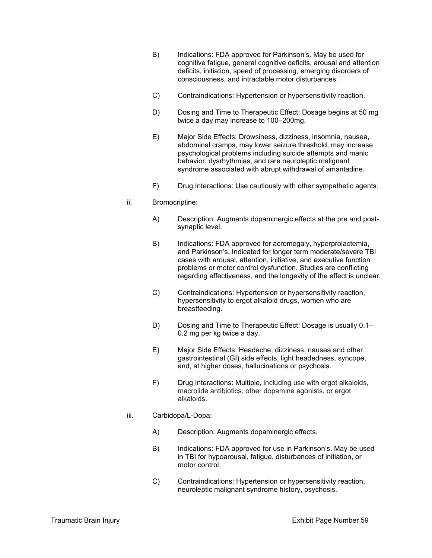- B) Indications: FDA approved for Parkinson's. May be used for cognitive fatigue, general cognitive deficits, arousal and attention deficits, initiation, speed of processing, emerging disorders of consciousness, and intractable motor disturbances.
- C) Contraindications: Hypertension or hypersensitivity reaction.
- D) Dosing and Time to Therapeutic Effect: Dosage begins at 50 mg twice a day may increase to 100–200mg.
- E) Major Side Effects: Drowsiness, dizziness, insomnia, nausea, abdominal cramps, may lower seizure threshold, may increase psychological problems including suicide attempts and manic behavior, dysrhythmias, and rare neuroleptic malignant syndrome associated with abrupt withdrawal of amantadine*.*
- F) Drug Interactions: Use cautiously with other sympathetic agents.

#### ii. Bromocriptine:

- A) Description: Augments dopaminergic effects at the pre and postsynaptic level.
- B) Indications: FDA approved for acromegaly, hyperprolactemia, and Parkinson's. Indicated for longer term moderate/severe TBI cases with arousal, attention, initiative, and executive function problems or motor control dysfunction. Studies are conflicting regarding effectiveness, and the longevity of the effect is unclear.
- C) Contraindications: Hypertension or hypersensitivity reaction, hypersensitivity to ergot alkaloid drugs, women who are breastfeeding.
- D) Dosing and Time to Therapeutic Effect: Dosage is usually 0.1– 0.2 mg per kg twice a day.
- E) Major Side Effects: Headache, dizziness, nausea and other gastrointestinal (GI) side effects, light headedness, syncope, and, at higher doses, hallucinations or psychosis.
- F) Drug Interactions: Multiple, including use with ergot alkaloids, macrolide antibiotics, other dopamine agonists, or ergot alkaloids.

#### iii. Carbidopa/L-Dopa:

- A) Description: Augments dopaminergic effects.
- B) Indications: FDA approved for use in Parkinson's. May be used in TBI for hypoarousal, fatigue, disturbances of initiation, or motor control.
- C) Contraindications: Hypertension or hypersensitivity reaction, neuroleptic malignant syndrome history, psychosis.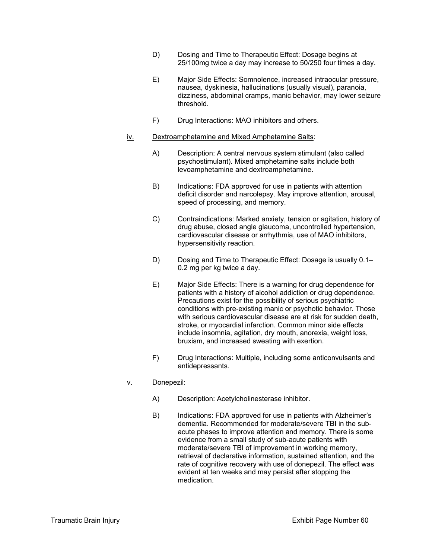- D) Dosing and Time to Therapeutic Effect: Dosage begins at 25/100mg twice a day may increase to 50/250 four times a day.
- E) Major Side Effects: Somnolence, increased intraocular pressure, nausea, dyskinesia, hallucinations (usually visual), paranoia, dizziness, abdominal cramps, manic behavior, may lower seizure threshold.
- F) Drug Interactions: MAO inhibitors and others.

#### iv. Dextroamphetamine and Mixed Amphetamine Salts:

- A) Description: A central nervous system stimulant (also called psychostimulant). Mixed amphetamine salts include both levoamphetamine and dextroamphetamine.
- B) Indications: FDA approved for use in patients with attention deficit disorder and narcolepsy. May improve attention, arousal, speed of processing, and memory.
- C) Contraindications: Marked anxiety, tension or agitation, history of drug abuse, closed angle glaucoma, uncontrolled hypertension, cardiovascular disease or arrhythmia, use of MAO inhibitors, hypersensitivity reaction.
- D) Dosing and Time to Therapeutic Effect: Dosage is usually 0.1– 0.2 mg per kg twice a day.
- E) Major Side Effects: There is a warning for drug dependence for patients with a history of alcohol addiction or drug dependence. Precautions exist for the possibility of serious psychiatric conditions with pre-existing manic or psychotic behavior. Those with serious cardiovascular disease are at risk for sudden death, stroke, or myocardial infarction. Common minor side effects include insomnia, agitation, dry mouth, anorexia, weight loss, bruxism, and increased sweating with exertion.
- F) Drug Interactions: Multiple, including some anticonvulsants and antidepressants.

## v. Donepezil:

- A) Description: Acetylcholinesterase inhibitor.
- B) Indications: FDA approved for use in patients with Alzheimer's dementia. Recommended for moderate/severe TBI in the subacute phases to improve attention and memory. There is some evidence from a small study of sub-acute patients with moderate/severe TBI of improvement in working memory, retrieval of declarative information, sustained attention, and the rate of cognitive recovery with use of donepezil. The effect was evident at ten weeks and may persist after stopping the medication.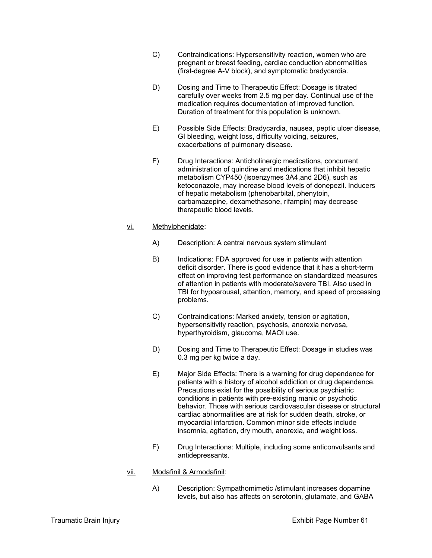- C) Contraindications: Hypersensitivity reaction, women who are pregnant or breast feeding, cardiac conduction abnormalities (first-degree A-V block), and symptomatic bradycardia.
- D) Dosing and Time to Therapeutic Effect: Dosage is titrated carefully over weeks from 2.5 mg per day. Continual use of the medication requires documentation of improved function. Duration of treatment for this population is unknown.
- E) Possible Side Effects: Bradycardia, nausea, peptic ulcer disease, GI bleeding, weight loss, difficulty voiding, seizures, exacerbations of pulmonary disease.
- F) Drug Interactions: Anticholinergic medications, concurrent administration of quindine and medications that inhibit hepatic metabolism CYP450 (isoenzymes 3A4,and 2D6), such as ketoconazole, may increase blood levels of donepezil. Inducers of hepatic metabolism (phenobarbital, phenytoin, carbamazepine, dexamethasone, rifampin) may decrease therapeutic blood levels.

## vi. Methylphenidate:

- A) Description: A central nervous system stimulant
- B) Indications: FDA approved for use in patients with attention deficit disorder. There is good evidence that it has a short-term effect on improving test performance on standardized measures of attention in patients with moderate/severe TBI. Also used in TBI for hypoarousal, attention, memory, and speed of processing problems.
- C) Contraindications: Marked anxiety, tension or agitation, hypersensitivity reaction, psychosis, anorexia nervosa, hyperthyroidism, glaucoma, MAOI use.
- D) Dosing and Time to Therapeutic Effect: Dosage in studies was 0.3 mg per kg twice a day.
- E) Major Side Effects: There is a warning for drug dependence for patients with a history of alcohol addiction or drug dependence. Precautions exist for the possibility of serious psychiatric conditions in patients with pre-existing manic or psychotic behavior. Those with serious cardiovascular disease or structural cardiac abnormalities are at risk for sudden death, stroke, or myocardial infarction. Common minor side effects include insomnia, agitation, dry mouth, anorexia, and weight loss.
- F) Drug Interactions: Multiple, including some anticonvulsants and antidepressants.

#### vii. Modafinil & Armodafinil:

A) Description: Sympathomimetic /stimulant increases dopamine levels, but also has affects on serotonin, glutamate, and GABA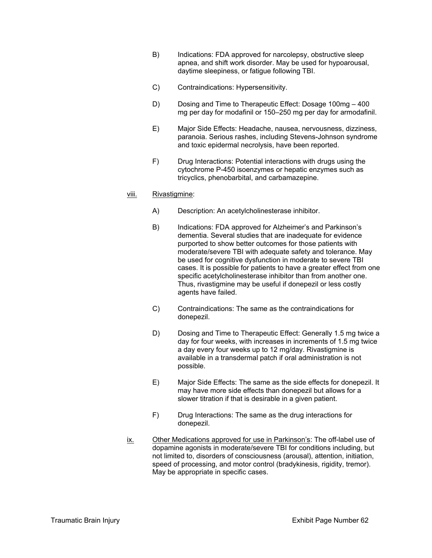- B) Indications: FDA approved for narcolepsy, obstructive sleep apnea, and shift work disorder. May be used for hypoarousal, daytime sleepiness, or fatigue following TBI.
- C) Contraindications: Hypersensitivity.
- D) Dosing and Time to Therapeutic Effect: Dosage 100mg 400 mg per day for modafinil or 150–250 mg per day for armodafinil.
- E) Major Side Effects: Headache, nausea, nervousness, dizziness, paranoia. Serious rashes, including Stevens-Johnson syndrome and toxic epidermal necrolysis, have been reported.
- F) Drug Interactions: Potential interactions with drugs using the cytochrome P-450 isoenzymes or hepatic enzymes such as tricyclics, phenobarbital, and carbamazepine.

#### viii. Rivastigmine:

- A) Description: An acetylcholinesterase inhibitor.
- B) Indications: FDA approved for Alzheimer's and Parkinson's dementia. Several studies that are inadequate for evidence purported to show better outcomes for those patients with moderate/severe TBI with adequate safety and tolerance. May be used for cognitive dysfunction in moderate to severe TBI cases. It is possible for patients to have a greater effect from one specific acetylcholinesterase inhibitor than from another one. Thus, rivastigmine may be useful if donepezil or less costly agents have failed.
- C) Contraindications: The same as the contraindications for donepezil.
- D) Dosing and Time to Therapeutic Effect: Generally 1.5 mg twice a day for four weeks, with increases in increments of 1.5 mg twice a day every four weeks up to 12 mg/day. Rivastigmine is available in a transdermal patch if oral administration is not possible.
- E) Major Side Effects: The same as the side effects for donepezil. It may have more side effects than donepezil but allows for a slower titration if that is desirable in a given patient.
- F) Drug Interactions: The same as the drug interactions for donepezil.
- ix. Other Medications approved for use in Parkinson's: The off-label use of dopamine agonists in moderate/severe TBI for conditions including, but not limited to, disorders of consciousness (arousal), attention, initiation, speed of processing, and motor control (bradykinesis, rigidity, tremor). May be appropriate in specific cases.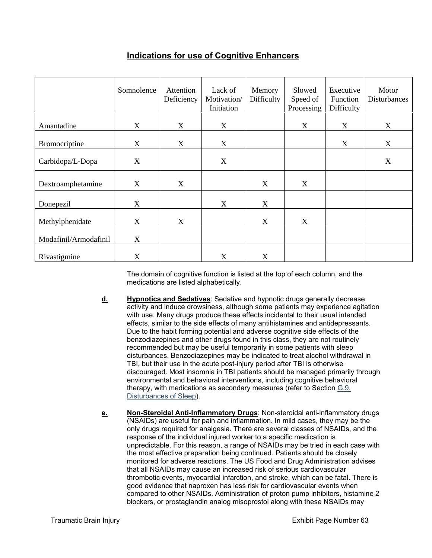# **Indications for use of Cognitive Enhancers**

|                       | Somnolence                | Attention<br>Deficiency | Lack of<br>Motivation/<br>Initiation | Memory<br>Difficulty      | Slowed<br>Speed of<br>Processing | Executive<br><b>Function</b><br>Difficulty | Motor<br><b>Disturbances</b> |
|-----------------------|---------------------------|-------------------------|--------------------------------------|---------------------------|----------------------------------|--------------------------------------------|------------------------------|
| Amantadine            | X                         | X                       | X                                    |                           | X                                | X                                          | X                            |
| Bromocriptine         | X                         | X                       | X                                    |                           |                                  | X                                          | X                            |
| Carbidopa/L-Dopa      | X                         |                         | X                                    |                           |                                  |                                            | X                            |
| Dextroamphetamine     | X                         | X                       |                                      | X                         | X                                |                                            |                              |
| Donepezil             | X                         |                         | X                                    | $\boldsymbol{\mathrm{X}}$ |                                  |                                            |                              |
| Methylphenidate       | X                         | X                       |                                      | X                         | X                                |                                            |                              |
| Modafinil/Armodafinil | $\boldsymbol{\mathrm{X}}$ |                         |                                      |                           |                                  |                                            |                              |
| Rivastigmine          | X                         |                         | X                                    | X                         |                                  |                                            |                              |

The domain of cognitive function is listed at the top of each column, and the medications are listed alphabetically.

- **d. Hypnotics and Sedatives**: Sedative and hypnotic drugs generally decrease activity and induce drowsiness, although some patients may experience agitation with use. Many drugs produce these effects incidental to their usual intended effects, similar to the side effects of many antihistamines and antidepressants. Due to the habit forming potential and adverse cognitive side effects of the benzodiazepines and other drugs found in this class, they are not routinely recommended but may be useful temporarily in some patients with sleep disturbances. Benzodiazepines may be indicated to treat alcohol withdrawal in TBI, but their use in the acute post-injury period after TBI is otherwise discouraged. Most insomnia in TBI patients should be managed primarily through environmental and behavioral interventions, including cognitive behavioral therapy, with medications as secondary measures (refer to Section G.9. Disturbances of Sleep).
- **e. Non-Steroidal Anti-Inflammatory Drugs**: Non-steroidal anti-inflammatory drugs (NSAIDs) are useful for pain and inflammation. In mild cases, they may be the only drugs required for analgesia. There are several classes of NSAIDs, and the response of the individual injured worker to a specific medication is unpredictable. For this reason, a range of NSAIDs may be tried in each case with the most effective preparation being continued. Patients should be closely monitored for adverse reactions. The US Food and Drug Administration advises that all NSAIDs may cause an increased risk of serious cardiovascular thrombotic events, myocardial infarction, and stroke, which can be fatal. There is good evidence that naproxen has less risk for cardiovascular events when compared to other NSAIDs. Administration of proton pump inhibitors, histamine 2 blockers, or prostaglandin analog misoprostol along with these NSAIDs may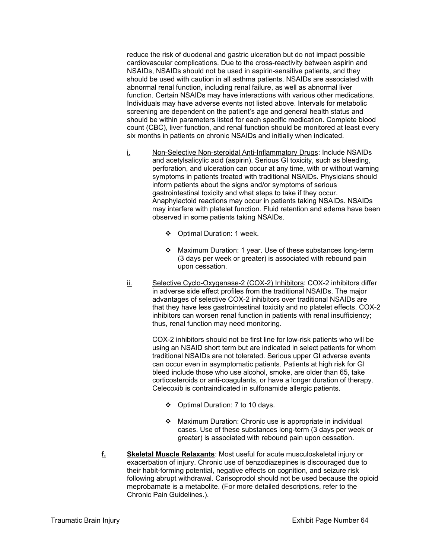reduce the risk of duodenal and gastric ulceration but do not impact possible cardiovascular complications. Due to the cross-reactivity between aspirin and NSAIDs, NSAIDs should not be used in aspirin-sensitive patients, and they should be used with caution in all asthma patients. NSAIDs are associated with abnormal renal function, including renal failure, as well as abnormal liver function. Certain NSAIDs may have interactions with various other medications. Individuals may have adverse events not listed above. Intervals for metabolic screening are dependent on the patient's age and general health status and should be within parameters listed for each specific medication. Complete blood count (CBC), liver function, and renal function should be monitored at least every six months in patients on chronic NSAIDs and initially when indicated.

- i. Non-Selective Non-steroidal Anti-Inflammatory Drugs: Include NSAIDs and acetylsalicylic acid (aspirin). Serious GI toxicity, such as bleeding, perforation, and ulceration can occur at any time, with or without warning symptoms in patients treated with traditional NSAIDs. Physicians should inform patients about the signs and/or symptoms of serious gastrointestinal toxicity and what steps to take if they occur. Anaphylactoid reactions may occur in patients taking NSAIDs. NSAIDs may interfere with platelet function. Fluid retention and edema have been observed in some patients taking NSAIDs.
	- Optimal Duration: 1 week.
	- Maximum Duration: 1 year. Use of these substances long-term (3 days per week or greater) is associated with rebound pain upon cessation.
- ii. Selective Cyclo-Oxygenase-2 (COX-2) Inhibitors: COX-2 inhibitors differ in adverse side effect profiles from the traditional NSAIDs. The major advantages of selective COX-2 inhibitors over traditional NSAIDs are that they have less gastrointestinal toxicity and no platelet effects. COX-2 inhibitors can worsen renal function in patients with renal insufficiency; thus, renal function may need monitoring.

COX-2 inhibitors should not be first line for low-risk patients who will be using an NSAID short term but are indicated in select patients for whom traditional NSAIDs are not tolerated. Serious upper GI adverse events can occur even in asymptomatic patients. Patients at high risk for GI bleed include those who use alcohol, smoke, are older than 65, take corticosteroids or anti-coagulants, or have a longer duration of therapy. Celecoxib is contraindicated in sulfonamide allergic patients.

- ❖ Optimal Duration: 7 to 10 days.
- Maximum Duration: Chronic use is appropriate in individual cases. Use of these substances long-term (3 days per week or greater) is associated with rebound pain upon cessation.
- **f. Skeletal Muscle Relaxants**: Most useful for acute musculoskeletal injury or exacerbation of injury. Chronic use of benzodiazepines is discouraged due to their habit-forming potential, negative effects on cognition, and seizure risk following abrupt withdrawal. Carisoprodol should not be used because the opioid meprobamate is a metabolite. (For more detailed descriptions, refer to the Chronic Pain Guidelines.).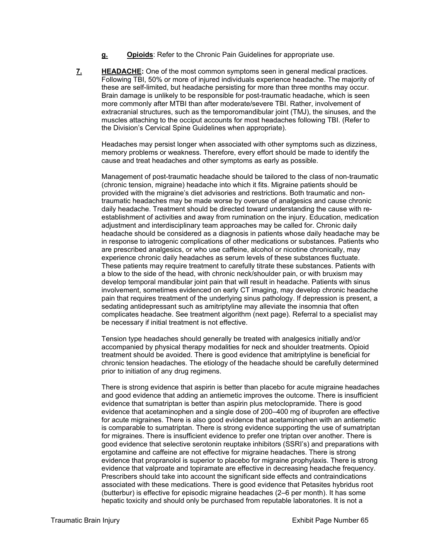- **g. Opioids**: Refer to the Chronic Pain Guidelines for appropriate use.
- **7. HEADACHE:** One of the most common symptoms seen in general medical practices. Following TBI, 50% or more of injured individuals experience headache. The majority of these are self-limited, but headache persisting for more than three months may occur. Brain damage is unlikely to be responsible for post-traumatic headache, which is seen more commonly after MTBI than after moderate/severe TBI. Rather, involvement of extracranial structures, such as the temporomandibular joint (TMJ), the sinuses, and the muscles attaching to the occiput accounts for most headaches following TBI. (Refer to the Division's Cervical Spine Guidelines when appropriate).

Headaches may persist longer when associated with other symptoms such as dizziness, memory problems or weakness. Therefore, every effort should be made to identify the cause and treat headaches and other symptoms as early as possible.

Management of post-traumatic headache should be tailored to the class of non-traumatic (chronic tension, migraine) headache into which it fits. Migraine patients should be provided with the migraine's diet advisories and restrictions. Both traumatic and nontraumatic headaches may be made worse by overuse of analgesics and cause chronic daily headache. Treatment should be directed toward understanding the cause with reestablishment of activities and away from rumination on the injury. Education, medication adjustment and interdisciplinary team approaches may be called for. Chronic daily headache should be considered as a diagnosis in patients whose daily headache may be in response to iatrogenic complications of other medications or substances. Patients who are prescribed analgesics, or who use caffeine, alcohol or nicotine chronically, may experience chronic daily headaches as serum levels of these substances fluctuate. These patients may require treatment to carefully titrate these substances. Patients with a blow to the side of the head, with chronic neck/shoulder pain, or with bruxism may develop temporal mandibular joint pain that will result in headache. Patients with sinus involvement, sometimes evidenced on early CT imaging, may develop chronic headache pain that requires treatment of the underlying sinus pathology. If depression is present, a sedating antidepressant such as amitriptyline may alleviate the insomnia that often complicates headache. See treatment algorithm (next page). Referral to a specialist may be necessary if initial treatment is not effective.

Tension type headaches should generally be treated with analgesics initially and/or accompanied by physical therapy modalities for neck and shoulder treatments. Opioid treatment should be avoided. There is good evidence that amitriptyline is beneficial for chronic tension headaches. The etiology of the headache should be carefully determined prior to initiation of any drug regimens.

There is strong evidence that aspirin is better than placebo for acute migraine headaches and good evidence that adding an antiemetic improves the outcome. There is insufficient evidence that sumatriptan is better than aspirin plus metoclopramide. There is good evidence that acetaminophen and a single dose of 200–400 mg of ibuprofen are effective for acute migraines. There is also good evidence that acetaminophen with an antiemetic is comparable to sumatriptan. There is strong evidence supporting the use of sumatriptan for migraines. There is insufficient evidence to prefer one triptan over another. There is good evidence that selective serotonin reuptake inhibitors (SSRI's) and preparations with ergotamine and caffeine are not effective for migraine headaches. There is strong evidence that propranolol is superior to placebo for migraine prophylaxis. There is strong evidence that valproate and topiramate are effective in decreasing headache frequency. Prescribers should take into account the significant side effects and contraindications associated with these medications. There is good evidence that Petasites hybridus root (butterbur) is effective for episodic migraine headaches (2–6 per month). It has some hepatic toxicity and should only be purchased from reputable laboratories. It is not a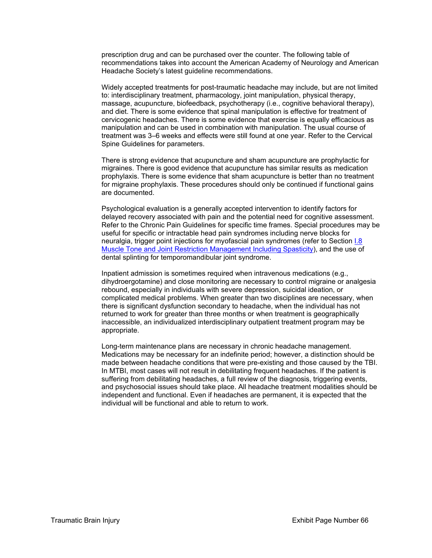prescription drug and can be purchased over the counter. The following table of recommendations takes into account the American Academy of Neurology and American Headache Society's latest guideline recommendations.

Widely accepted treatments for post-traumatic headache may include, but are not limited to: interdisciplinary treatment, pharmacology, joint manipulation, physical therapy, massage, acupuncture, biofeedback, psychotherapy (i.e., cognitive behavioral therapy), and diet. There is some evidence that spinal manipulation is effective for treatment of cervicogenic headaches. There is some evidence that exercise is equally efficacious as manipulation and can be used in combination with manipulation. The usual course of treatment was 3–6 weeks and effects were still found at one year. Refer to the Cervical Spine Guidelines for parameters.

There is strong evidence that acupuncture and sham acupuncture are prophylactic for migraines. There is good evidence that acupuncture has similar results as medication prophylaxis. There is some evidence that sham acupuncture is better than no treatment for migraine prophylaxis. These procedures should only be continued if functional gains are documented.

Psychological evaluation is a generally accepted intervention to identify factors for delayed recovery associated with pain and the potential need for cognitive assessment. Refer to the Chronic Pain Guidelines for specific time frames. Special procedures may be useful for specific or intractable head pain syndromes including nerve blocks for neuralgia, trigger point injections for myofascial pain syndromes (refer to Section I.8 Muscle Tone and Joint Restriction Management Including Spasticity), and the use of dental splinting for temporomandibular joint syndrome.

Inpatient admission is sometimes required when intravenous medications (e.g., dihydroergotamine) and close monitoring are necessary to control migraine or analgesia rebound, especially in individuals with severe depression, suicidal ideation, or complicated medical problems. When greater than two disciplines are necessary, when there is significant dysfunction secondary to headache, when the individual has not returned to work for greater than three months or when treatment is geographically inaccessible, an individualized interdisciplinary outpatient treatment program may be appropriate.

Long-term maintenance plans are necessary in chronic headache management. Medications may be necessary for an indefinite period; however, a distinction should be made between headache conditions that were pre-existing and those caused by the TBI. In MTBI, most cases will not result in debilitating frequent headaches. If the patient is suffering from debilitating headaches, a full review of the diagnosis, triggering events, and psychosocial issues should take place. All headache treatment modalities should be independent and functional. Even if headaches are permanent, it is expected that the individual will be functional and able to return to work.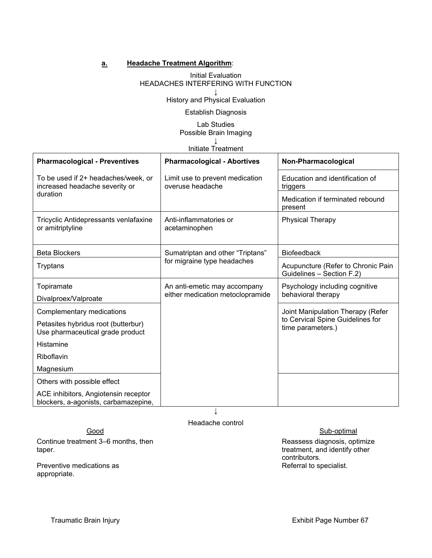## **a. Headache Treatment Algorithm**:

#### Initial Evaluation HEADACHES INTERFERING WITH FUNCTION **↓**

History and Physical Evaluation

### Establish Diagnosis

## Lab Studies Possible Brain Imaging

#### **↓** Initiate Treatment

| <b>Pharmacological - Preventives</b>                                              | <b>Pharmacological - Abortives</b>                               | Non-Pharmacological                                                                        |
|-----------------------------------------------------------------------------------|------------------------------------------------------------------|--------------------------------------------------------------------------------------------|
| To be used if 2+ headaches/week, or<br>increased headache severity or<br>duration | Limit use to prevent medication<br>overuse headache              | Education and identification of<br>triggers                                                |
|                                                                                   |                                                                  | Medication if terminated rebound<br>present                                                |
| Tricyclic Antidepressants venlafaxine<br>or amitriptyline                         | Anti-inflammatories or<br>acetaminophen                          | <b>Physical Therapy</b>                                                                    |
| <b>Beta Blockers</b>                                                              | Sumatriptan and other "Triptans"<br>for migraine type headaches  | <b>Biofeedback</b>                                                                         |
| Tryptans                                                                          |                                                                  | Acupuncture (Refer to Chronic Pain<br>Guidelines - Section F.2)                            |
| Topiramate                                                                        | An anti-emetic may accompany<br>either medication metoclopramide | Psychology including cognitive<br>behavioral therapy                                       |
| Divalproex/Valproate                                                              |                                                                  |                                                                                            |
| Complementary medications                                                         |                                                                  | Joint Manipulation Therapy (Refer<br>to Cervical Spine Guidelines for<br>time parameters.) |
| Petasites hybridus root (butterbur)<br>Use pharmaceutical grade product           |                                                                  |                                                                                            |
| Histamine                                                                         |                                                                  |                                                                                            |
| Riboflavin                                                                        |                                                                  |                                                                                            |
| Magnesium                                                                         |                                                                  |                                                                                            |
| Others with possible effect                                                       |                                                                  |                                                                                            |
| ACE inhibitors, Angiotensin receptor<br>blockers, a-agonists, carbamazepine,      |                                                                  |                                                                                            |

Continue treatment 3–6 months, then taper.

Preventive medications as appropriate.

Headache control

Good Sub-optimal

Reassess diagnosis, optimize treatment, and identify other contributors. Referral to specialist.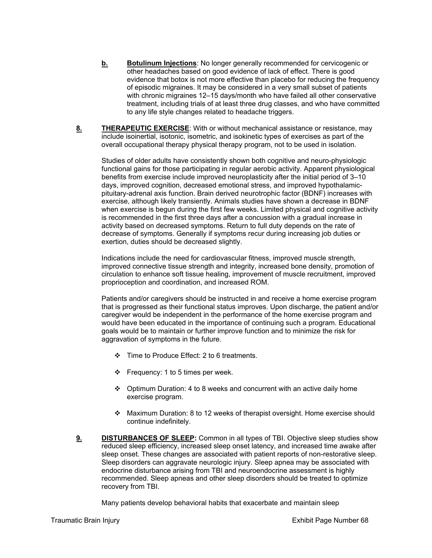- **b. Botulinum Injections**: No longer generally recommended for cervicogenic or other headaches based on good evidence of lack of effect. There is good evidence that botox is not more effective than placebo for reducing the frequency of episodic migraines. It may be considered in a very small subset of patients with chronic migraines 12–15 days/month who have failed all other conservative treatment, including trials of at least three drug classes, and who have committed to any life style changes related to headache triggers.
- **8. THERAPEUTIC EXERCISE**: With or without mechanical assistance or resistance, may include isoinertial, isotonic, isometric, and isokinetic types of exercises as part of the overall occupational therapy physical therapy program, not to be used in isolation.

Studies of older adults have consistently shown both cognitive and neuro-physiologic functional gains for those participating in regular aerobic activity. Apparent physiological benefits from exercise include improved neuroplasticity after the initial period of 3–10 days, improved cognition, decreased emotional stress, and improved hypothalamicpituitary-adrenal axis function. Brain derived neurotrophic factor (BDNF) increases with exercise, although likely transiently. Animals studies have shown a decrease in BDNF when exercise is begun during the first few weeks. Limited physical and cognitive activity is recommended in the first three days after a concussion with a gradual increase in activity based on decreased symptoms. Return to full duty depends on the rate of decrease of symptoms. Generally if symptoms recur during increasing job duties or exertion, duties should be decreased slightly.

Indications include the need for cardiovascular fitness, improved muscle strength, improved connective tissue strength and integrity, increased bone density, promotion of circulation to enhance soft tissue healing, improvement of muscle recruitment, improved proprioception and coordination, and increased ROM.

Patients and/or caregivers should be instructed in and receive a home exercise program that is progressed as their functional status improves. Upon discharge, the patient and/or caregiver would be independent in the performance of the home exercise program and would have been educated in the importance of continuing such a program. Educational goals would be to maintain or further improve function and to minimize the risk for aggravation of symptoms in the future.

- Time to Produce Effect: 2 to 6 treatments.
- $\div$  Frequency: 1 to 5 times per week.
- $\div$  Optimum Duration: 4 to 8 weeks and concurrent with an active daily home exercise program.
- Maximum Duration: 8 to 12 weeks of therapist oversight. Home exercise should continue indefinitely.
- **9. DISTURBANCES OF SLEEP:** Common in all types of TBI. Objective sleep studies show reduced sleep efficiency, increased sleep onset latency, and increased time awake after sleep onset. These changes are associated with patient reports of non-restorative sleep. Sleep disorders can aggravate neurologic injury. Sleep apnea may be associated with endocrine disturbance arising from TBI and neuroendocrine assessment is highly recommended. Sleep apneas and other sleep disorders should be treated to optimize recovery from TBI.

Many patients develop behavioral habits that exacerbate and maintain sleep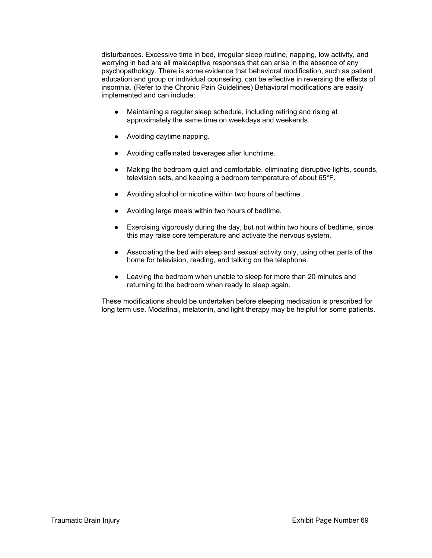disturbances. Excessive time in bed, irregular sleep routine, napping, low activity, and worrying in bed are all maladaptive responses that can arise in the absence of any psychopathology. There is some evidence that behavioral modification, such as patient education and group or individual counseling, can be effective in reversing the effects of insomnia. (Refer to the Chronic Pain Guidelines) Behavioral modifications are easily implemented and can include:

- Maintaining a regular sleep schedule, including retiring and rising at approximately the same time on weekdays and weekends.
- Avoiding daytime napping.
- Avoiding caffeinated beverages after lunchtime.
- Making the bedroom quiet and comfortable, eliminating disruptive lights, sounds, television sets, and keeping a bedroom temperature of about 65°F.
- Avoiding alcohol or nicotine within two hours of bedtime.
- Avoiding large meals within two hours of bedtime.
- Exercising vigorously during the day, but not within two hours of bedtime, since this may raise core temperature and activate the nervous system.
- Associating the bed with sleep and sexual activity only, using other parts of the home for television, reading, and talking on the telephone.
- Leaving the bedroom when unable to sleep for more than 20 minutes and returning to the bedroom when ready to sleep again.

These modifications should be undertaken before sleeping medication is prescribed for long term use. Modafinal, melatonin, and light therapy may be helpful for some patients.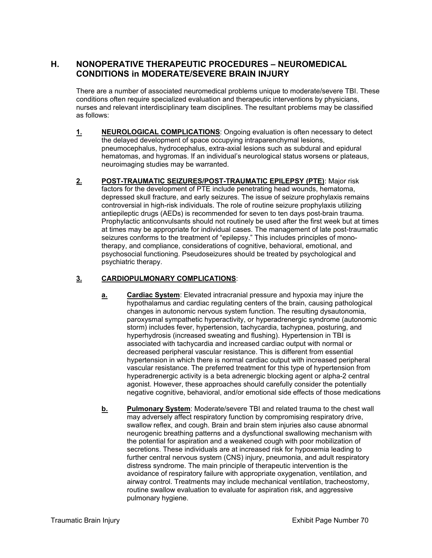# **H. NONOPERATIVE THERAPEUTIC PROCEDURES – NEUROMEDICAL CONDITIONS in MODERATE/SEVERE BRAIN INJURY**

There are a number of associated neuromedical problems unique to moderate/severe TBI. These conditions often require specialized evaluation and therapeutic interventions by physicians, nurses and relevant interdisciplinary team disciplines. The resultant problems may be classified as follows:

- **1. NEUROLOGICAL COMPLICATIONS**: Ongoing evaluation is often necessary to detect the delayed development of space occupying intraparenchymal lesions, pneumocephalus, hydrocephalus, extra-axial lesions such as subdural and epidural hematomas, and hygromas. If an individual's neurological status worsens or plateaus, neuroimaging studies may be warranted.
- **2. POST-TRAUMATIC SEIZURES/POST-TRAUMATIC EPILEPSY (PTE)**: Major risk factors for the development of PTE include penetrating head wounds, hematoma, depressed skull fracture, and early seizures. The issue of seizure prophylaxis remains controversial in high-risk individuals. The role of routine seizure prophylaxis utilizing antiepileptic drugs (AEDs) is recommended for seven to ten days post-brain trauma. Prophylactic anticonvulsants should not routinely be used after the first week but at times at times may be appropriate for individual cases. The management of late post-traumatic seizures conforms to the treatment of "epilepsy." This includes principles of monotherapy, and compliance, considerations of cognitive, behavioral, emotional, and psychosocial functioning. Pseudoseizures should be treated by psychological and psychiatric therapy.

# **3. CARDIOPULMONARY COMPLICATIONS**:

- **a. Cardiac System**: Elevated intracranial pressure and hypoxia may injure the hypothalamus and cardiac regulating centers of the brain, causing pathological changes in autonomic nervous system function. The resulting dysautonomia, paroxysmal sympathetic hyperactivity, or hyperadrenergic syndrome (autonomic storm) includes fever, hypertension, tachycardia, tachypnea, posturing, and hyperhydrosis (increased sweating and flushing). Hypertension in TBI is associated with tachycardia and increased cardiac output with normal or decreased peripheral vascular resistance. This is different from essential hypertension in which there is normal cardiac output with increased peripheral vascular resistance. The preferred treatment for this type of hypertension from hyperadrenergic activity is a beta adrenergic blocking agent or alpha-2 central agonist. However, these approaches should carefully consider the potentially negative cognitive, behavioral, and/or emotional side effects of those medications
- **b. Pulmonary System**: Moderate/severe TBI and related trauma to the chest wall may adversely affect respiratory function by compromising respiratory drive, swallow reflex, and cough. Brain and brain stem injuries also cause abnormal neurogenic breathing patterns and a dysfunctional swallowing mechanism with the potential for aspiration and a weakened cough with poor mobilization of secretions. These individuals are at increased risk for hypoxemia leading to further central nervous system (CNS) injury, pneumonia, and adult respiratory distress syndrome. The main principle of therapeutic intervention is the avoidance of respiratory failure with appropriate oxygenation, ventilation, and airway control. Treatments may include mechanical ventilation, tracheostomy, routine swallow evaluation to evaluate for aspiration risk, and aggressive pulmonary hygiene.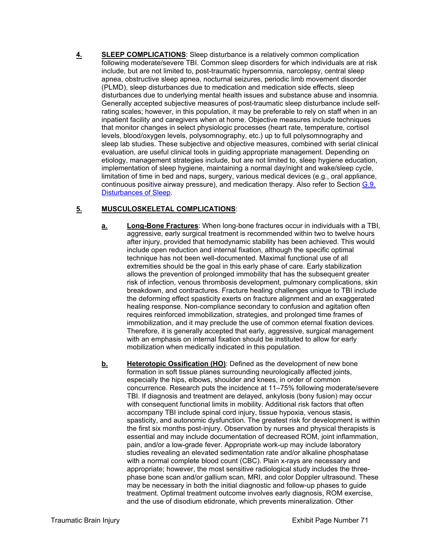**4. SLEEP COMPLICATIONS**: Sleep disturbance is a relatively common complication following moderate/severe TBI. Common sleep disorders for which individuals are at risk include, but are not limited to, post-traumatic hypersomnia, narcolepsy, central sleep apnea, obstructive sleep apnea, nocturnal seizures, periodic limb movement disorder (PLMD), sleep disturbances due to medication and medication side effects, sleep disturbances due to underlying mental health issues and substance abuse and insomnia. Generally accepted subjective measures of post-traumatic sleep disturbance include selfrating scales; however, in this population, it may be preferable to rely on staff when in an inpatient facility and caregivers when at home. Objective measures include techniques that monitor changes in select physiologic processes (heart rate, temperature, cortisol levels, blood/oxygen levels, polysomnography, etc.) up to full polysomnography and sleep lab studies. These subjective and objective measures, combined with serial clinical evaluation, are useful clinical tools in guiding appropriate management. Depending on etiology, management strategies include, but are not limited to, sleep hygiene education, implementation of sleep hygiene, maintaining a normal day/night and wake/sleep cycle, limitation of time in bed and naps, surgery, various medical devices (e.g., oral appliance, continuous positive airway pressure), and medication therapy. Also refer to Section G.9. Disturbances of Sleep.

# **5. MUSCULOSKELETAL COMPLICATIONS**:

- **a. Long-Bone Fractures**: When long-bone fractures occur in individuals with a TBI, aggressive, early surgical treatment is recommended within two to twelve hours after injury, provided that hemodynamic stability has been achieved. This would include open reduction and internal fixation, although the specific optimal technique has not been well-documented. Maximal functional use of all extremities should be the goal in this early phase of care. Early stabilization allows the prevention of prolonged immobility that has the subsequent greater risk of infection, venous thrombosis development, pulmonary complications, skin breakdown, and contractures. Fracture healing challenges unique to TBI include the deforming effect spasticity exerts on fracture alignment and an exaggerated healing response. Non-compliance secondary to confusion and agitation often requires reinforced immobilization, strategies, and prolonged time frames of immobilization, and it may preclude the use of common eternal fixation devices. Therefore, it is generally accepted that early, aggressive, surgical management with an emphasis on internal fixation should be instituted to allow for early mobilization when medically indicated in this population.
- **b.** Heterotopic Ossification (HO): Defined as the development of new bone formation in soft tissue planes surrounding neurologically affected joints, especially the hips, elbows, shoulder and knees, in order of common concurrence. Research puts the incidence at 11–75% following moderate/severe TBI. If diagnosis and treatment are delayed, ankylosis (bony fusion) may occur with consequent functional limits in mobility. Additional risk factors that often accompany TBI include spinal cord injury, tissue hypoxia, venous stasis, spasticity, and autonomic dysfunction. The greatest risk for development is within the first six months post-injury. Observation by nurses and physical therapists is essential and may include documentation of decreased ROM, joint inflammation, pain, and/or a low-grade fever. Appropriate work-up may include laboratory studies revealing an elevated sedimentation rate and/or alkaline phosphatase with a normal complete blood count (CBC). Plain x-rays are necessary and appropriate; however, the most sensitive radiological study includes the threephase bone scan and/or gallium scan, MRI, and color Doppler ultrasound. These may be necessary in both the initial diagnostic and follow-up phases to guide treatment. Optimal treatment outcome involves early diagnosis, ROM exercise, and the use of disodium etidronate, which prevents mineralization. Other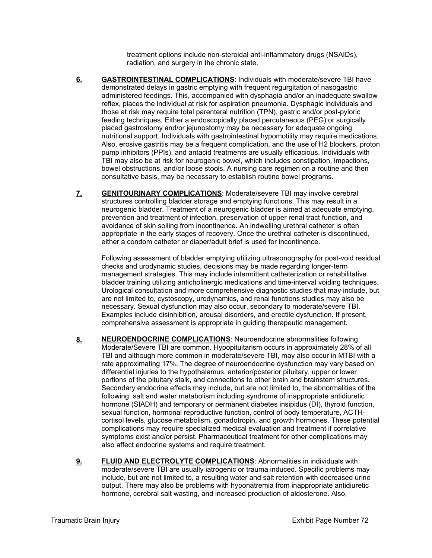treatment options include non-steroidal anti-inflammatory drugs (NSAIDs), radiation, and surgery in the chronic state.

- **6. GASTROINTESTINAL COMPLICATIONS**: Individuals with moderate/severe TBI have demonstrated delays in gastric emptying with frequent regurgitation of nasogastric administered feedings. This, accompanied with dysphagia and/or an inadequate swallow reflex, places the individual at risk for aspiration pneumonia. Dysphagic individuals and those at risk may require total parenteral nutrition (TPN), gastric and/or post-pyloric feeding techniques. Either a endoscopically placed percutaneous (PEG) or surgically placed gastrostomy and/or jejunostomy may be necessary for adequate ongoing nutritional support. Individuals with gastrointestinal hypomotility may require medications. Also, erosive gastritis may be a frequent complication, and the use of H2 blockers, proton pump inhibitors (PPIs), and antacid treatments are usually efficacious. Individuals with TBI may also be at risk for neurogenic bowel, which includes constipation, impactions, bowel obstructions, and/or loose stools. A nursing care regimen on a routine and then consultative basis, may be necessary to establish routine bowel programs.
- **7. GENITOURINARY COMPLICATIONS**: Moderate/severe TBI may involve cerebral structures controlling bladder storage and emptying functions. This may result in a neurogenic bladder. Treatment of a neurogenic bladder is aimed at adequate emptying, prevention and treatment of infection, preservation of upper renal tract function, and avoidance of skin soiling from incontinence. An indwelling urethral catheter is often appropriate in the early stages of recovery. Once the urethral catheter is discontinued, either a condom catheter or diaper/adult brief is used for incontinence.

Following assessment of bladder emptying utilizing ultrasonography for post-void residual checks and urodynamic studies, decisions may be made regarding longer-term management strategies. This may include intermittent catheterization or rehabilitative bladder training utilizing anticholinergic medications and time-interval voiding techniques. Urological consultation and more comprehensive diagnostic studies that may include, but are not limited to, cystoscopy, urodynamics, and renal functions studies may also be necessary. Sexual dysfunction may also occur, secondary to moderate/severe TBI. Examples include disinhibition, arousal disorders, and erectile dysfunction. If present, comprehensive assessment is appropriate in guiding therapeutic management.

- **8. NEUROENDOCRINE COMPLICATIONS**: Neuroendocrine abnormalities following Moderate/Severe TBI are common. Hypopituitarism occurs in approximately 28% of all TBI and although more common in moderate/severe TBI, may also occur in MTBI with a rate approximating 17%. The degree of neuroendocrine dysfunction may vary based on differential injuries to the hypothalamus, anterior/posterior pituitary, upper or lower portions of the pituitary stalk, and connections to other brain and brainstem structures. Secondary endocrine effects may include, but are not limited to, the abnormalities of the following: salt and water metabolism including syndrome of inappropriate antidiuretic hormone (SIADH) and temporary or permanent diabetes insipidus (DI), thyroid function, sexual function, hormonal reproductive function, control of body temperature, ACTHcortisol levels, glucose metabolism, gonadotropin, and growth hormones. These potential complications may require specialized medical evaluation and treatment if correlative symptoms exist and/or persist. Pharmaceutical treatment for other complications may also affect endocrine systems and require treatment.
- **9. FLUID AND ELECTROLYTE COMPLICATIONS:** Abnormalities in individuals with moderate/severe TBI are usually iatrogenic or trauma induced. Specific problems may include, but are not limited to, a resulting water and salt retention with decreased urine output. There may also be problems with hyponatremia from inappropriate antidiuretic hormone, cerebral salt wasting, and increased production of aldosterone. Also,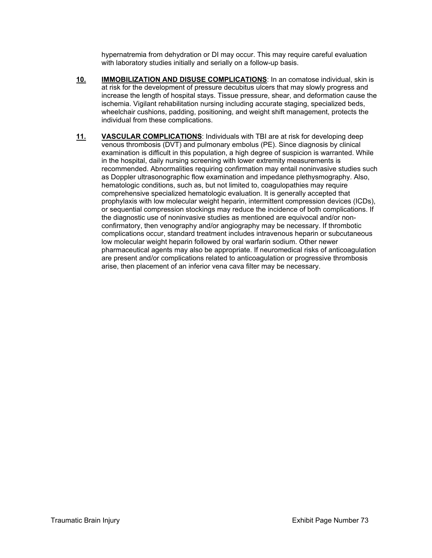hypernatremia from dehydration or DI may occur. This may require careful evaluation with laboratory studies initially and serially on a follow-up basis.

- **10. IMMOBILIZATION AND DISUSE COMPLICATIONS**: In an comatose individual, skin is at risk for the development of pressure decubitus ulcers that may slowly progress and increase the length of hospital stays. Tissue pressure, shear, and deformation cause the ischemia. Vigilant rehabilitation nursing including accurate staging, specialized beds, wheelchair cushions, padding, positioning, and weight shift management, protects the individual from these complications.
- **11. VASCULAR COMPLICATIONS**: Individuals with TBI are at risk for developing deep venous thrombosis (DVT) and pulmonary embolus (PE). Since diagnosis by clinical examination is difficult in this population, a high degree of suspicion is warranted. While in the hospital, daily nursing screening with lower extremity measurements is recommended. Abnormalities requiring confirmation may entail noninvasive studies such as Doppler ultrasonographic flow examination and impedance plethysmography. Also, hematologic conditions, such as, but not limited to, coagulopathies may require comprehensive specialized hematologic evaluation. It is generally accepted that prophylaxis with low molecular weight heparin, intermittent compression devices (ICDs), or sequential compression stockings may reduce the incidence of both complications. If the diagnostic use of noninvasive studies as mentioned are equivocal and/or nonconfirmatory, then venography and/or angiography may be necessary. If thrombotic complications occur, standard treatment includes intravenous heparin or subcutaneous low molecular weight heparin followed by oral warfarin sodium. Other newer pharmaceutical agents may also be appropriate. If neuromedical risks of anticoagulation are present and/or complications related to anticoagulation or progressive thrombosis arise, then placement of an inferior vena cava filter may be necessary.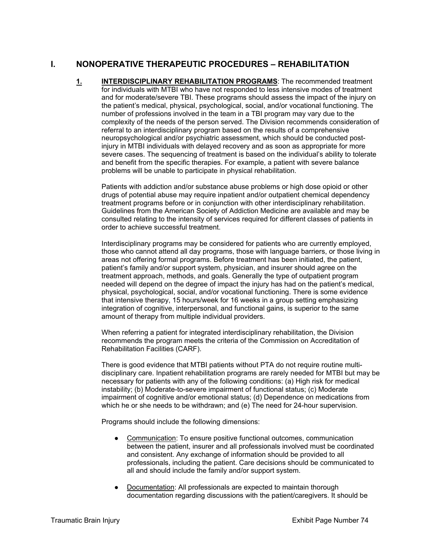# **I. NONOPERATIVE THERAPEUTIC PROCEDURES – REHABILITATION**

1. **INTERDISCIPLINARY REHABILITATION PROGRAMS**: The recommended treatment for individuals with MTBI who have not responded to less intensive modes of treatment and for moderate/severe TBI. These programs should assess the impact of the injury on the patient's medical, physical, psychological, social, and/or vocational functioning. The number of professions involved in the team in a TBI program may vary due to the complexity of the needs of the person served. The Division recommends consideration of referral to an interdisciplinary program based on the results of a comprehensive neuropsychological and/or psychiatric assessment, which should be conducted postinjury in MTBI individuals with delayed recovery and as soon as appropriate for more severe cases. The sequencing of treatment is based on the individual's ability to tolerate and benefit from the specific therapies. For example, a patient with severe balance problems will be unable to participate in physical rehabilitation.

Patients with addiction and/or substance abuse problems or high dose opioid or other drugs of potential abuse may require inpatient and/or outpatient chemical dependency treatment programs before or in conjunction with other interdisciplinary rehabilitation. Guidelines from the American Society of Addiction Medicine are available and may be consulted relating to the intensity of services required for different classes of patients in order to achieve successful treatment.

Interdisciplinary programs may be considered for patients who are currently employed, those who cannot attend all day programs, those with language barriers, or those living in areas not offering formal programs. Before treatment has been initiated, the patient, patient's family and/or support system, physician, and insurer should agree on the treatment approach, methods, and goals. Generally the type of outpatient program needed will depend on the degree of impact the injury has had on the patient's medical, physical, psychological, social, and/or vocational functioning. There is some evidence that intensive therapy, 15 hours/week for 16 weeks in a group setting emphasizing integration of cognitive, interpersonal, and functional gains, is superior to the same amount of therapy from multiple individual providers.

When referring a patient for integrated interdisciplinary rehabilitation, the Division recommends the program meets the criteria of the Commission on Accreditation of Rehabilitation Facilities (CARF).

There is good evidence that MTBI patients without PTA do not require routine multidisciplinary care. Inpatient rehabilitation programs are rarely needed for MTBI but may be necessary for patients with any of the following conditions: (a) High risk for medical instability; (b) Moderate-to-severe impairment of functional status; (c) Moderate impairment of cognitive and/or emotional status; (d) Dependence on medications from which he or she needs to be withdrawn; and (e) The need for 24-hour supervision.

Programs should include the following dimensions:

- Communication: To ensure positive functional outcomes, communication between the patient, insurer and all professionals involved must be coordinated and consistent. Any exchange of information should be provided to all professionals, including the patient. Care decisions should be communicated to all and should include the family and/or support system.
- Documentation: All professionals are expected to maintain thorough documentation regarding discussions with the patient/caregivers. It should be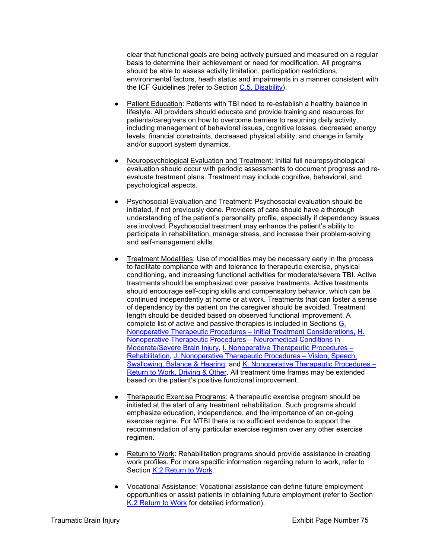clear that functional goals are being actively pursued and measured on a regular basis to determine their achievement or need for modification. All programs should be able to assess activity limitation, participation restrictions, environmental factors, heath status and impairments in a manner consistent with the ICF Guidelines (refer to Section C.5. Disability).

- Patient Education: Patients with TBI need to re-establish a healthy balance in lifestyle. All providers should educate and provide training and resources for patients/caregivers on how to overcome barriers to resuming daily activity, including management of behavioral issues, cognitive losses, decreased energy levels, financial constraints, decreased physical ability, and change in family and/or support system dynamics.
- Neuropsychological Evaluation and Treatment: Initial full neuropsychological evaluation should occur with periodic assessments to document progress and reevaluate treatment plans. Treatment may include cognitive, behavioral, and psychological aspects.
- **Psychosocial Evaluation and Treatment: Psychosocial evaluation should be** initiated, if not previously done. Providers of care should have a thorough understanding of the patient's personality profile, especially if dependency issues are involved. Psychosocial treatment may enhance the patient's ability to participate in rehabilitation, manage stress, and increase their problem-solving and self-management skills.
- Treatment Modalities: Use of modalities may be necessary early in the process to facilitate compliance with and tolerance to therapeutic exercise, physical conditioning, and increasing functional activities for moderate/severe TBI. Active treatments should be emphasized over passive treatments. Active treatments should encourage self-coping skills and compensatory behavior, which can be continued independently at home or at work. Treatments that can foster a sense of dependency by the patient on the caregiver should be avoided. Treatment length should be decided based on observed functional improvement. A complete list of active and passive therapies is included in Sections G. Nonoperative Therapeutic Procedures – Initial Treatment Considerations, H. Nonoperative Therapeutic Procedures – Neuromedical Conditions in Moderate/Severe Brain Injury, I. Nonoperative Therapeutic Procedures – Rehabilitation, J. Nonoperative Therapeutic Procedures – Vision, Speech, Swallowing, Balance & Hearing, and K. Nonoperative Therapeutic Procedures – Return to Work, Driving & Other. All treatment time frames may be extended based on the patient's positive functional improvement.
- Therapeutic Exercise Programs: A therapeutic exercise program should be initiated at the start of any treatment rehabilitation. Such programs should emphasize education, independence, and the importance of an on-going exercise regime. For MTBI there is no sufficient evidence to support the recommendation of any particular exercise regimen over any other exercise regimen.
- Return to Work: Rehabilitation programs should provide assistance in creating work profiles. For more specific information regarding return to work, refer to Section K.2 Return to Work.
- Vocational Assistance: Vocational assistance can define future employment opportunities or assist patients in obtaining future employment (refer to Section K.2 Return to Work for detailed information).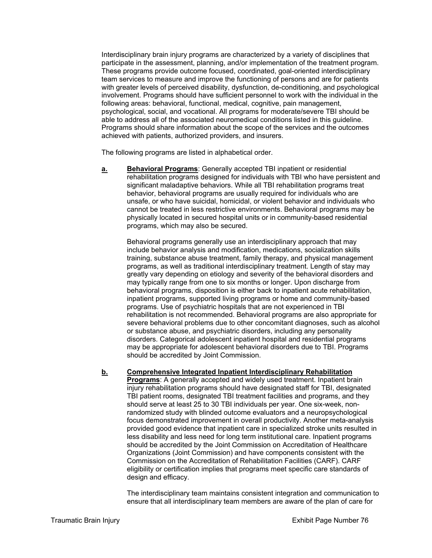Interdisciplinary brain injury programs are characterized by a variety of disciplines that participate in the assessment, planning, and/or implementation of the treatment program. These programs provide outcome focused, coordinated, goal-oriented interdisciplinary team services to measure and improve the functioning of persons and are for patients with greater levels of perceived disability, dysfunction, de-conditioning, and psychological involvement. Programs should have sufficient personnel to work with the individual in the following areas: behavioral, functional, medical, cognitive, pain management, psychological, social, and vocational. All programs for moderate/severe TBI should be able to address all of the associated neuromedical conditions listed in this guideline. Programs should share information about the scope of the services and the outcomes achieved with patients, authorized providers, and insurers.

The following programs are listed in alphabetical order.

**a. Behavioral Programs**: Generally accepted TBI inpatient or residential rehabilitation programs designed for individuals with TBI who have persistent and significant maladaptive behaviors. While all TBI rehabilitation programs treat behavior, behavioral programs are usually required for individuals who are unsafe, or who have suicidal, homicidal, or violent behavior and individuals who cannot be treated in less restrictive environments. Behavioral programs may be physically located in secured hospital units or in community-based residential programs, which may also be secured.

Behavioral programs generally use an interdisciplinary approach that may include behavior analysis and modification, medications, socialization skills training, substance abuse treatment, family therapy, and physical management programs, as well as traditional interdisciplinary treatment. Length of stay may greatly vary depending on etiology and severity of the behavioral disorders and may typically range from one to six months or longer. Upon discharge from behavioral programs, disposition is either back to inpatient acute rehabilitation, inpatient programs, supported living programs or home and community-based programs. Use of psychiatric hospitals that are not experienced in TBI rehabilitation is not recommended. Behavioral programs are also appropriate for severe behavioral problems due to other concomitant diagnoses, such as alcohol or substance abuse, and psychiatric disorders, including any personality disorders. Categorical adolescent inpatient hospital and residential programs may be appropriate for adolescent behavioral disorders due to TBI. Programs should be accredited by Joint Commission.

**b. Comprehensive Integrated Inpatient Interdisciplinary Rehabilitation Programs:** A generally accepted and widely used treatment. Inpatient brain injury rehabilitation programs should have designated staff for TBI, designated TBI patient rooms, designated TBI treatment facilities and programs, and they should serve at least 25 to 30 TBI individuals per year. One six-week, nonrandomized study with blinded outcome evaluators and a neuropsychological focus demonstrated improvement in overall productivity. Another meta-analysis provided good evidence that inpatient care in specialized stroke units resulted in less disability and less need for long term institutional care. Inpatient programs should be accredited by the Joint Commission on Accreditation of Healthcare Organizations (Joint Commission) and have components consistent with the Commission on the Accreditation of Rehabilitation Facilities (CARF). CARF eligibility or certification implies that programs meet specific care standards of design and efficacy.

The interdisciplinary team maintains consistent integration and communication to ensure that all interdisciplinary team members are aware of the plan of care for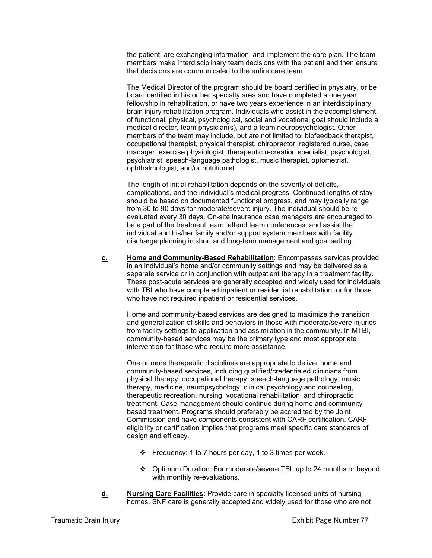the patient, are exchanging information, and implement the care plan. The team members make interdisciplinary team decisions with the patient and then ensure that decisions are communicated to the entire care team.

The Medical Director of the program should be board certified in physiatry, or be board certified in his or her specialty area and have completed a one year fellowship in rehabilitation, or have two years experience in an interdisciplinary brain injury rehabilitation program. Individuals who assist in the accomplishment of functional, physical, psychological, social and vocational goal should include a medical director, team physician(s), and a team neuropsychologist. Other members of the team may include, but are not limited to: biofeedback therapist, occupational therapist, physical therapist, chiropractor, registered nurse, case manager, exercise physiologist, therapeutic recreation specialist, psychologist, psychiatrist, speech-language pathologist, music therapist, optometrist, ophthalmologist, and/or nutritionist.

The length of initial rehabilitation depends on the severity of deficits, complications, and the individual's medical progress. Continued lengths of stay should be based on documented functional progress, and may typically range from 30 to 90 days for moderate/severe injury. The individual should be reevaluated every 30 days. On-site insurance case managers are encouraged to be a part of the treatment team, attend team conferences, and assist the individual and his/her family and/or support system members with facility discharge planning in short and long-term management and goal setting.

**c. Home and Community-Based Rehabilitation**: Encompasses services provided in an individual's home and/or community settings and may be delivered as a separate service or in conjunction with outpatient therapy in a treatment facility. These post-acute services are generally accepted and widely used for individuals with TBI who have completed inpatient or residential rehabilitation, or for those who have not required inpatient or residential services.

Home and community-based services are designed to maximize the transition and generalization of skills and behaviors in those with moderate/severe injuries from facility settings to application and assimilation in the community. In MTBI, community-based services may be the primary type and most appropriate intervention for those who require more assistance.

One or more therapeutic disciplines are appropriate to deliver home and community-based services, including qualified/credentialed clinicians from physical therapy, occupational therapy, speech-language pathology, music therapy, medicine, neuropsychology, clinical psychology and counseling, therapeutic recreation, nursing, vocational rehabilitation, and chiropractic treatment. Case management should continue during home and communitybased treatment. Programs should preferably be accredited by the Joint Commission and have components consistent with CARF certification. CARF eligibility or certification implies that programs meet specific care standards of design and efficacy.

- $\div$  Frequency: 1 to 7 hours per day, 1 to 3 times per week.
- Optimum Duration: For moderate/severe TBI, up to 24 months or beyond with monthly re-evaluations.
- **d. Nursing Care Facilities**: Provide care in specialty licensed units of nursing homes. SNF care is generally accepted and widely used for those who are not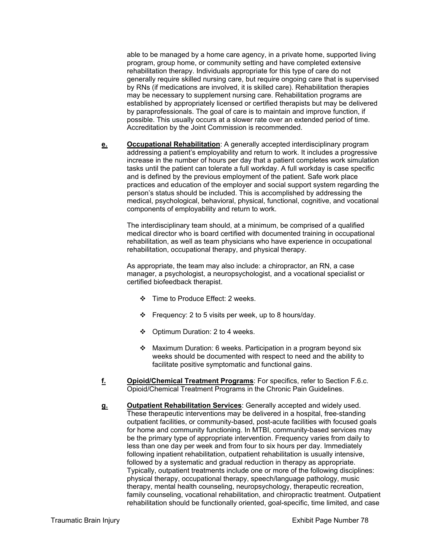able to be managed by a home care agency, in a private home, supported living program, group home, or community setting and have completed extensive rehabilitation therapy. Individuals appropriate for this type of care do not generally require skilled nursing care, but require ongoing care that is supervised by RNs (if medications are involved, it is skilled care). Rehabilitation therapies may be necessary to supplement nursing care. Rehabilitation programs are established by appropriately licensed or certified therapists but may be delivered by paraprofessionals. The goal of care is to maintain and improve function, if possible. This usually occurs at a slower rate over an extended period of time. Accreditation by the Joint Commission is recommended.

**e. Occupational Rehabilitation**: A generally accepted interdisciplinary program addressing a patient's employability and return to work. It includes a progressive increase in the number of hours per day that a patient completes work simulation tasks until the patient can tolerate a full workday. A full workday is case specific and is defined by the previous employment of the patient. Safe work place practices and education of the employer and social support system regarding the person's status should be included. This is accomplished by addressing the medical, psychological, behavioral, physical, functional, cognitive, and vocational components of employability and return to work.

The interdisciplinary team should, at a minimum, be comprised of a qualified medical director who is board certified with documented training in occupational rehabilitation, as well as team physicians who have experience in occupational rehabilitation, occupational therapy, and physical therapy.

As appropriate, the team may also include: a chiropractor, an RN, a case manager, a psychologist, a neuropsychologist, and a vocational specialist or certified biofeedback therapist.

- Time to Produce Effect: 2 weeks.
- Frequency: 2 to 5 visits per week, up to 8 hours/day.
- Optimum Duration: 2 to 4 weeks.
- Maximum Duration: 6 weeks. Participation in a program beyond six weeks should be documented with respect to need and the ability to facilitate positive symptomatic and functional gains.
- **f. Opioid/Chemical Treatment Programs**: For specifics, refer to Section F.6.c. Opioid/Chemical Treatment Programs in the Chronic Pain Guidelines.
- **g. Outpatient Rehabilitation Services**: Generally accepted and widely used. These therapeutic interventions may be delivered in a hospital, free-standing outpatient facilities, or community-based, post-acute facilities with focused goals for home and community functioning. In MTBI, community-based services may be the primary type of appropriate intervention. Frequency varies from daily to less than one day per week and from four to six hours per day. Immediately following inpatient rehabilitation, outpatient rehabilitation is usually intensive, followed by a systematic and gradual reduction in therapy as appropriate. Typically, outpatient treatments include one or more of the following disciplines: physical therapy, occupational therapy, speech/language pathology, music therapy, mental health counseling, neuropsychology, therapeutic recreation, family counseling, vocational rehabilitation, and chiropractic treatment. Outpatient rehabilitation should be functionally oriented, goal-specific, time limited, and case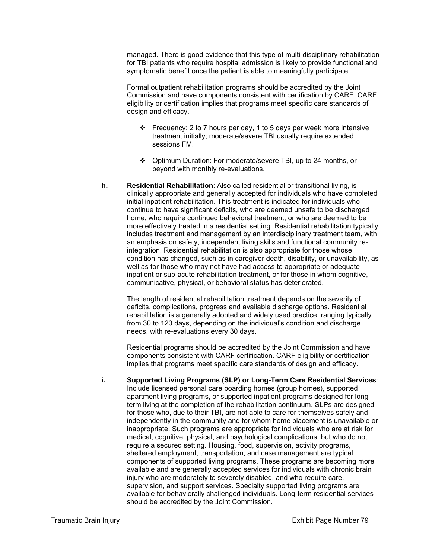managed. There is good evidence that this type of multi-disciplinary rehabilitation for TBI patients who require hospital admission is likely to provide functional and symptomatic benefit once the patient is able to meaningfully participate.

Formal outpatient rehabilitation programs should be accredited by the Joint Commission and have components consistent with certification by CARF. CARF eligibility or certification implies that programs meet specific care standards of design and efficacy.

- Frequency: 2 to 7 hours per day, 1 to 5 days per week more intensive treatment initially; moderate/severe TBI usually require extended sessions FM.
- Optimum Duration: For moderate/severe TBI, up to 24 months, or beyond with monthly re-evaluations.
- **h. Residential Rehabilitation**: Also called residential or transitional living, is clinically appropriate and generally accepted for individuals who have completed initial inpatient rehabilitation. This treatment is indicated for individuals who continue to have significant deficits, who are deemed unsafe to be discharged home, who require continued behavioral treatment, or who are deemed to be more effectively treated in a residential setting. Residential rehabilitation typically includes treatment and management by an interdisciplinary treatment team, with an emphasis on safety, independent living skills and functional community reintegration. Residential rehabilitation is also appropriate for those whose condition has changed, such as in caregiver death, disability, or unavailability, as well as for those who may not have had access to appropriate or adequate inpatient or sub-acute rehabilitation treatment, or for those in whom cognitive, communicative, physical, or behavioral status has deteriorated.

The length of residential rehabilitation treatment depends on the severity of deficits, complications, progress and available discharge options. Residential rehabilitation is a generally adopted and widely used practice, ranging typically from 30 to 120 days, depending on the individual's condition and discharge needs, with re-evaluations every 30 days.

Residential programs should be accredited by the Joint Commission and have components consistent with CARF certification. CARF eligibility or certification implies that programs meet specific care standards of design and efficacy.

**i. Supported Living Programs (SLP) or Long-Term Care Residential Services**: Include licensed personal care boarding homes (group homes), supported apartment living programs, or supported inpatient programs designed for longterm living at the completion of the rehabilitation continuum. SLPs are designed for those who, due to their TBI, are not able to care for themselves safely and independently in the community and for whom home placement is unavailable or inappropriate. Such programs are appropriate for individuals who are at risk for medical, cognitive, physical, and psychological complications, but who do not require a secured setting. Housing, food, supervision, activity programs, sheltered employment, transportation, and case management are typical components of supported living programs. These programs are becoming more available and are generally accepted services for individuals with chronic brain injury who are moderately to severely disabled, and who require care, supervision, and support services. Specialty supported living programs are available for behaviorally challenged individuals. Long-term residential services should be accredited by the Joint Commission.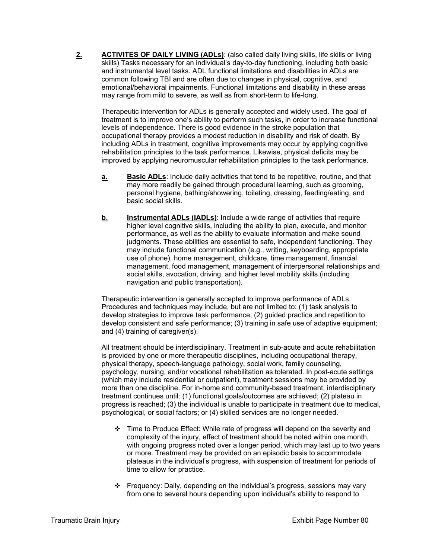**2. ACTIVITES OF DAILY LIVING (ADLs)**: (also called daily living skills, life skills or living skills) Tasks necessary for an individual's day-to-day functioning, including both basic and instrumental level tasks. ADL functional limitations and disabilities in ADLs are common following TBI and are often due to changes in physical, cognitive, and emotional/behavioral impairments. Functional limitations and disability in these areas may range from mild to severe, as well as from short-term to life-long.

Therapeutic intervention for ADLs is generally accepted and widely used. The goal of treatment is to improve one's ability to perform such tasks, in order to increase functional levels of independence. There is good evidence in the stroke population that occupational therapy provides a modest reduction in disability and risk of death. By including ADLs in treatment, cognitive improvements may occur by applying cognitive rehabilitation principles to the task performance. Likewise, physical deficits may be improved by applying neuromuscular rehabilitation principles to the task performance.

- **a. Basic ADLs**: Include daily activities that tend to be repetitive, routine, and that may more readily be gained through procedural learning, such as grooming, personal hygiene, bathing/showering, toileting, dressing, feeding/eating, and basic social skills.
- **b.** Instrumental ADLs (IADLs): Include a wide range of activities that require higher level cognitive skills, including the ability to plan, execute, and monitor performance, as well as the ability to evaluate information and make sound judgments. These abilities are essential to safe, independent functioning. They may include functional communication (e.g., writing, keyboarding, appropriate use of phone), home management, childcare, time management, financial management, food management, management of interpersonal relationships and social skills, avocation, driving, and higher level mobility skills (including navigation and public transportation).

Therapeutic intervention is generally accepted to improve performance of ADLs. Procedures and techniques may include, but are not limited to: (1) task analysis to develop strategies to improve task performance; (2) guided practice and repetition to develop consistent and safe performance; (3) training in safe use of adaptive equipment; and (4) training of caregiver(s).

All treatment should be interdisciplinary. Treatment in sub-acute and acute rehabilitation is provided by one or more therapeutic disciplines, including occupational therapy, physical therapy, speech-language pathology, social work, family counseling, psychology, nursing, and/or vocational rehabilitation as tolerated. In post-acute settings (which may include residential or outpatient), treatment sessions may be provided by more than one discipline. For in-home and community-based treatment, interdisciplinary treatment continues until: (1) functional goals/outcomes are achieved; (2) plateau in progress is reached; (3) the individual is unable to participate in treatment due to medical, psychological, or social factors; or (4) skilled services are no longer needed.

- $\div$  Time to Produce Effect: While rate of progress will depend on the severity and complexity of the injury, effect of treatment should be noted within one month, with ongoing progress noted over a longer period, which may last up to two years or more. Treatment may be provided on an episodic basis to accommodate plateaus in the individual's progress, with suspension of treatment for periods of time to allow for practice.
- $\div$  Frequency: Daily, depending on the individual's progress, sessions may vary from one to several hours depending upon individual's ability to respond to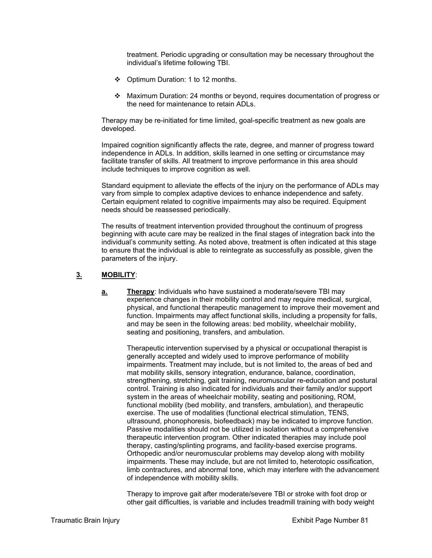treatment. Periodic upgrading or consultation may be necessary throughout the individual's lifetime following TBI.

- Optimum Duration: 1 to 12 months.
- Maximum Duration: 24 months or beyond, requires documentation of progress or the need for maintenance to retain ADLs.

Therapy may be re-initiated for time limited, goal-specific treatment as new goals are developed.

Impaired cognition significantly affects the rate, degree, and manner of progress toward independence in ADLs. In addition, skills learned in one setting or circumstance may facilitate transfer of skills. All treatment to improve performance in this area should include techniques to improve cognition as well.

Standard equipment to alleviate the effects of the injury on the performance of ADLs may vary from simple to complex adaptive devices to enhance independence and safety. Certain equipment related to cognitive impairments may also be required. Equipment needs should be reassessed periodically.

The results of treatment intervention provided throughout the continuum of progress beginning with acute care may be realized in the final stages of integration back into the individual's community setting. As noted above, treatment is often indicated at this stage to ensure that the individual is able to reintegrate as successfully as possible, given the parameters of the injury.

## **3. MOBILITY**:

**a. Therapy**: Individuals who have sustained a moderate/severe TBI may experience changes in their mobility control and may require medical, surgical, physical, and functional therapeutic management to improve their movement and function. Impairments may affect functional skills, including a propensity for falls, and may be seen in the following areas: bed mobility, wheelchair mobility, seating and positioning, transfers, and ambulation.

Therapeutic intervention supervised by a physical or occupational therapist is generally accepted and widely used to improve performance of mobility impairments. Treatment may include, but is not limited to, the areas of bed and mat mobility skills, sensory integration, endurance, balance, coordination, strengthening, stretching, gait training, neuromuscular re-education and postural control. Training is also indicated for individuals and their family and/or support system in the areas of wheelchair mobility, seating and positioning, ROM, functional mobility (bed mobility, and transfers, ambulation), and therapeutic exercise. The use of modalities (functional electrical stimulation, TENS, ultrasound, phonophoresis, biofeedback) may be indicated to improve function. Passive modalities should not be utilized in isolation without a comprehensive therapeutic intervention program. Other indicated therapies may include pool therapy, casting/splinting programs, and facility-based exercise programs. Orthopedic and/or neuromuscular problems may develop along with mobility impairments. These may include, but are not limited to, heterotopic ossification, limb contractures, and abnormal tone, which may interfere with the advancement of independence with mobility skills.

Therapy to improve gait after moderate/severe TBI or stroke with foot drop or other gait difficulties, is variable and includes treadmill training with body weight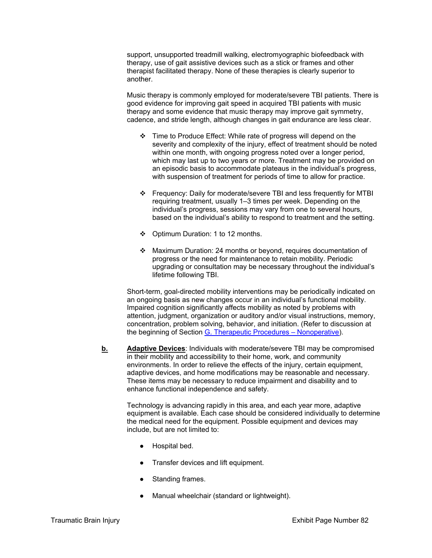support, unsupported treadmill walking, electromyographic biofeedback with therapy, use of gait assistive devices such as a stick or frames and other therapist facilitated therapy. None of these therapies is clearly superior to another.

Music therapy is commonly employed for moderate/severe TBI patients. There is good evidence for improving gait speed in acquired TBI patients with music therapy and some evidence that music therapy may improve gait symmetry, cadence, and stride length, although changes in gait endurance are less clear.

- Time to Produce Effect: While rate of progress will depend on the severity and complexity of the injury, effect of treatment should be noted within one month, with ongoing progress noted over a longer period, which may last up to two years or more. Treatment may be provided on an episodic basis to accommodate plateaus in the individual's progress, with suspension of treatment for periods of time to allow for practice.
- Frequency: Daily for moderate/severe TBI and less frequently for MTBI requiring treatment, usually 1–3 times per week. Depending on the individual's progress, sessions may vary from one to several hours, based on the individual's ability to respond to treatment and the setting.
- Optimum Duration: 1 to 12 months.
- Maximum Duration: 24 months or beyond, requires documentation of progress or the need for maintenance to retain mobility. Periodic upgrading or consultation may be necessary throughout the individual's lifetime following TBI.

Short-term, goal-directed mobility interventions may be periodically indicated on an ongoing basis as new changes occur in an individual's functional mobility. Impaired cognition significantly affects mobility as noted by problems with attention, judgment, organization or auditory and/or visual instructions, memory, concentration, problem solving, behavior, and initiation. (Refer to discussion at the beginning of Section G. Therapeutic Procedures – Nonoperative).

**b. Adaptive Devices**: Individuals with moderate/severe TBI may be compromised in their mobility and accessibility to their home, work, and community environments. In order to relieve the effects of the injury, certain equipment, adaptive devices, and home modifications may be reasonable and necessary. These items may be necessary to reduce impairment and disability and to enhance functional independence and safety.

Technology is advancing rapidly in this area, and each year more, adaptive equipment is available. Each case should be considered individually to determine the medical need for the equipment. Possible equipment and devices may include, but are not limited to:

- Hospital bed.
- Transfer devices and lift equipment.
- Standing frames.
- Manual wheelchair (standard or lightweight).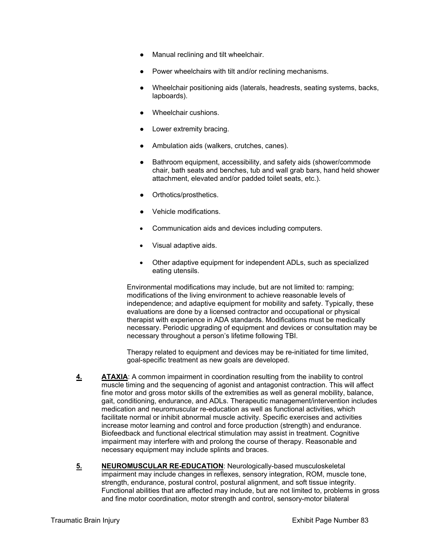- Manual reclining and tilt wheelchair.
- Power wheelchairs with tilt and/or reclining mechanisms.
- Wheelchair positioning aids (laterals, headrests, seating systems, backs, lapboards).
- Wheelchair cushions.
- Lower extremity bracing.
- Ambulation aids (walkers, crutches, canes).
- Bathroom equipment, accessibility, and safety aids (shower/commode chair, bath seats and benches, tub and wall grab bars, hand held shower attachment, elevated and/or padded toilet seats, etc.).
- Orthotics/prosthetics.
- Vehicle modifications.
- Communication aids and devices including computers.
- Visual adaptive aids.
- Other adaptive equipment for independent ADLs, such as specialized eating utensils.

Environmental modifications may include, but are not limited to: ramping; modifications of the living environment to achieve reasonable levels of independence; and adaptive equipment for mobility and safety. Typically, these evaluations are done by a licensed contractor and occupational or physical therapist with experience in ADA standards. Modifications must be medically necessary. Periodic upgrading of equipment and devices or consultation may be necessary throughout a person's lifetime following TBI.

Therapy related to equipment and devices may be re-initiated for time limited, goal-specific treatment as new goals are developed.

- **4. ATAXIA**: A common impairment in coordination resulting from the inability to control muscle timing and the sequencing of agonist and antagonist contraction. This will affect fine motor and gross motor skills of the extremities as well as general mobility, balance, gait, conditioning, endurance, and ADLs. Therapeutic management/intervention includes medication and neuromuscular re-education as well as functional activities, which facilitate normal or inhibit abnormal muscle activity. Specific exercises and activities increase motor learning and control and force production (strength) and endurance. Biofeedback and functional electrical stimulation may assist in treatment. Cognitive impairment may interfere with and prolong the course of therapy. Reasonable and necessary equipment may include splints and braces.
- **5. NEUROMUSCULAR RE-EDUCATION**: Neurologically-based musculoskeletal impairment may include changes in reflexes, sensory integration, ROM, muscle tone, strength, endurance, postural control, postural alignment, and soft tissue integrity. Functional abilities that are affected may include, but are not limited to, problems in gross and fine motor coordination, motor strength and control, sensory-motor bilateral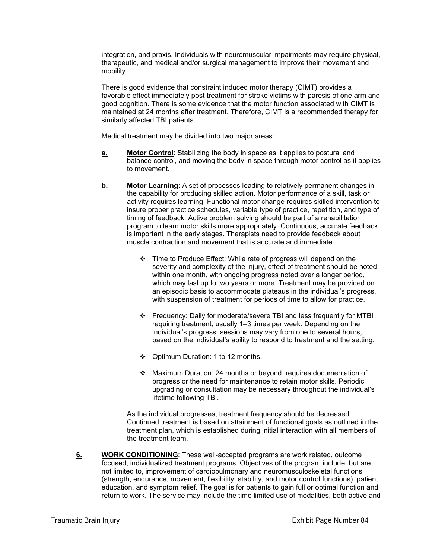integration, and praxis. Individuals with neuromuscular impairments may require physical, therapeutic, and medical and/or surgical management to improve their movement and mobility.

There is good evidence that constraint induced motor therapy (CIMT) provides a favorable effect immediately post treatment for stroke victims with paresis of one arm and good cognition. There is some evidence that the motor function associated with CIMT is maintained at 24 months after treatment. Therefore, CIMT is a recommended therapy for similarly affected TBI patients.

Medical treatment may be divided into two major areas:

- **a.** Motor Control: Stabilizing the body in space as it applies to postural and balance control, and moving the body in space through motor control as it applies to movement.
- **b. Motor Learning**: A set of processes leading to relatively permanent changes in the capability for producing skilled action. Motor performance of a skill, task or activity requires learning. Functional motor change requires skilled intervention to insure proper practice schedules, variable type of practice, repetition, and type of timing of feedback. Active problem solving should be part of a rehabilitation program to learn motor skills more appropriately. Continuous, accurate feedback is important in the early stages. Therapists need to provide feedback about muscle contraction and movement that is accurate and immediate.
	- Time to Produce Effect: While rate of progress will depend on the severity and complexity of the injury, effect of treatment should be noted within one month, with ongoing progress noted over a longer period, which may last up to two years or more. Treatment may be provided on an episodic basis to accommodate plateaus in the individual's progress, with suspension of treatment for periods of time to allow for practice.
	- Frequency: Daily for moderate/severe TBI and less frequently for MTBI requiring treatment, usually 1–3 times per week. Depending on the individual's progress, sessions may vary from one to several hours, based on the individual's ability to respond to treatment and the setting.
	- Optimum Duration: 1 to 12 months.
	- Maximum Duration: 24 months or beyond, requires documentation of progress or the need for maintenance to retain motor skills. Periodic upgrading or consultation may be necessary throughout the individual's lifetime following TBI.

As the individual progresses, treatment frequency should be decreased. Continued treatment is based on attainment of functional goals as outlined in the treatment plan, which is established during initial interaction with all members of the treatment team.

**6. WORK CONDITIONING**: These well-accepted programs are work related, outcome focused, individualized treatment programs. Objectives of the program include, but are not limited to, improvement of cardiopulmonary and neuromusculoskeletal functions (strength, endurance, movement, flexibility, stability, and motor control functions), patient education, and symptom relief. The goal is for patients to gain full or optimal function and return to work. The service may include the time limited use of modalities, both active and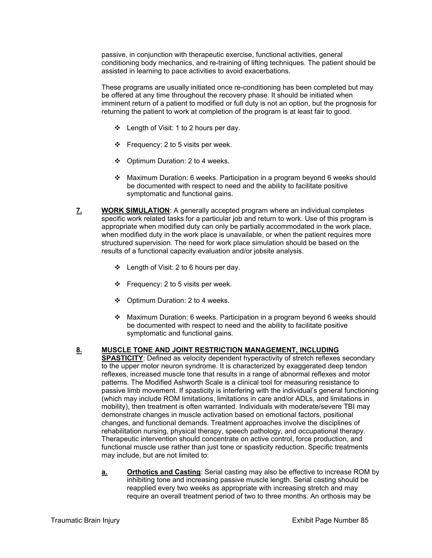passive, in conjunction with therapeutic exercise, functional activities, general conditioning body mechanics, and re-training of lifting techniques. The patient should be assisted in learning to pace activities to avoid exacerbations.

These programs are usually initiated once re-conditioning has been completed but may be offered at any time throughout the recovery phase. It should be initiated when imminent return of a patient to modified or full duty is not an option, but the prognosis for returning the patient to work at completion of the program is at least fair to good.

- Length of Visit: 1 to 2 hours per day.
- $\div$  Frequency: 2 to 5 visits per week.
- $\div$  Optimum Duration: 2 to 4 weeks.
- Maximum Duration: 6 weeks. Participation in a program beyond 6 weeks should be documented with respect to need and the ability to facilitate positive symptomatic and functional gains.
- **7. WORK SIMULATION**: A generally accepted program where an individual completes specific work related tasks for a particular job and return to work. Use of this program is appropriate when modified duty can only be partially accommodated in the work place, when modified duty in the work place is unavailable, or when the patient requires more structured supervision. The need for work place simulation should be based on the results of a functional capacity evaluation and/or jobsite analysis.
	- $\div$  Length of Visit: 2 to 6 hours per day.
	- $\div$  Frequency: 2 to 5 visits per week.
	- $\div$  Optimum Duration: 2 to 4 weeks.
	- Maximum Duration: 6 weeks. Participation in a program beyond 6 weeks should be documented with respect to need and the ability to facilitate positive symptomatic and functional gains.

#### **8. MUSCLE TONE AND JOINT RESTRICTION MANAGEMENT, INCLUDING**

**SPASTICITY:** Defined as velocity dependent hyperactivity of stretch reflexes secondary to the upper motor neuron syndrome. It is characterized by exaggerated deep tendon reflexes, increased muscle tone that results in a range of abnormal reflexes and motor patterns. The Modified Ashworth Scale is a clinical tool for measuring resistance to passive limb movement. If spasticity is interfering with the individual's general functioning (which may include ROM limitations, limitations in care and/or ADLs, and limitations in mobility), then treatment is often warranted. Individuals with moderate/severe TBI may demonstrate changes in muscle activation based on emotional factors, positional changes, and functional demands. Treatment approaches involve the disciplines of rehabilitation nursing, physical therapy, speech pathology, and occupational therapy. Therapeutic intervention should concentrate on active control, force production, and functional muscle use rather than just tone or spasticity reduction. Specific treatments may include, but are not limited to:

**a. Orthotics and Casting**: Serial casting may also be effective to increase ROM by inhibiting tone and increasing passive muscle length. Serial casting should be reapplied every two weeks as appropriate with increasing stretch and may require an overall treatment period of two to three months. An orthosis may be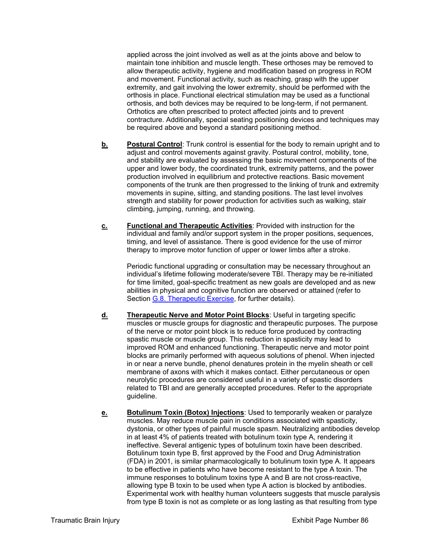applied across the joint involved as well as at the joints above and below to maintain tone inhibition and muscle length. These orthoses may be removed to allow therapeutic activity, hygiene and modification based on progress in ROM and movement. Functional activity, such as reaching, grasp with the upper extremity, and gait involving the lower extremity, should be performed with the orthosis in place. Functional electrical stimulation may be used as a functional orthosis, and both devices may be required to be long-term, if not permanent. Orthotics are often prescribed to protect affected joints and to prevent contracture. Additionally, special seating positioning devices and techniques may be required above and beyond a standard positioning method.

- **b.** Postural Control: Trunk control is essential for the body to remain upright and to adjust and control movements against gravity. Postural control, mobility, tone, and stability are evaluated by assessing the basic movement components of the upper and lower body, the coordinated trunk, extremity patterns, and the power production involved in equilibrium and protective reactions. Basic movement components of the trunk are then progressed to the linking of trunk and extremity movements in supine, sitting, and standing positions. The last level involves strength and stability for power production for activities such as walking, stair climbing, jumping, running, and throwing.
- **c. Functional and Therapeutic Activities**: Provided with instruction for the individual and family and/or support system in the proper positions, sequences, timing, and level of assistance. There is good evidence for the use of mirror therapy to improve motor function of upper or lower limbs after a stroke.

Periodic functional upgrading or consultation may be necessary throughout an individual's lifetime following moderate/severe TBI. Therapy may be re-initiated for time limited, goal-specific treatment as new goals are developed and as new abilities in physical and cognitive function are observed or attained (refer to Section G.8. Therapeutic Exercise, for further details).

- **d. Therapeutic Nerve and Motor Point Blocks**: Useful in targeting specific muscles or muscle groups for diagnostic and therapeutic purposes. The purpose of the nerve or motor point block is to reduce force produced by contracting spastic muscle or muscle group. This reduction in spasticity may lead to improved ROM and enhanced functioning. Therapeutic nerve and motor point blocks are primarily performed with aqueous solutions of phenol. When injected in or near a nerve bundle, phenol denatures protein in the myelin sheath or cell membrane of axons with which it makes contact. Either percutaneous or open neurolytic procedures are considered useful in a variety of spastic disorders related to TBI and are generally accepted procedures. Refer to the appropriate guideline.
- **e. Botulinum Toxin (Botox) Injections**: Used to temporarily weaken or paralyze muscles. May reduce muscle pain in conditions associated with spasticity, dystonia, or other types of painful muscle spasm. Neutralizing antibodies develop in at least 4% of patients treated with botulinum toxin type A, rendering it ineffective. Several antigenic types of botulinum toxin have been described. Botulinum toxin type B, first approved by the Food and Drug Administration (FDA) in 2001, is similar pharmacologically to botulinum toxin type A. It appears to be effective in patients who have become resistant to the type A toxin. The immune responses to botulinum toxins type A and B are not cross-reactive, allowing type B toxin to be used when type A action is blocked by antibodies. Experimental work with healthy human volunteers suggests that muscle paralysis from type B toxin is not as complete or as long lasting as that resulting from type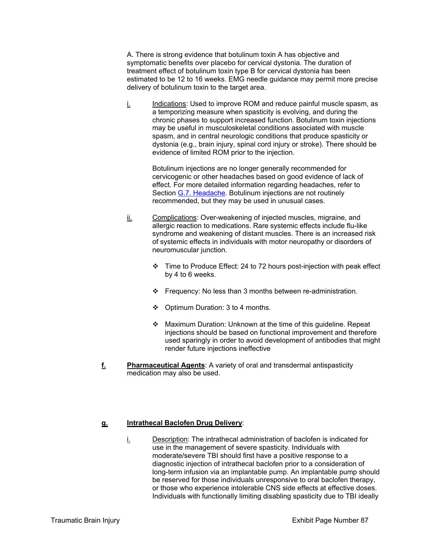A. There is strong evidence that botulinum toxin A has objective and symptomatic benefits over placebo for cervical dystonia. The duration of treatment effect of botulinum toxin type B for cervical dystonia has been estimated to be 12 to 16 weeks. EMG needle guidance may permit more precise delivery of botulinum toxin to the target area.

i. Indications: Used to improve ROM and reduce painful muscle spasm, as a temporizing measure when spasticity is evolving, and during the chronic phases to support increased function. Botulinum toxin injections may be useful in musculoskeletal conditions associated with muscle spasm, and in central neurologic conditions that produce spasticity or dystonia (e.g., brain injury, spinal cord injury or stroke). There should be evidence of limited ROM prior to the injection.

> Botulinum injections are no longer generally recommended for cervicogenic or other headaches based on good evidence of lack of effect. For more detailed information regarding headaches, refer to Section G.7. Headache. Botulinum injections are not routinely recommended, but they may be used in unusual cases.

- ii. Complications: Over-weakening of injected muscles, migraine, and allergic reaction to medications. Rare systemic effects include flu-like syndrome and weakening of distant muscles. There is an increased risk of systemic effects in individuals with motor neuropathy or disorders of neuromuscular junction.
	- Time to Produce Effect: 24 to 72 hours post-injection with peak effect by 4 to 6 weeks.
	- Frequency: No less than 3 months between re-administration.
	- ❖ Optimum Duration: 3 to 4 months.
	- Maximum Duration: Unknown at the time of this guideline. Repeat injections should be based on functional improvement and therefore used sparingly in order to avoid development of antibodies that might render future injections ineffective
- **f. Pharmaceutical Agents**: A variety of oral and transdermal antispasticity medication may also be used.

## **g. Intrathecal Baclofen Drug Delivery**:

 $i.$  Description: The intrathecal administration of baclofen is indicated for use in the management of severe spasticity. Individuals with moderate/severe TBI should first have a positive response to a diagnostic injection of intrathecal baclofen prior to a consideration of long-term infusion via an implantable pump. An implantable pump should be reserved for those individuals unresponsive to oral baclofen therapy, or those who experience intolerable CNS side effects at effective doses. Individuals with functionally limiting disabling spasticity due to TBI ideally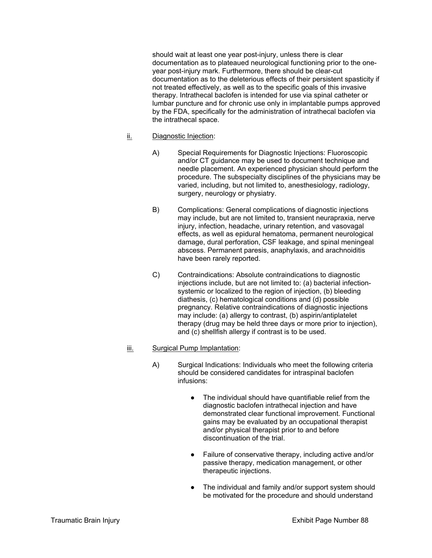should wait at least one year post-injury, unless there is clear documentation as to plateaued neurological functioning prior to the oneyear post-injury mark. Furthermore, there should be clear-cut documentation as to the deleterious effects of their persistent spasticity if not treated effectively, as well as to the specific goals of this invasive therapy. Intrathecal baclofen is intended for use via spinal catheter or lumbar puncture and for chronic use only in implantable pumps approved by the FDA, specifically for the administration of intrathecal baclofen via the intrathecal space.

### ii. Diagnostic Injection:

- A) Special Requirements for Diagnostic Injections: Fluoroscopic and/or CT guidance may be used to document technique and needle placement. An experienced physician should perform the procedure. The subspecialty disciplines of the physicians may be varied, including, but not limited to, anesthesiology, radiology, surgery, neurology or physiatry.
- B) Complications: General complications of diagnostic injections may include, but are not limited to, transient neurapraxia, nerve injury, infection, headache, urinary retention, and vasovagal effects, as well as epidural hematoma, permanent neurological damage, dural perforation, CSF leakage, and spinal meningeal abscess. Permanent paresis, anaphylaxis, and arachnoiditis have been rarely reported.
- C) Contraindications: Absolute contraindications to diagnostic injections include, but are not limited to: (a) bacterial infectionsystemic or localized to the region of injection, (b) bleeding diathesis, (c) hematological conditions and (d) possible pregnancy. Relative contraindications of diagnostic injections may include: (a) allergy to contrast, (b) aspirin/antiplatelet therapy (drug may be held three days or more prior to injection), and (c) shellfish allergy if contrast is to be used.

## iii. Surgical Pump Implantation:

- A) Surgical Indications: Individuals who meet the following criteria should be considered candidates for intraspinal baclofen infusions:
	- The individual should have quantifiable relief from the diagnostic baclofen intrathecal injection and have demonstrated clear functional improvement. Functional gains may be evaluated by an occupational therapist and/or physical therapist prior to and before discontinuation of the trial.
	- Failure of conservative therapy, including active and/or passive therapy, medication management, or other therapeutic injections.
	- The individual and family and/or support system should be motivated for the procedure and should understand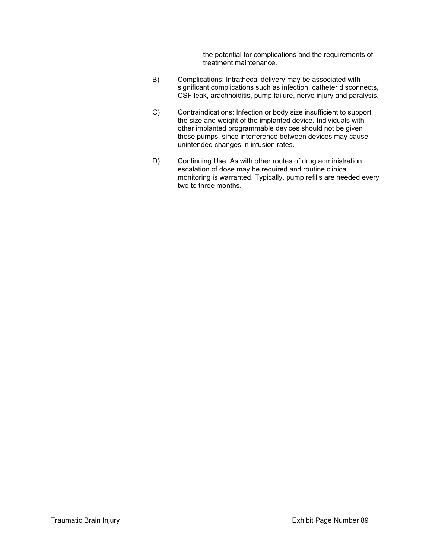the potential for complications and the requirements of treatment maintenance.

- B) Complications: Intrathecal delivery may be associated with significant complications such as infection, catheter disconnects, CSF leak, arachnoiditis, pump failure, nerve injury and paralysis.
- C) Contraindications: Infection or body size insufficient to support the size and weight of the implanted device. Individuals with other implanted programmable devices should not be given these pumps, since interference between devices may cause unintended changes in infusion rates.
- D) Continuing Use: As with other routes of drug administration, escalation of dose may be required and routine clinical monitoring is warranted. Typically, pump refills are needed every two to three months.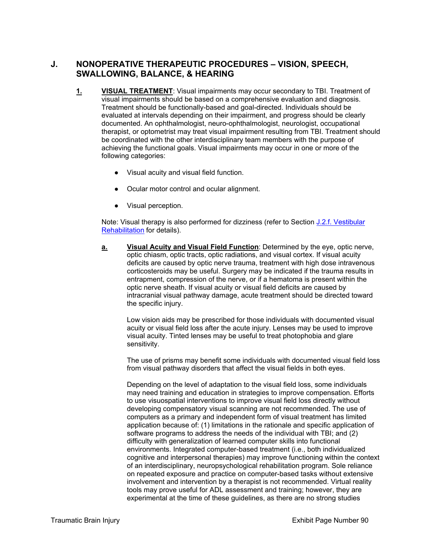# **J. NONOPERATIVE THERAPEUTIC PROCEDURES – VISION, SPEECH, SWALLOWING, BALANCE, & HEARING**

- **1. VISUAL TREATMENT**: Visual impairments may occur secondary to TBI. Treatment of visual impairments should be based on a comprehensive evaluation and diagnosis. Treatment should be functionally-based and goal-directed. Individuals should be evaluated at intervals depending on their impairment, and progress should be clearly documented. An ophthalmologist, neuro-ophthalmologist, neurologist, occupational therapist, or optometrist may treat visual impairment resulting from TBI. Treatment should be coordinated with the other interdisciplinary team members with the purpose of achieving the functional goals. Visual impairments may occur in one or more of the following categories:
	- Visual acuity and visual field function.
	- Ocular motor control and ocular alignment.
	- Visual perception.

Note: Visual therapy is also performed for dizziness (refer to Section J.2.f. Vestibular Rehabilitation for details).

**a. Visual Acuity and Visual Field Function**: Determined by the eye, optic nerve, optic chiasm, optic tracts, optic radiations, and visual cortex. If visual acuity deficits are caused by optic nerve trauma, treatment with high dose intravenous corticosteroids may be useful. Surgery may be indicated if the trauma results in entrapment, compression of the nerve, or if a hematoma is present within the optic nerve sheath. If visual acuity or visual field deficits are caused by intracranial visual pathway damage, acute treatment should be directed toward the specific injury.

Low vision aids may be prescribed for those individuals with documented visual acuity or visual field loss after the acute injury. Lenses may be used to improve visual acuity. Tinted lenses may be useful to treat photophobia and glare sensitivity.

The use of prisms may benefit some individuals with documented visual field loss from visual pathway disorders that affect the visual fields in both eyes.

Depending on the level of adaptation to the visual field loss, some individuals may need training and education in strategies to improve compensation. Efforts to use visuospatial interventions to improve visual field loss directly without developing compensatory visual scanning are not recommended. The use of computers as a primary and independent form of visual treatment has limited application because of: (1) limitations in the rationale and specific application of software programs to address the needs of the individual with TBI; and (2) difficulty with generalization of learned computer skills into functional environments. Integrated computer-based treatment (i.e., both individualized cognitive and interpersonal therapies) may improve functioning within the context of an interdisciplinary, neuropsychological rehabilitation program. Sole reliance on repeated exposure and practice on computer-based tasks without extensive involvement and intervention by a therapist is not recommended. Virtual reality tools may prove useful for ADL assessment and training; however, they are experimental at the time of these guidelines, as there are no strong studies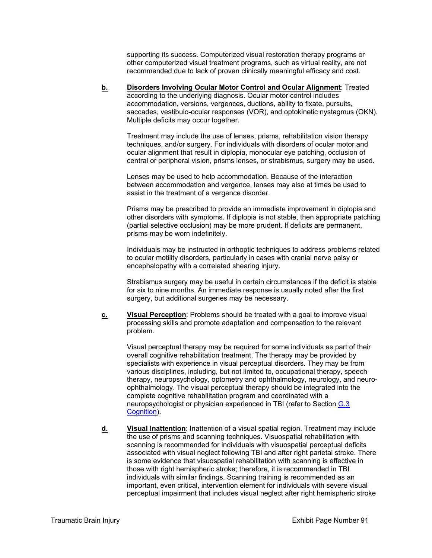supporting its success. Computerized visual restoration therapy programs or other computerized visual treatment programs, such as virtual reality, are not recommended due to lack of proven clinically meaningful efficacy and cost.

**b. Disorders Involving Ocular Motor Control and Ocular Alignment**: Treated according to the underlying diagnosis. Ocular motor control includes accommodation, versions, vergences, ductions, ability to fixate, pursuits, saccades, vestibulo-ocular responses (VOR), and optokinetic nystagmus (OKN). Multiple deficits may occur together.

Treatment may include the use of lenses, prisms, rehabilitation vision therapy techniques, and/or surgery. For individuals with disorders of ocular motor and ocular alignment that result in diplopia, monocular eye patching, occlusion of central or peripheral vision, prisms lenses, or strabismus, surgery may be used.

Lenses may be used to help accommodation. Because of the interaction between accommodation and vergence, lenses may also at times be used to assist in the treatment of a vergence disorder.

Prisms may be prescribed to provide an immediate improvement in diplopia and other disorders with symptoms. If diplopia is not stable, then appropriate patching (partial selective occlusion) may be more prudent. If deficits are permanent, prisms may be worn indefinitely.

Individuals may be instructed in orthoptic techniques to address problems related to ocular motility disorders, particularly in cases with cranial nerve palsy or encephalopathy with a correlated shearing injury.

Strabismus surgery may be useful in certain circumstances if the deficit is stable for six to nine months. An immediate response is usually noted after the first surgery, but additional surgeries may be necessary.

**c. Visual Perception**: Problems should be treated with a goal to improve visual processing skills and promote adaptation and compensation to the relevant problem.

Visual perceptual therapy may be required for some individuals as part of their overall cognitive rehabilitation treatment. The therapy may be provided by specialists with experience in visual perceptual disorders. They may be from various disciplines, including, but not limited to, occupational therapy, speech therapy, neuropsychology, optometry and ophthalmology, neurology, and neuroophthalmology. The visual perceptual therapy should be integrated into the complete cognitive rehabilitation program and coordinated with a neuropsychologist or physician experienced in TBI (refer to Section G.3 Cognition).

**d. Visual Inattention**: Inattention of a visual spatial region. Treatment may include the use of prisms and scanning techniques. Visuospatial rehabilitation with scanning is recommended for individuals with visuospatial perceptual deficits associated with visual neglect following TBI and after right parietal stroke. There is some evidence that visuospatial rehabilitation with scanning is effective in those with right hemispheric stroke; therefore, it is recommended in TBI individuals with similar findings. Scanning training is recommended as an important, even critical, intervention element for individuals with severe visual perceptual impairment that includes visual neglect after right hemispheric stroke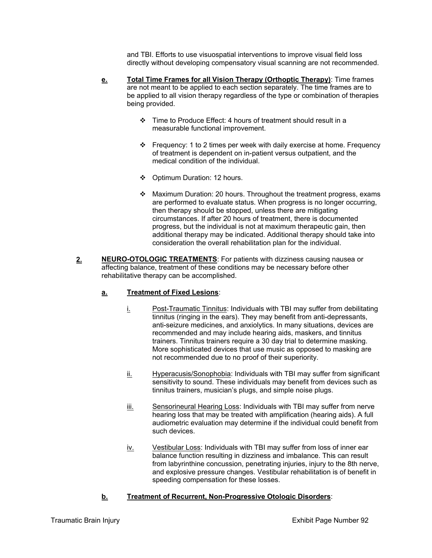and TBI. Efforts to use visuospatial interventions to improve visual field loss directly without developing compensatory visual scanning are not recommended.

- **e. Total Time Frames for all Vision Therapy (Orthoptic Therapy)**: Time frames are not meant to be applied to each section separately. The time frames are to be applied to all vision therapy regardless of the type or combination of therapies being provided.
	- Time to Produce Effect: 4 hours of treatment should result in a measurable functional improvement.
	- Frequency: 1 to 2 times per week with daily exercise at home. Frequency of treatment is dependent on in-patient versus outpatient, and the medical condition of the individual.
	- Optimum Duration: 12 hours.
	- \* Maximum Duration: 20 hours. Throughout the treatment progress, exams are performed to evaluate status. When progress is no longer occurring, then therapy should be stopped, unless there are mitigating circumstances. If after 20 hours of treatment, there is documented progress, but the individual is not at maximum therapeutic gain, then additional therapy may be indicated. Additional therapy should take into consideration the overall rehabilitation plan for the individual.
- 2. NEURO-OTOLOGIC TREATMENTS: For patients with dizziness causing nausea or affecting balance, treatment of these conditions may be necessary before other rehabilitative therapy can be accomplished.

# **a. Treatment of Fixed Lesions**:

- i. Post-Traumatic Tinnitus: Individuals with TBI may suffer from debilitating tinnitus (ringing in the ears). They may benefit from anti-depressants, anti-seizure medicines, and anxiolytics. In many situations, devices are recommended and may include hearing aids, maskers, and tinnitus trainers. Tinnitus trainers require a 30 day trial to determine masking. More sophisticated devices that use music as opposed to masking are not recommended due to no proof of their superiority.
- ii. Hyperacusis/Sonophobia: Individuals with TBI may suffer from significant sensitivity to sound. These individuals may benefit from devices such as tinnitus trainers, musician's plugs, and simple noise plugs.
- iii. Sensorineural Hearing Loss: Individuals with TBI may suffer from nerve hearing loss that may be treated with amplification (hearing aids). A full audiometric evaluation may determine if the individual could benefit from such devices.
- iv. Vestibular Loss: Individuals with TBI may suffer from loss of inner ear balance function resulting in dizziness and imbalance. This can result from labyrinthine concussion, penetrating injuries, injury to the 8th nerve, and explosive pressure changes. Vestibular rehabilitation is of benefit in speeding compensation for these losses.

# **b. Treatment of Recurrent, Non-Progressive Otologic Disorders**: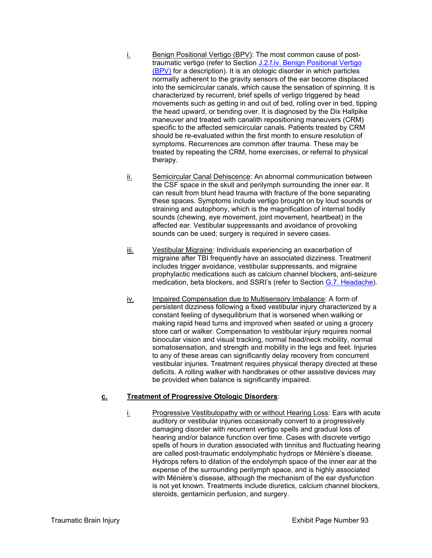- i. Benign Positional Vertigo (BPV): The most common cause of posttraumatic vertigo (refer to Section J.2.f.iv. Benign Positional Vertigo (BPV) for a description). It is an otologic disorder in which particles normally adherent to the gravity sensors of the ear become displaced into the semicircular canals, which cause the sensation of spinning. It is characterized by recurrent, brief spells of vertigo triggered by head movements such as getting in and out of bed, rolling over in bed, tipping the head upward, or bending over. It is diagnosed by the Dix Hallpike maneuver and treated with canalith repositioning maneuvers (CRM) specific to the affected semicircular canals. Patients treated by CRM should be re-evaluated within the first month to ensure resolution of symptoms. Recurrences are common after trauma. These may be treated by repeating the CRM, home exercises, or referral to physical therapy.
- ii. Semicircular Canal Dehiscence: An abnormal communication between the CSF space in the skull and perilymph surrounding the inner ear. It can result from blunt head trauma with fracture of the bone separating these spaces. Symptoms include vertigo brought on by loud sounds or straining and autophony, which is the magnification of internal bodily sounds (chewing, eye movement, joint movement, heartbeat) in the affected ear. Vestibular suppressants and avoidance of provoking sounds can be used; surgery is required in severe cases.
- iii. Vestibular Migraine: Individuals experiencing an exacerbation of migraine after TBI frequently have an associated dizziness. Treatment includes trigger avoidance, vestibular suppressants, and migraine prophylactic medications such as calcium channel blockers, anti-seizure medication, beta blockers, and SSRI's (refer to Section G.7. Headache).
- iv. Impaired Compensation due to Multisensory Imbalance: A form of persistent dizziness following a fixed vestibular injury characterized by a constant feeling of dysequilibrium that is worsened when walking or making rapid head turns and improved when seated or using a grocery store cart or walker. Compensation to vestibular injury requires normal binocular vision and visual tracking, normal head/neck mobility, normal somatosensation, and strength and mobility in the legs and feet. Injuries to any of these areas can significantly delay recovery from concurrent vestibular injuries. Treatment requires physical therapy directed at these deficits. A rolling walker with handbrakes or other assistive devices may be provided when balance is significantly impaired.

#### **c. Treatment of Progressive Otologic Disorders**:

i. Progressive Vestibulopathy with or without Hearing Loss: Ears with acute auditory or vestibular injuries occasionally convert to a progressively damaging disorder with recurrent vertigo spells and gradual loss of hearing and/or balance function over time. Cases with discrete vertigo spells of hours in duration associated with tinnitus and fluctuating hearing are called post-traumatic endolymphatic hydrops or Ménière's disease. Hydrops refers to dilation of the endolymph space of the inner ear at the expense of the surrounding perilymph space, and is highly associated with Ménière's disease, although the mechanism of the ear dysfunction is not yet known. Treatments include diuretics, calcium channel blockers, steroids, gentamicin perfusion, and surgery.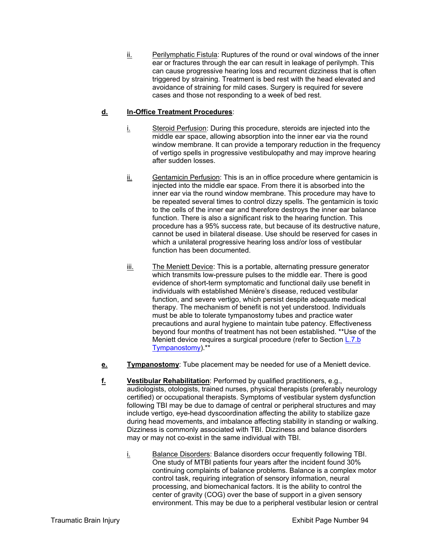$i$  Perilymphatic Fistula: Ruptures of the round or oval windows of the inner ear or fractures through the ear can result in leakage of perilymph. This can cause progressive hearing loss and recurrent dizziness that is often triggered by straining. Treatment is bed rest with the head elevated and avoidance of straining for mild cases. Surgery is required for severe cases and those not responding to a week of bed rest.

## **d. In-Office Treatment Procedures**:

- i. Steroid Perfusion: During this procedure, steroids are injected into the middle ear space, allowing absorption into the inner ear via the round window membrane. It can provide a temporary reduction in the frequency of vertigo spells in progressive vestibulopathy and may improve hearing after sudden losses.
- $i$  Gentamicin Perfusion: This is an in office procedure where gentamicin is injected into the middle ear space. From there it is absorbed into the inner ear via the round window membrane. This procedure may have to be repeated several times to control dizzy spells. The gentamicin is toxic to the cells of the inner ear and therefore destroys the inner ear balance function. There is also a significant risk to the hearing function. This procedure has a 95% success rate, but because of its destructive nature, cannot be used in bilateral disease. Use should be reserved for cases in which a unilateral progressive hearing loss and/or loss of vestibular function has been documented.
- iii. The Meniett Device: This is a portable, alternating pressure generator which transmits low-pressure pulses to the middle ear. There is good evidence of short-term symptomatic and functional daily use benefit in individuals with established Ménière's disease, reduced vestibular function, and severe vertigo, which persist despite adequate medical therapy. The mechanism of benefit is not yet understood. Individuals must be able to tolerate tympanostomy tubes and practice water precautions and aural hygiene to maintain tube patency. Effectiveness beyond four months of treatment has not been established. \*\*Use of the Meniett device requires a surgical procedure (refer to Section L.7.b) Tympanostomy).\*\*
- **e.** Tympanostomy: Tube placement may be needed for use of a Meniett device.
- **f. Vestibular Rehabilitation**: Performed by qualified practitioners, e.g., audiologists, otologists, trained nurses, physical therapists (preferably neurology certified) or occupational therapists. Symptoms of vestibular system dysfunction following TBI may be due to damage of central or peripheral structures and may include vertigo, eye-head dyscoordination affecting the ability to stabilize gaze during head movements, and imbalance affecting stability in standing or walking. Dizziness is commonly associated with TBI. Dizziness and balance disorders may or may not co-exist in the same individual with TBI.
	- i. Balance Disorders: Balance disorders occur frequently following TBI. One study of MTBI patients four years after the incident found 30% continuing complaints of balance problems. Balance is a complex motor control task, requiring integration of sensory information, neural processing, and biomechanical factors. It is the ability to control the center of gravity (COG) over the base of support in a given sensory environment. This may be due to a peripheral vestibular lesion or central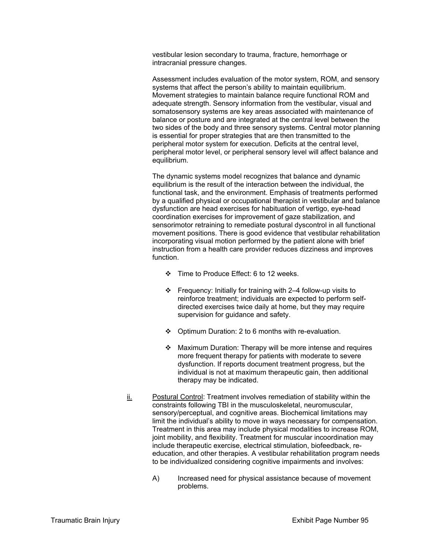vestibular lesion secondary to trauma, fracture, hemorrhage or intracranial pressure changes.

Assessment includes evaluation of the motor system, ROM, and sensory systems that affect the person's ability to maintain equilibrium. Movement strategies to maintain balance require functional ROM and adequate strength. Sensory information from the vestibular, visual and somatosensory systems are key areas associated with maintenance of balance or posture and are integrated at the central level between the two sides of the body and three sensory systems. Central motor planning is essential for proper strategies that are then transmitted to the peripheral motor system for execution. Deficits at the central level, peripheral motor level, or peripheral sensory level will affect balance and equilibrium.

The dynamic systems model recognizes that balance and dynamic equilibrium is the result of the interaction between the individual, the functional task, and the environment. Emphasis of treatments performed by a qualified physical or occupational therapist in vestibular and balance dysfunction are head exercises for habituation of vertigo, eye-head coordination exercises for improvement of gaze stabilization, and sensorimotor retraining to remediate postural dyscontrol in all functional movement positions. There is good evidence that vestibular rehabilitation incorporating visual motion performed by the patient alone with brief instruction from a health care provider reduces dizziness and improves function.

- ❖ Time to Produce Effect: 6 to 12 weeks.
- Frequency: Initially for training with 2–4 follow-up visits to reinforce treatment; individuals are expected to perform selfdirected exercises twice daily at home, but they may require supervision for guidance and safety.
- Optimum Duration: 2 to 6 months with re-evaluation.
- Maximum Duration: Therapy will be more intense and requires more frequent therapy for patients with moderate to severe dysfunction. If reports document treatment progress, but the individual is not at maximum therapeutic gain, then additional therapy may be indicated.
- ii. Postural Control: Treatment involves remediation of stability within the constraints following TBI in the musculoskeletal, neuromuscular, sensory/perceptual, and cognitive areas. Biochemical limitations may limit the individual's ability to move in ways necessary for compensation. Treatment in this area may include physical modalities to increase ROM, joint mobility, and flexibility. Treatment for muscular incoordination may include therapeutic exercise, electrical stimulation, biofeedback, reeducation, and other therapies. A vestibular rehabilitation program needs to be individualized considering cognitive impairments and involves:
	- A) Increased need for physical assistance because of movement problems.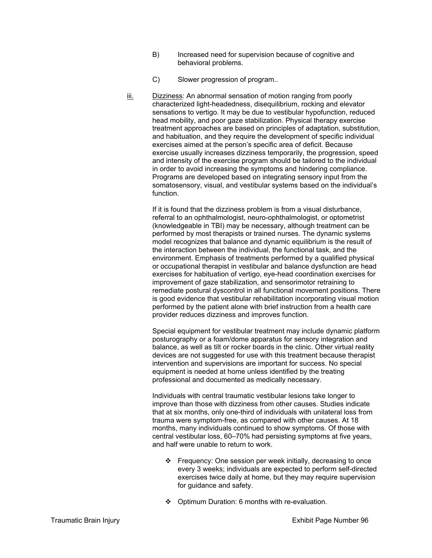- B) Increased need for supervision because of cognitive and behavioral problems.
- C) Slower progression of program..
- iii. Dizziness: An abnormal sensation of motion ranging from poorly characterized light-headedness, disequilibrium, rocking and elevator sensations to vertigo. It may be due to vestibular hypofunction, reduced head mobility, and poor gaze stabilization. Physical therapy exercise treatment approaches are based on principles of adaptation, substitution, and habituation, and they require the development of specific individual exercises aimed at the person's specific area of deficit. Because exercise usually increases dizziness temporarily, the progression, speed and intensity of the exercise program should be tailored to the individual in order to avoid increasing the symptoms and hindering compliance. Programs are developed based on integrating sensory input from the somatosensory, visual, and vestibular systems based on the individual's function.

If it is found that the dizziness problem is from a visual disturbance, referral to an ophthalmologist, neuro-ophthalmologist, or optometrist (knowledgeable in TBI) may be necessary, although treatment can be performed by most therapists or trained nurses. The dynamic systems model recognizes that balance and dynamic equilibrium is the result of the interaction between the individual, the functional task, and the environment. Emphasis of treatments performed by a qualified physical or occupational therapist in vestibular and balance dysfunction are head exercises for habituation of vertigo, eye-head coordination exercises for improvement of gaze stabilization, and sensorimotor retraining to remediate postural dyscontrol in all functional movement positions. There is good evidence that vestibular rehabilitation incorporating visual motion performed by the patient alone with brief instruction from a health care provider reduces dizziness and improves function.

Special equipment for vestibular treatment may include dynamic platform posturography or a foam/dome apparatus for sensory integration and balance, as well as tilt or rocker boards in the clinic. Other virtual reality devices are not suggested for use with this treatment because therapist intervention and supervisions are important for success. No special equipment is needed at home unless identified by the treating professional and documented as medically necessary.

Individuals with central traumatic vestibular lesions take longer to improve than those with dizziness from other causes. Studies indicate that at six months, only one-third of individuals with unilateral loss from trauma were symptom-free, as compared with other causes. At 18 months, many individuals continued to show symptoms. Of those with central vestibular loss, 60–70% had persisting symptoms at five years, and half were unable to return to work.

- Frequency: One session per week initially, decreasing to once every 3 weeks; individuals are expected to perform self-directed exercises twice daily at home, but they may require supervision for guidance and safety.
- ❖ Optimum Duration: 6 months with re-evaluation.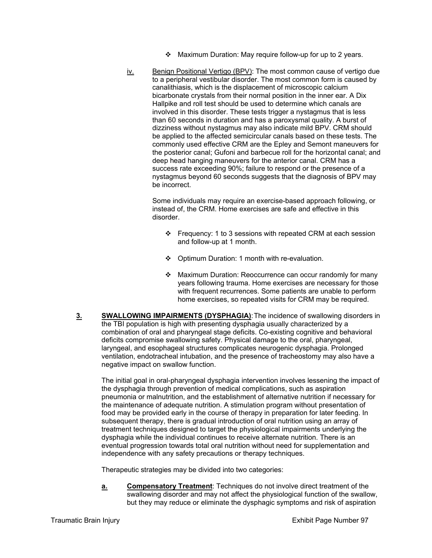- Maximum Duration: May require follow-up for up to 2 years.
- iv. Benign Positional Vertigo (BPV): The most common cause of vertigo due to a peripheral vestibular disorder. The most common form is caused by canalithiasis, which is the displacement of microscopic calcium bicarbonate crystals from their normal position in the inner ear. A Dix Hallpike and roll test should be used to determine which canals are involved in this disorder. These tests trigger a nystagmus that is less than 60 seconds in duration and has a paroxysmal quality. A burst of dizziness without nystagmus may also indicate mild BPV. CRM should be applied to the affected semicircular canals based on these tests. The commonly used effective CRM are the Epley and Semont maneuvers for the posterior canal; Gufoni and barbecue roll for the horizontal canal; and deep head hanging maneuvers for the anterior canal. CRM has a success rate exceeding 90%; failure to respond or the presence of a nystagmus beyond 60 seconds suggests that the diagnosis of BPV may be incorrect.

Some individuals may require an exercise-based approach following, or instead of, the CRM. Home exercises are safe and effective in this disorder.

- $\div$  Frequency: 1 to 3 sessions with repeated CRM at each session and follow-up at 1 month.
- Optimum Duration: 1 month with re-evaluation.
- Maximum Duration: Reoccurrence can occur randomly for many years following trauma. Home exercises are necessary for those with frequent recurrences. Some patients are unable to perform home exercises, so repeated visits for CRM may be required.
- **3. SWALLOWING IMPAIRMENTS (DYSPHAGIA)**: The incidence of swallowing disorders in the TBI population is high with presenting dysphagia usually characterized by a combination of oral and pharyngeal stage deficits. Co-existing cognitive and behavioral deficits compromise swallowing safety. Physical damage to the oral, pharyngeal, laryngeal, and esophageal structures complicates neurogenic dysphagia. Prolonged ventilation, endotracheal intubation, and the presence of tracheostomy may also have a negative impact on swallow function.

The initial goal in oral-pharyngeal dysphagia intervention involves lessening the impact of the dysphagia through prevention of medical complications, such as aspiration pneumonia or malnutrition, and the establishment of alternative nutrition if necessary for the maintenance of adequate nutrition. A stimulation program without presentation of food may be provided early in the course of therapy in preparation for later feeding. In subsequent therapy, there is gradual introduction of oral nutrition using an array of treatment techniques designed to target the physiological impairments underlying the dysphagia while the individual continues to receive alternate nutrition. There is an eventual progression towards total oral nutrition without need for supplementation and independence with any safety precautions or therapy techniques.

Therapeutic strategies may be divided into two categories:

**a. Compensatory Treatment**: Techniques do not involve direct treatment of the swallowing disorder and may not affect the physiological function of the swallow, but they may reduce or eliminate the dysphagic symptoms and risk of aspiration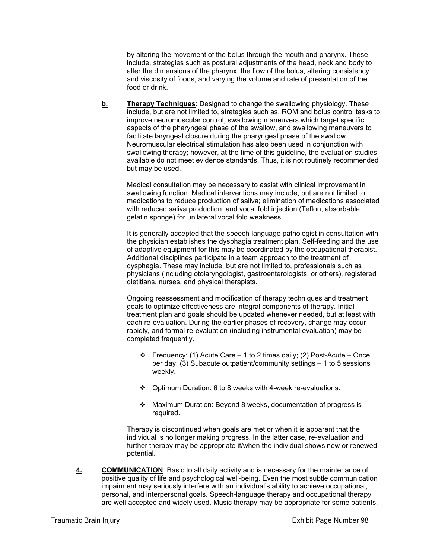by altering the movement of the bolus through the mouth and pharynx. These include, strategies such as postural adjustments of the head, neck and body to alter the dimensions of the pharynx, the flow of the bolus, altering consistency and viscosity of foods, and varying the volume and rate of presentation of the food or drink.

**b. Therapy Techniques**: Designed to change the swallowing physiology. These include, but are not limited to, strategies such as, ROM and bolus control tasks to improve neuromuscular control, swallowing maneuvers which target specific aspects of the pharyngeal phase of the swallow, and swallowing maneuvers to facilitate laryngeal closure during the pharyngeal phase of the swallow. Neuromuscular electrical stimulation has also been used in conjunction with swallowing therapy; however, at the time of this guideline, the evaluation studies available do not meet evidence standards. Thus, it is not routinely recommended but may be used.

Medical consultation may be necessary to assist with clinical improvement in swallowing function. Medical interventions may include, but are not limited to: medications to reduce production of saliva; elimination of medications associated with reduced saliva production; and vocal fold injection (Teflon, absorbable gelatin sponge) for unilateral vocal fold weakness.

It is generally accepted that the speech-language pathologist in consultation with the physician establishes the dysphagia treatment plan. Self-feeding and the use of adaptive equipment for this may be coordinated by the occupational therapist. Additional disciplines participate in a team approach to the treatment of dysphagia. These may include, but are not limited to, professionals such as physicians (including otolaryngologist, gastroenterologists, or others), registered dietitians, nurses, and physical therapists.

Ongoing reassessment and modification of therapy techniques and treatment goals to optimize effectiveness are integral components of therapy. Initial treatment plan and goals should be updated whenever needed, but at least with each re-evaluation. During the earlier phases of recovery, change may occur rapidly, and formal re-evaluation (including instrumental evaluation) may be completed frequently.

- Frequency: (1) Acute Care 1 to 2 times daily; (2) Post-Acute Once per day; (3) Subacute outpatient/community settings – 1 to 5 sessions weekly.
- Optimum Duration: 6 to 8 weeks with 4-week re-evaluations.
- Maximum Duration: Beyond 8 weeks, documentation of progress is required.

Therapy is discontinued when goals are met or when it is apparent that the individual is no longer making progress. In the latter case, re-evaluation and further therapy may be appropriate if/when the individual shows new or renewed potential.

**4. COMMUNICATION**: Basic to all daily activity and is necessary for the maintenance of positive quality of life and psychological well-being. Even the most subtle communication impairment may seriously interfere with an individual's ability to achieve occupational, personal, and interpersonal goals. Speech-language therapy and occupational therapy are well-accepted and widely used. Music therapy may be appropriate for some patients.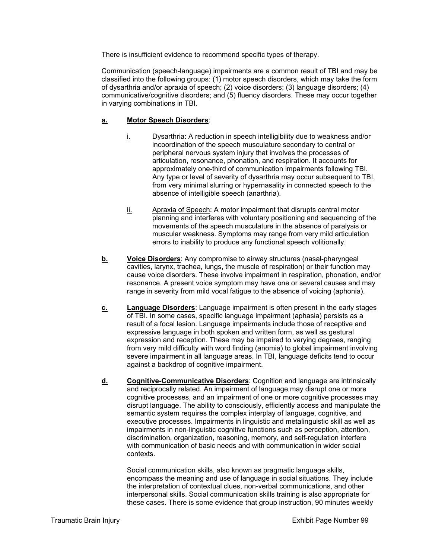There is insufficient evidence to recommend specific types of therapy.

Communication (speech-language) impairments are a common result of TBI and may be classified into the following groups: (1) motor speech disorders, which may take the form of dysarthria and/or apraxia of speech; (2) voice disorders; (3) language disorders; (4) communicative/cognitive disorders; and (5) fluency disorders. These may occur together in varying combinations in TBI.

## **a. Motor Speech Disorders**:

- i. Dysarthria: A reduction in speech intelligibility due to weakness and/or incoordination of the speech musculature secondary to central or peripheral nervous system injury that involves the processes of articulation, resonance, phonation, and respiration. It accounts for approximately one-third of communication impairments following TBI. Any type or level of severity of dysarthria may occur subsequent to TBI, from very minimal slurring or hypernasality in connected speech to the absence of intelligible speech (anarthria).
- ii. Apraxia of Speech: A motor impairment that disrupts central motor planning and interferes with voluntary positioning and sequencing of the movements of the speech musculature in the absence of paralysis or muscular weakness. Symptoms may range from very mild articulation errors to inability to produce any functional speech volitionally.
- **b.** Voice Disorders: Any compromise to airway structures (nasal-pharyngeal cavities, larynx, trachea, lungs, the muscle of respiration) or their function may cause voice disorders. These involve impairment in respiration, phonation, and/or resonance. A present voice symptom may have one or several causes and may range in severity from mild vocal fatigue to the absence of voicing (aphonia).
- **c. Language Disorders**: Language impairment is often present in the early stages of TBI. In some cases, specific language impairment (aphasia) persists as a result of a focal lesion. Language impairments include those of receptive and expressive language in both spoken and written form, as well as gestural expression and reception. These may be impaired to varying degrees, ranging from very mild difficulty with word finding (anomia) to global impairment involving severe impairment in all language areas. In TBI, language deficits tend to occur against a backdrop of cognitive impairment.
- **d. Cognitive-Communicative Disorders**: Cognition and language are intrinsically and reciprocally related. An impairment of language may disrupt one or more cognitive processes, and an impairment of one or more cognitive processes may disrupt language. The ability to consciously, efficiently access and manipulate the semantic system requires the complex interplay of language, cognitive, and executive processes. Impairments in linguistic and metalinguistic skill as well as impairments in non-linguistic cognitive functions such as perception, attention, discrimination, organization, reasoning, memory, and self-regulation interfere with communication of basic needs and with communication in wider social contexts.

Social communication skills, also known as pragmatic language skills, encompass the meaning and use of language in social situations. They include the interpretation of contextual clues, non-verbal communications, and other interpersonal skills. Social communication skills training is also appropriate for these cases. There is some evidence that group instruction, 90 minutes weekly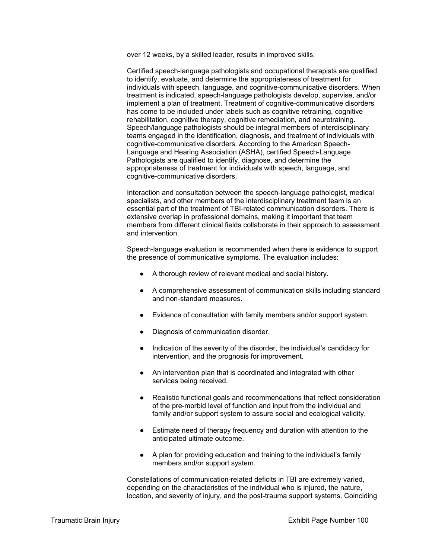over 12 weeks, by a skilled leader, results in improved skills.

Certified speech-language pathologists and occupational therapists are qualified to identify, evaluate, and determine the appropriateness of treatment for individuals with speech, language, and cognitive-communicative disorders. When treatment is indicated, speech-language pathologists develop, supervise, and/or implement a plan of treatment. Treatment of cognitive-communicative disorders has come to be included under labels such as cognitive retraining, cognitive rehabilitation, cognitive therapy, cognitive remediation, and neurotraining. Speech/language pathologists should be integral members of interdisciplinary teams engaged in the identification, diagnosis, and treatment of individuals with cognitive-communicative disorders. According to the American Speech-Language and Hearing Association (ASHA), certified Speech-Language Pathologists are qualified to identify, diagnose, and determine the appropriateness of treatment for individuals with speech, language, and cognitive-communicative disorders.

Interaction and consultation between the speech-language pathologist, medical specialists, and other members of the interdisciplinary treatment team is an essential part of the treatment of TBI-related communication disorders. There is extensive overlap in professional domains, making it important that team members from different clinical fields collaborate in their approach to assessment and intervention.

Speech-language evaluation is recommended when there is evidence to support the presence of communicative symptoms. The evaluation includes:

- A thorough review of relevant medical and social history.
- A comprehensive assessment of communication skills including standard and non-standard measures.
- Evidence of consultation with family members and/or support system.
- Diagnosis of communication disorder.
- Indication of the severity of the disorder, the individual's candidacy for intervention, and the prognosis for improvement.
- An intervention plan that is coordinated and integrated with other services being received.
- Realistic functional goals and recommendations that reflect consideration of the pre-morbid level of function and input from the individual and family and/or support system to assure social and ecological validity.
- Estimate need of therapy frequency and duration with attention to the anticipated ultimate outcome.
- A plan for providing education and training to the individual's family members and/or support system.

Constellations of communication-related deficits in TBI are extremely varied, depending on the characteristics of the individual who is injured, the nature, location, and severity of injury, and the post-trauma support systems. Coinciding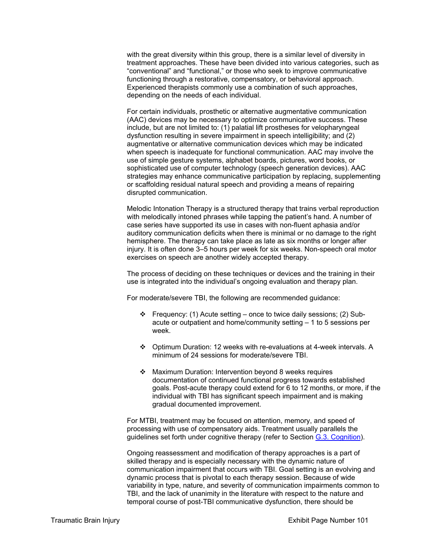with the great diversity within this group, there is a similar level of diversity in treatment approaches. These have been divided into various categories, such as "conventional" and "functional," or those who seek to improve communicative functioning through a restorative, compensatory, or behavioral approach. Experienced therapists commonly use a combination of such approaches, depending on the needs of each individual.

For certain individuals, prosthetic or alternative augmentative communication (AAC) devices may be necessary to optimize communicative success. These include, but are not limited to: (1) palatial lift prostheses for velopharyngeal dysfunction resulting in severe impairment in speech intelligibility; and (2) augmentative or alternative communication devices which may be indicated when speech is inadequate for functional communication. AAC may involve the use of simple gesture systems, alphabet boards, pictures, word books, or sophisticated use of computer technology (speech generation devices). AAC strategies may enhance communicative participation by replacing, supplementing or scaffolding residual natural speech and providing a means of repairing disrupted communication.

Melodic Intonation Therapy is a structured therapy that trains verbal reproduction with melodically intoned phrases while tapping the patient's hand. A number of case series have supported its use in cases with non-fluent aphasia and/or auditory communication deficits when there is minimal or no damage to the right hemisphere. The therapy can take place as late as six months or longer after injury. It is often done 3–5 hours per week for six weeks. Non-speech oral motor exercises on speech are another widely accepted therapy.

The process of deciding on these techniques or devices and the training in their use is integrated into the individual's ongoing evaluation and therapy plan.

For moderate/severe TBI, the following are recommended guidance:

- Frequency: (1) Acute setting once to twice daily sessions; (2) Subacute or outpatient and home/community setting – 1 to 5 sessions per week.
- Optimum Duration: 12 weeks with re-evaluations at 4-week intervals. A minimum of 24 sessions for moderate/severe TBI.
- Maximum Duration: Intervention beyond 8 weeks requires documentation of continued functional progress towards established goals. Post-acute therapy could extend for 6 to 12 months, or more, if the individual with TBI has significant speech impairment and is making gradual documented improvement.

For MTBI, treatment may be focused on attention, memory, and speed of processing with use of compensatory aids. Treatment usually parallels the guidelines set forth under cognitive therapy (refer to Section G.3. Cognition).

Ongoing reassessment and modification of therapy approaches is a part of skilled therapy and is especially necessary with the dynamic nature of communication impairment that occurs with TBI. Goal setting is an evolving and dynamic process that is pivotal to each therapy session. Because of wide variability in type, nature, and severity of communication impairments common to TBI, and the lack of unanimity in the literature with respect to the nature and temporal course of post-TBI communicative dysfunction, there should be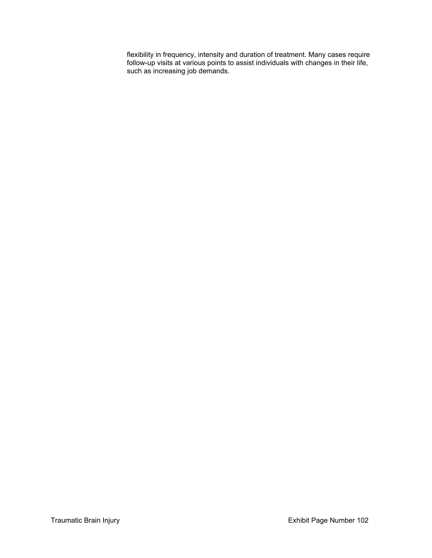flexibility in frequency, intensity and duration of treatment. Many cases require follow-up visits at various points to assist individuals with changes in their life, such as increasing job demands.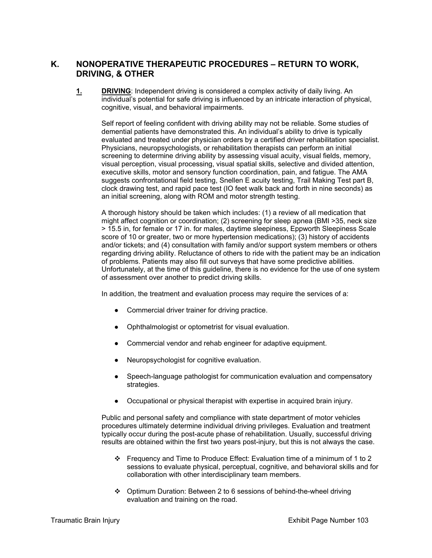# **K. NONOPERATIVE THERAPEUTIC PROCEDURES – RETURN TO WORK, DRIVING, & OTHER**

**1. DRIVING**: Independent driving is considered a complex activity of daily living. An individual's potential for safe driving is influenced by an intricate interaction of physical, cognitive, visual, and behavioral impairments.

Self report of feeling confident with driving ability may not be reliable. Some studies of demential patients have demonstrated this. An individual's ability to drive is typically evaluated and treated under physician orders by a certified driver rehabilitation specialist. Physicians, neuropsychologists, or rehabilitation therapists can perform an initial screening to determine driving ability by assessing visual acuity, visual fields, memory, visual perception, visual processing, visual spatial skills, selective and divided attention, executive skills, motor and sensory function coordination, pain, and fatigue. The AMA suggests confrontational field testing, Snellen E acuity testing, Trail Making Test part B, clock drawing test, and rapid pace test (IO feet walk back and forth in nine seconds) as an initial screening, along with ROM and motor strength testing.

A thorough history should be taken which includes: (1) a review of all medication that might affect cognition or coordination; (2) screening for sleep apnea (BMI >35, neck size > 15.5 in, for female or 17 in. for males, daytime sleepiness, Eppworth Sleepiness Scale score of 10 or greater, two or more hypertension medications); (3) history of accidents and/or tickets; and (4) consultation with family and/or support system members or others regarding driving ability. Reluctance of others to ride with the patient may be an indication of problems. Patients may also fill out surveys that have some predictive abilities. Unfortunately, at the time of this guideline, there is no evidence for the use of one system of assessment over another to predict driving skills.

In addition, the treatment and evaluation process may require the services of a:

- Commercial driver trainer for driving practice.
- Ophthalmologist or optometrist for visual evaluation.
- Commercial vendor and rehab engineer for adaptive equipment.
- Neuropsychologist for cognitive evaluation.
- Speech-language pathologist for communication evaluation and compensatory strategies.
- Occupational or physical therapist with expertise in acquired brain injury.

Public and personal safety and compliance with state department of motor vehicles procedures ultimately determine individual driving privileges. Evaluation and treatment typically occur during the post-acute phase of rehabilitation. Usually, successful driving results are obtained within the first two years post-injury, but this is not always the case.

- Frequency and Time to Produce Effect: Evaluation time of a minimum of 1 to 2 sessions to evaluate physical, perceptual, cognitive, and behavioral skills and for collaboration with other interdisciplinary team members.
- Optimum Duration: Between 2 to 6 sessions of behind-the-wheel driving evaluation and training on the road.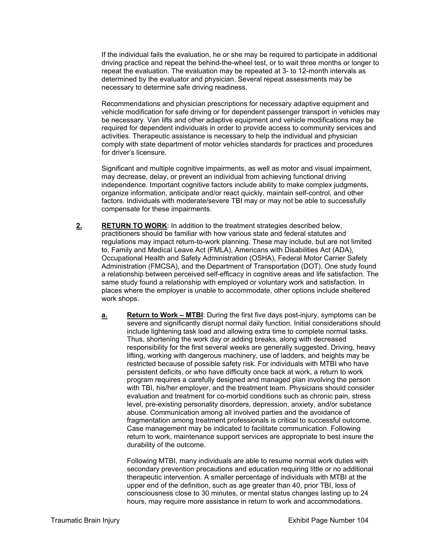If the individual fails the evaluation, he or she may be required to participate in additional driving practice and repeat the behind-the-wheel test, or to wait three months or longer to repeat the evaluation. The evaluation may be repeated at 3- to 12-month intervals as determined by the evaluator and physician. Several repeat assessments may be necessary to determine safe driving readiness.

Recommendations and physician prescriptions for necessary adaptive equipment and vehicle modification for safe driving or for dependent passenger transport in vehicles may be necessary. Van lifts and other adaptive equipment and vehicle modifications may be required for dependent individuals in order to provide access to community services and activities. Therapeutic assistance is necessary to help the individual and physician comply with state department of motor vehicles standards for practices and procedures for driver's licensure.

Significant and multiple cognitive impairments, as well as motor and visual impairment, may decrease, delay, or prevent an individual from achieving functional driving independence. Important cognitive factors include ability to make complex judgments, organize information, anticipate and/or react quickly, maintain self-control, and other factors. Individuals with moderate/severe TBI may or may not be able to successfully compensate for these impairments.

- **2. RETURN TO WORK**: In addition to the treatment strategies described below, practitioners should be familiar with how various state and federal statutes and regulations may impact return-to-work planning. These may include, but are not limited to, Family and Medical Leave Act (FMLA), Americans with Disabilities Act (ADA), Occupational Health and Safety Administration (OSHA), Federal Motor Carrier Safety Administration (FMCSA), and the Department of Transportation (DOT). One study found a relationship between perceived self-efficacy in cognitive areas and life satisfaction. The same study found a relationship with employed or voluntary work and satisfaction. In places where the employer is unable to accommodate, other options include sheltered work shops.
	- **a. Return to Work MTBI**: During the first five days post-injury, symptoms can be severe and significantly disrupt normal daily function. Initial considerations should include lightening task load and allowing extra time to complete normal tasks. Thus, shortening the work day or adding breaks, along with decreased responsibility for the first several weeks are generally suggested. Driving, heavy lifting, working with dangerous machinery, use of ladders, and heights may be restricted because of possible safety risk. For individuals with MTBI who have persistent deficits, or who have difficulty once back at work, a return to work program requires a carefully designed and managed plan involving the person with TBI, his/her employer, and the treatment team. Physicians should consider evaluation and treatment for co-morbid conditions such as chronic pain, stress level, pre-existing personality disorders, depression, anxiety, and/or substance abuse. Communication among all involved parties and the avoidance of fragmentation among treatment professionals is critical to successful outcome. Case management may be indicated to facilitate communication. Following return to work, maintenance support services are appropriate to best insure the durability of the outcome.

Following MTBI, many individuals are able to resume normal work duties with secondary prevention precautions and education requiring little or no additional therapeutic intervention. A smaller percentage of individuals with MTBI at the upper end of the definition, such as age greater than 40, prior TBI, loss of consciousness close to 30 minutes, or mental status changes lasting up to 24 hours, may require more assistance in return to work and accommodations.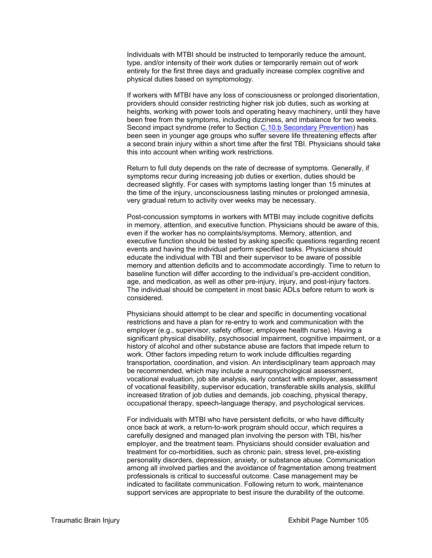Individuals with MTBI should be instructed to temporarily reduce the amount, type, and/or intensity of their work duties or temporarily remain out of work entirely for the first three days and gradually increase complex cognitive and physical duties based on symptomology.

If workers with MTBI have any loss of consciousness or prolonged disorientation, providers should consider restricting higher risk job duties, such as working at heights, working with power tools and operating heavy machinery, until they have been free from the symptoms, including dizziness, and imbalance for two weeks. Second impact syndrome (refer to Section C.10.b Secondary Prevention) has been seen in younger age groups who suffer severe life threatening effects after a second brain injury within a short time after the first TBI. Physicians should take this into account when writing work restrictions.

Return to full duty depends on the rate of decrease of symptoms. Generally, if symptoms recur during increasing job duties or exertion, duties should be decreased slightly. For cases with symptoms lasting longer than 15 minutes at the time of the injury, unconsciousness lasting minutes or prolonged amnesia, very gradual return to activity over weeks may be necessary.

Post-concussion symptoms in workers with MTBI may include cognitive deficits in memory, attention, and executive function. Physicians should be aware of this, even if the worker has no complaints/symptoms. Memory, attention, and executive function should be tested by asking specific questions regarding recent events and having the individual perform specified tasks. Physicians should educate the individual with TBI and their supervisor to be aware of possible memory and attention deficits and to accommodate accordingly. Time to return to baseline function will differ according to the individual's pre-accident condition, age, and medication, as well as other pre-injury, injury, and post-injury factors. The individual should be competent in most basic ADLs before return to work is considered.

Physicians should attempt to be clear and specific in documenting vocational restrictions and have a plan for re-entry to work and communication with the employer (e.g., supervisor, safety officer, employee health nurse). Having a significant physical disability, psychosocial impairment, cognitive impairment, or a history of alcohol and other substance abuse are factors that impede return to work. Other factors impeding return to work include difficulties regarding transportation, coordination, and vision. An interdisciplinary team approach may be recommended, which may include a neuropsychological assessment, vocational evaluation, job site analysis, early contact with employer, assessment of vocational feasibility, supervisor education, transferable skills analysis, skillful increased titration of job duties and demands, job coaching, physical therapy, occupational therapy, speech-language therapy, and psychological services.

For individuals with MTBI who have persistent deficits, or who have difficulty once back at work, a return-to-work program should occur, which requires a carefully designed and managed plan involving the person with TBI, his/her employer, and the treatment team. Physicians should consider evaluation and treatment for co-morbidities, such as chronic pain, stress level, pre-existing personality disorders, depression, anxiety, or substance abuse. Communication among all involved parties and the avoidance of fragmentation among treatment professionals is critical to successful outcome. Case management may be indicated to facilitate communication. Following return to work, maintenance support services are appropriate to best insure the durability of the outcome.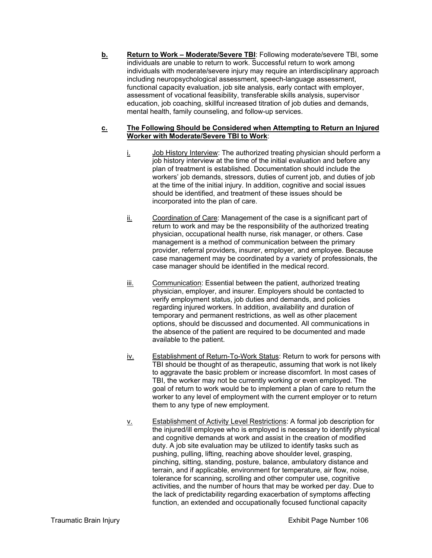**b.** Return to Work – Moderate/Severe TBI: Following moderate/severe TBI, some individuals are unable to return to work. Successful return to work among individuals with moderate/severe injury may require an interdisciplinary approach including neuropsychological assessment, speech-language assessment, functional capacity evaluation, job site analysis, early contact with employer, assessment of vocational feasibility, transferable skills analysis, supervisor education, job coaching, skillful increased titration of job duties and demands, mental health, family counseling, and follow-up services.

#### **c. The Following Should be Considered when Attempting to Return an Injured Worker with Moderate/Severe TBI to Work**:

- $i.$  Job History Interview: The authorized treating physician should perform a job history interview at the time of the initial evaluation and before any plan of treatment is established. Documentation should include the workers' job demands, stressors, duties of current job, and duties of job at the time of the initial injury. In addition, cognitive and social issues should be identified, and treatment of these issues should be incorporated into the plan of care.
- ii. Coordination of Care: Management of the case is a significant part of return to work and may be the responsibility of the authorized treating physician, occupational health nurse, risk manager, or others. Case management is a method of communication between the primary provider, referral providers, insurer, employer, and employee. Because case management may be coordinated by a variety of professionals, the case manager should be identified in the medical record.
- iii. Communication: Essential between the patient, authorized treating physician, employer, and insurer. Employers should be contacted to verify employment status, job duties and demands, and policies regarding injured workers. In addition, availability and duration of temporary and permanent restrictions, as well as other placement options, should be discussed and documented. All communications in the absence of the patient are required to be documented and made available to the patient.
- iv. Establishment of Return-To-Work Status: Return to work for persons with TBI should be thought of as therapeutic, assuming that work is not likely to aggravate the basic problem or increase discomfort. In most cases of TBI, the worker may not be currently working or even employed. The goal of return to work would be to implement a plan of care to return the worker to any level of employment with the current employer or to return them to any type of new employment.
- v. Establishment of Activity Level Restrictions: A formal job description for the injured/ill employee who is employed is necessary to identify physical and cognitive demands at work and assist in the creation of modified duty. A job site evaluation may be utilized to identify tasks such as pushing, pulling, lifting, reaching above shoulder level, grasping, pinching, sitting, standing, posture, balance, ambulatory distance and terrain, and if applicable, environment for temperature, air flow, noise, tolerance for scanning, scrolling and other computer use, cognitive activities, and the number of hours that may be worked per day. Due to the lack of predictability regarding exacerbation of symptoms affecting function, an extended and occupationally focused functional capacity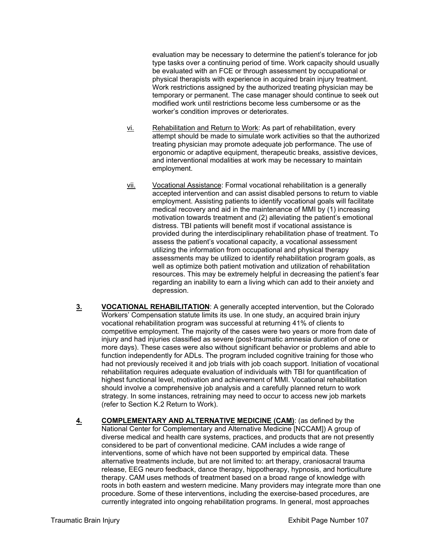evaluation may be necessary to determine the patient's tolerance for job type tasks over a continuing period of time. Work capacity should usually be evaluated with an FCE or through assessment by occupational or physical therapists with experience in acquired brain injury treatment. Work restrictions assigned by the authorized treating physician may be temporary or permanent. The case manager should continue to seek out modified work until restrictions become less cumbersome or as the worker's condition improves or deteriorates.

- vi. Rehabilitation and Return to Work: As part of rehabilitation, every attempt should be made to simulate work activities so that the authorized treating physician may promote adequate job performance. The use of ergonomic or adaptive equipment, therapeutic breaks, assistive devices, and interventional modalities at work may be necessary to maintain employment.
- vii. Vocational Assistance: Formal vocational rehabilitation is a generally accepted intervention and can assist disabled persons to return to viable employment. Assisting patients to identify vocational goals will facilitate medical recovery and aid in the maintenance of MMI by (1) increasing motivation towards treatment and (2) alleviating the patient's emotional distress. TBI patients will benefit most if vocational assistance is provided during the interdisciplinary rehabilitation phase of treatment. To assess the patient's vocational capacity, a vocational assessment utilizing the information from occupational and physical therapy assessments may be utilized to identify rehabilitation program goals, as well as optimize both patient motivation and utilization of rehabilitation resources. This may be extremely helpful in decreasing the patient's fear regarding an inability to earn a living which can add to their anxiety and depression.
- **3. VOCATIONAL REHABILITATION**: A generally accepted intervention, but the Colorado Workers' Compensation statute limits its use. In one study, an acquired brain injury vocational rehabilitation program was successful at returning 41% of clients to competitive employment. The majority of the cases were two years or more from date of injury and had injuries classified as severe (post-traumatic amnesia duration of one or more days). These cases were also without significant behavior or problems and able to function independently for ADLs. The program included cognitive training for those who had not previously received it and job trials with job coach support. Initiation of vocational rehabilitation requires adequate evaluation of individuals with TBI for quantification of highest functional level, motivation and achievement of MMI. Vocational rehabilitation should involve a comprehensive job analysis and a carefully planned return to work strategy. In some instances, retraining may need to occur to access new job markets (refer to Section K.2 Return to Work).
- **4. COMPLEMENTARY AND ALTERNATIVE MEDICINE (CAM)**: (as defined by the National Center for Complementary and Alternative Medicine [NCCAM]) A group of diverse medical and health care systems, practices, and products that are not presently considered to be part of conventional medicine. CAM includes a wide range of interventions, some of which have not been supported by empirical data. These alternative treatments include, but are not limited to: art therapy, craniosacral trauma release, EEG neuro feedback, dance therapy, hippotherapy, hypnosis, and horticulture therapy. CAM uses methods of treatment based on a broad range of knowledge with roots in both eastern and western medicine. Many providers may integrate more than one procedure. Some of these interventions, including the exercise-based procedures, are currently integrated into ongoing rehabilitation programs. In general, most approaches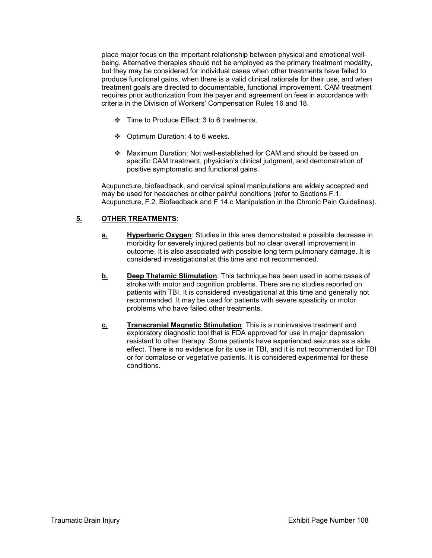place major focus on the important relationship between physical and emotional wellbeing. Alternative therapies should not be employed as the primary treatment modality, but they may be considered for individual cases when other treatments have failed to produce functional gains, when there is a valid clinical rationale for their use, and when treatment goals are directed to documentable, functional improvement. CAM treatment requires prior authorization from the payer and agreement on fees in accordance with criteria in the Division of Workers' Compensation Rules 16 and 18.

- Time to Produce Effect: 3 to 6 treatments.
- ❖ Optimum Duration: 4 to 6 weeks.
- Maximum Duration: Not well-established for CAM and should be based on specific CAM treatment, physician's clinical judgment, and demonstration of positive symptomatic and functional gains.

Acupuncture, biofeedback, and cervical spinal manipulations are widely accepted and may be used for headaches or other painful conditions (refer to Sections F.1. Acupuncture, F.2. Biofeedback and F.14.c Manipulation in the Chronic Pain Guidelines).

# **5. OTHER TREATMENTS**:

- **a.** Hyperbaric Oxygen: Studies in this area demonstrated a possible decrease in morbidity for severely injured patients but no clear overall improvement in outcome. It is also associated with possible long term pulmonary damage. It is considered investigational at this time and not recommended.
- **b. Deep Thalamic Stimulation**: This technique has been used in some cases of stroke with motor and cognition problems. There are no studies reported on patients with TBI. It is considered investigational at this time and generally not recommended. It may be used for patients with severe spasticity or motor problems who have failed other treatments.
- **c. Transcranial Magnetic Stimulation**: This is a noninvasive treatment and exploratory diagnostic tool that is FDA approved for use in major depression resistant to other therapy. Some patients have experienced seizures as a side effect. There is no evidence for its use in TBI, and it is not recommended for TBI or for comatose or vegetative patients. It is considered experimental for these conditions.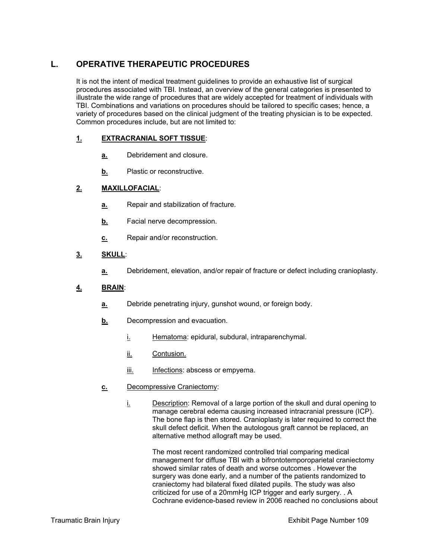# **L. OPERATIVE THERAPEUTIC PROCEDURES**

It is not the intent of medical treatment guidelines to provide an exhaustive list of surgical procedures associated with TBI. Instead, an overview of the general categories is presented to illustrate the wide range of procedures that are widely accepted for treatment of individuals with TBI. Combinations and variations on procedures should be tailored to specific cases; hence, a variety of procedures based on the clinical judgment of the treating physician is to be expected. Common procedures include, but are not limited to:

#### **1. EXTRACRANIAL SOFT TISSUE**:

- **a.** Debridement and closure.
- **b.** Plastic or reconstructive.

## **2. MAXILLOFACIAL**:

- **a.** Repair and stabilization of fracture.
- **b.** Facial nerve decompression.
- **c.** Repair and/or reconstruction.

## **3. SKULL**:

**a.** Debridement, elevation, and/or repair of fracture or defect including cranioplasty.

#### **4. BRAIN**:

- **a.** Debride penetrating injury, gunshot wound, or foreign body.
- **b.** Decompression and evacuation.
	- i. Hematoma: epidural, subdural, intraparenchymal.
	- ii. Contusion.
	- iii. Infections: abscess or empyema.
- **c.** Decompressive Craniectomy:
	- i. Description: Removal of a large portion of the skull and dural opening to manage cerebral edema causing increased intracranial pressure (ICP). The bone flap is then stored. Cranioplasty is later required to correct the skull defect deficit. When the autologous graft cannot be replaced, an alternative method allograft may be used.

The most recent randomized controlled trial comparing medical management for diffuse TBI with a bifrontotemporoparietal craniectomy showed similar rates of death and worse outcomes . However the surgery was done early, and a number of the patients randomized to craniectomy had bilateral fixed dilated pupils. The study was also criticized for use of a 20mmHg ICP trigger and early surgery. . A Cochrane evidence-based review in 2006 reached no conclusions about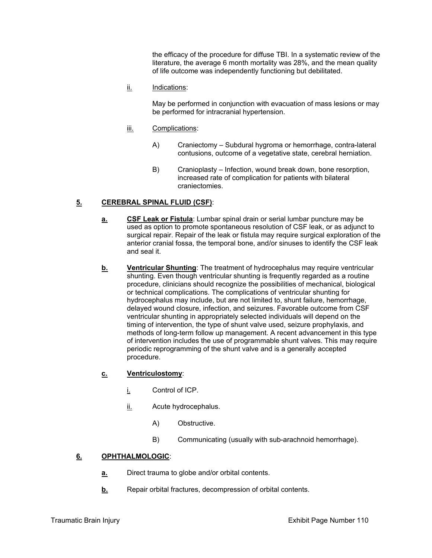the efficacy of the procedure for diffuse TBI. In a systematic review of the literature, the average 6 month mortality was 28%, and the mean quality of life outcome was independently functioning but debilitated.

ii. Indications:

May be performed in conjunction with evacuation of mass lesions or may be performed for intracranial hypertension.

- iii. Complications:
	- A) Craniectomy Subdural hygroma or hemorrhage, contra-lateral contusions, outcome of a vegetative state, cerebral herniation.
	- B) Cranioplasty Infection, wound break down, bone resorption, increased rate of complication for patients with bilateral craniectomies.

## **5. CEREBRAL SPINAL FLUID (CSF)**:

- **a. CSF Leak or Fistula**: Lumbar spinal drain or serial lumbar puncture may be used as option to promote spontaneous resolution of CSF leak, or as adjunct to surgical repair. Repair of the leak or fistula may require surgical exploration of the anterior cranial fossa, the temporal bone, and/or sinuses to identify the CSF leak and seal it.
- **b.** Ventricular Shunting: The treatment of hydrocephalus may require ventricular shunting. Even though ventricular shunting is frequently regarded as a routine procedure, clinicians should recognize the possibilities of mechanical, biological or technical complications. The complications of ventricular shunting for hydrocephalus may include, but are not limited to, shunt failure, hemorrhage, delayed wound closure, infection, and seizures. Favorable outcome from CSF ventricular shunting in appropriately selected individuals will depend on the timing of intervention, the type of shunt valve used, seizure prophylaxis, and methods of long-term follow up management. A recent advancement in this type of intervention includes the use of programmable shunt valves. This may require periodic reprogramming of the shunt valve and is a generally accepted procedure.

#### **c. Ventriculostomy**:

- i. Control of ICP.
- ii. Acute hydrocephalus.
	- A) Obstructive.
	- B) Communicating (usually with sub-arachnoid hemorrhage).

#### **6. OPHTHALMOLOGIC**:

- **a.** Direct trauma to globe and/or orbital contents.
- **b.** Repair orbital fractures, decompression of orbital contents.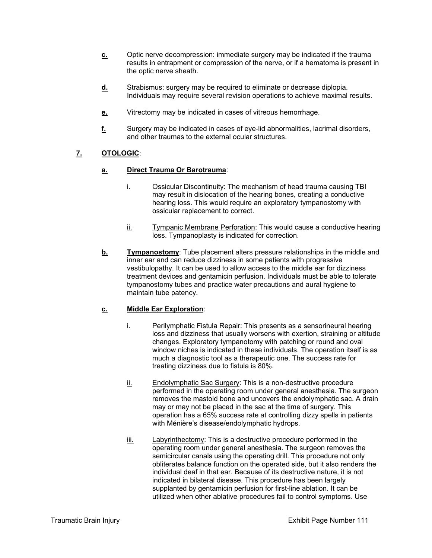- **c.** Optic nerve decompression: immediate surgery may be indicated if the trauma results in entrapment or compression of the nerve, or if a hematoma is present in the optic nerve sheath.
- **d.** Strabismus: surgery may be required to eliminate or decrease diplopia. Individuals may require several revision operations to achieve maximal results.
- **e.** Vitrectomy may be indicated in cases of vitreous hemorrhage.
- **f.** Surgery may be indicated in cases of eye-lid abnormalities, lacrimal disorders, and other traumas to the external ocular structures.

# **7. OTOLOGIC**:

## **a. Direct Trauma Or Barotrauma**:

- i. Ossicular Discontinuity: The mechanism of head trauma causing TBI may result in dislocation of the hearing bones, creating a conductive hearing loss. This would require an exploratory tympanostomy with ossicular replacement to correct.
- ii. Tympanic Membrane Perforation: This would cause a conductive hearing loss. Tympanoplasty is indicated for correction.
- **b.** Tympanostomy: Tube placement alters pressure relationships in the middle and inner ear and can reduce dizziness in some patients with progressive vestibulopathy. It can be used to allow access to the middle ear for dizziness treatment devices and gentamicin perfusion. Individuals must be able to tolerate tympanostomy tubes and practice water precautions and aural hygiene to maintain tube patency.

#### **c. Middle Ear Exploration**:

- i. Perilymphatic Fistula Repair: This presents as a sensorineural hearing loss and dizziness that usually worsens with exertion, straining or altitude changes. Exploratory tympanotomy with patching or round and oval window niches is indicated in these individuals. The operation itself is as much a diagnostic tool as a therapeutic one. The success rate for treating dizziness due to fistula is 80%.
- ii. Endolymphatic Sac Surgery: This is a non-destructive procedure performed in the operating room under general anesthesia. The surgeon removes the mastoid bone and uncovers the endolymphatic sac. A drain may or may not be placed in the sac at the time of surgery. This operation has a 65% success rate at controlling dizzy spells in patients with Ménière's disease/endolymphatic hydrops.
- iii. Labyrinthectomy: This is a destructive procedure performed in the operating room under general anesthesia. The surgeon removes the semicircular canals using the operating drill. This procedure not only obliterates balance function on the operated side, but it also renders the individual deaf in that ear. Because of its destructive nature, it is not indicated in bilateral disease. This procedure has been largely supplanted by gentamicin perfusion for first-line ablation. It can be utilized when other ablative procedures fail to control symptoms. Use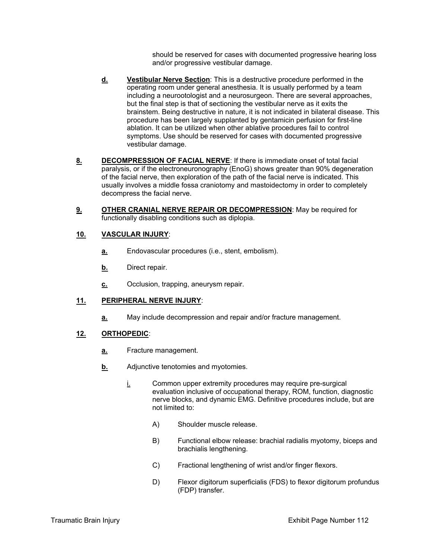should be reserved for cases with documented progressive hearing loss and/or progressive vestibular damage.

- **d. Vestibular Nerve Section**: This is a destructive procedure performed in the operating room under general anesthesia. It is usually performed by a team including a neurootologist and a neurosurgeon. There are several approaches, but the final step is that of sectioning the vestibular nerve as it exits the brainstem. Being destructive in nature, it is not indicated in bilateral disease. This procedure has been largely supplanted by gentamicin perfusion for first-line ablation. It can be utilized when other ablative procedures fail to control symptoms. Use should be reserved for cases with documented progressive vestibular damage.
- **8. DECOMPRESSION OF FACIAL NERVE**: If there is immediate onset of total facial paralysis, or if the electroneuronography (EnoG) shows greater than 90% degeneration of the facial nerve, then exploration of the path of the facial nerve is indicated. This usually involves a middle fossa craniotomy and mastoidectomy in order to completely decompress the facial nerve.
- **9. OTHER CRANIAL NERVE REPAIR OR DECOMPRESSION**: May be required for functionally disabling conditions such as diplopia.

#### **10. VASCULAR INJURY**:

- **a.** Endovascular procedures (i.e., stent, embolism).
- **b.** Direct repair.
- **c.** Occlusion, trapping, aneurysm repair.

#### **11. PERIPHERAL NERVE INJURY**:

**a.** May include decompression and repair and/or fracture management.

#### **12. ORTHOPEDIC**:

- **a.** Fracture management.
- **b.** Adjunctive tenotomies and myotomies.
	- $i$  Common upper extremity procedures may require pre-surgical evaluation inclusive of occupational therapy, ROM, function, diagnostic nerve blocks, and dynamic EMG. Definitive procedures include, but are not limited to:
		- A) Shoulder muscle release.
		- B) Functional elbow release: brachial radialis myotomy, biceps and brachialis lengthening.
		- C) Fractional lengthening of wrist and/or finger flexors.
		- D) Flexor digitorum superficialis (FDS) to flexor digitorum profundus (FDP) transfer.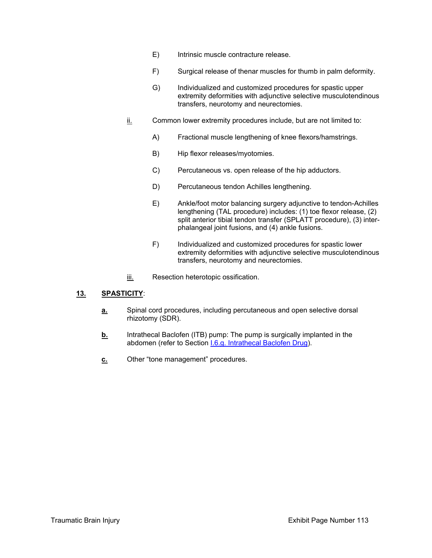- E) Intrinsic muscle contracture release.
- F) Surgical release of thenar muscles for thumb in palm deformity.
- G) Individualized and customized procedures for spastic upper extremity deformities with adjunctive selective musculotendinous transfers, neurotomy and neurectomies.
- ii. Common lower extremity procedures include, but are not limited to:
	- A) Fractional muscle lengthening of knee flexors/hamstrings.
	- B) Hip flexor releases/myotomies.
	- C) Percutaneous vs. open release of the hip adductors.
	- D) Percutaneous tendon Achilles lengthening.
	- E) Ankle/foot motor balancing surgery adjunctive to tendon-Achilles lengthening (TAL procedure) includes: (1) toe flexor release, (2) split anterior tibial tendon transfer (SPLATT procedure), (3) interphalangeal joint fusions, and (4) ankle fusions.
	- F) Individualized and customized procedures for spastic lower extremity deformities with adjunctive selective musculotendinous transfers, neurotomy and neurectomies.
- iii. Resection heterotopic ossification.

#### **13. SPASTICITY**:

- **a.** Spinal cord procedures, including percutaneous and open selective dorsal rhizotomy (SDR).
- **b.** Intrathecal Baclofen (ITB) pump: The pump is surgically implanted in the abdomen (refer to Section I.6.g. Intrathecal Baclofen Drug).
- **c.** Other "tone management" procedures.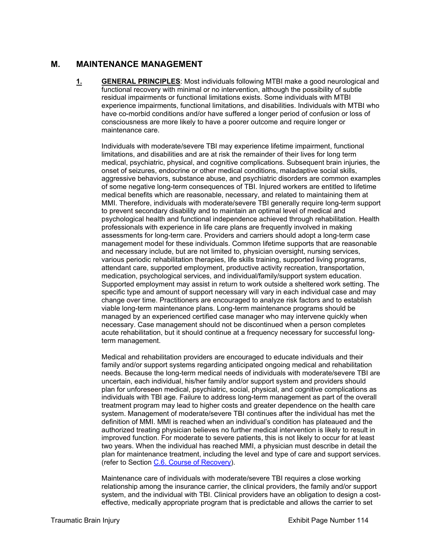# **M. MAINTENANCE MANAGEMENT**

**1. GENERAL PRINCIPLES**: Most individuals following MTBI make a good neurological and functional recovery with minimal or no intervention, although the possibility of subtle residual impairments or functional limitations exists. Some individuals with MTBI experience impairments, functional limitations, and disabilities. Individuals with MTBI who have co-morbid conditions and/or have suffered a longer period of confusion or loss of consciousness are more likely to have a poorer outcome and require longer or maintenance care.

Individuals with moderate/severe TBI may experience lifetime impairment, functional limitations, and disabilities and are at risk the remainder of their lives for long term medical, psychiatric, physical, and cognitive complications. Subsequent brain injuries, the onset of seizures, endocrine or other medical conditions, maladaptive social skills, aggressive behaviors, substance abuse, and psychiatric disorders are common examples of some negative long-term consequences of TBI. Injured workers are entitled to lifetime medical benefits which are reasonable, necessary, and related to maintaining them at MMI. Therefore, individuals with moderate/severe TBI generally require long-term support to prevent secondary disability and to maintain an optimal level of medical and psychological health and functional independence achieved through rehabilitation. Health professionals with experience in life care plans are frequently involved in making assessments for long-term care. Providers and carriers should adopt a long-term case management model for these individuals. Common lifetime supports that are reasonable and necessary include, but are not limited to, physician oversight, nursing services, various periodic rehabilitation therapies, life skills training, supported living programs, attendant care, supported employment, productive activity recreation, transportation, medication, psychological services, and individual/family/support system education. Supported employment may assist in return to work outside a sheltered work setting. The specific type and amount of support necessary will vary in each individual case and may change over time. Practitioners are encouraged to analyze risk factors and to establish viable long-term maintenance plans. Long-term maintenance programs should be managed by an experienced certified case manager who may intervene quickly when necessary. Case management should not be discontinued when a person completes acute rehabilitation, but it should continue at a frequency necessary for successful longterm management.

Medical and rehabilitation providers are encouraged to educate individuals and their family and/or support systems regarding anticipated ongoing medical and rehabilitation needs. Because the long-term medical needs of individuals with moderate/severe TBI are uncertain, each individual, his/her family and/or support system and providers should plan for unforeseen medical, psychiatric, social, physical, and cognitive complications as individuals with TBI age. Failure to address long-term management as part of the overall treatment program may lead to higher costs and greater dependence on the health care system. Management of moderate/severe TBI continues after the individual has met the definition of MMI. MMI is reached when an individual's condition has plateaued and the authorized treating physician believes no further medical intervention is likely to result in improved function. For moderate to severe patients, this is not likely to occur for at least two years. When the individual has reached MMI, a physician must describe in detail the plan for maintenance treatment, including the level and type of care and support services. (refer to Section C.6. Course of Recovery).

Maintenance care of individuals with moderate/severe TBI requires a close working relationship among the insurance carrier, the clinical providers, the family and/or support system, and the individual with TBI. Clinical providers have an obligation to design a costeffective, medically appropriate program that is predictable and allows the carrier to set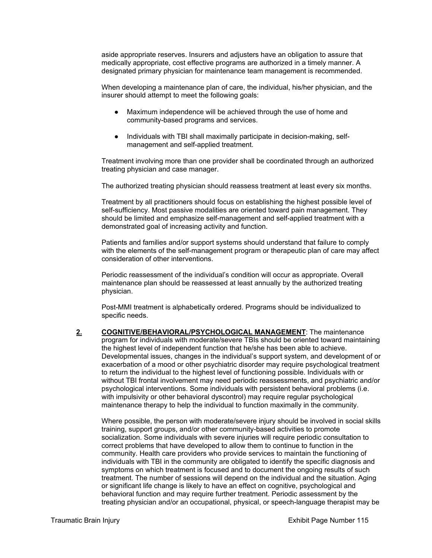aside appropriate reserves. Insurers and adjusters have an obligation to assure that medically appropriate, cost effective programs are authorized in a timely manner. A designated primary physician for maintenance team management is recommended.

When developing a maintenance plan of care, the individual, his/her physician, and the insurer should attempt to meet the following goals:

- Maximum independence will be achieved through the use of home and community-based programs and services.
- Individuals with TBI shall maximally participate in decision-making, selfmanagement and self-applied treatment.

Treatment involving more than one provider shall be coordinated through an authorized treating physician and case manager.

The authorized treating physician should reassess treatment at least every six months.

Treatment by all practitioners should focus on establishing the highest possible level of self-sufficiency. Most passive modalities are oriented toward pain management. They should be limited and emphasize self-management and self-applied treatment with a demonstrated goal of increasing activity and function.

Patients and families and/or support systems should understand that failure to comply with the elements of the self-management program or therapeutic plan of care may affect consideration of other interventions.

Periodic reassessment of the individual's condition will occur as appropriate. Overall maintenance plan should be reassessed at least annually by the authorized treating physician.

Post-MMI treatment is alphabetically ordered. Programs should be individualized to specific needs.

**2. COGNITIVE/BEHAVIORAL/PSYCHOLOGICAL MANAGEMENT**: The maintenance program for individuals with moderate/severe TBIs should be oriented toward maintaining the highest level of independent function that he/she has been able to achieve. Developmental issues, changes in the individual's support system, and development of or exacerbation of a mood or other psychiatric disorder may require psychological treatment to return the individual to the highest level of functioning possible. Individuals with or without TBI frontal involvement may need periodic reassessments, and psychiatric and/or psychological interventions. Some individuals with persistent behavioral problems (i.e. with impulsivity or other behavioral dyscontrol) may require regular psychological maintenance therapy to help the individual to function maximally in the community.

Where possible, the person with moderate/severe injury should be involved in social skills training, support groups, and/or other community-based activities to promote socialization. Some individuals with severe injuries will require periodic consultation to correct problems that have developed to allow them to continue to function in the community. Health care providers who provide services to maintain the functioning of individuals with TBI in the community are obligated to identify the specific diagnosis and symptoms on which treatment is focused and to document the ongoing results of such treatment. The number of sessions will depend on the individual and the situation. Aging or significant life change is likely to have an effect on cognitive, psychological and behavioral function and may require further treatment. Periodic assessment by the treating physician and/or an occupational, physical, or speech-language therapist may be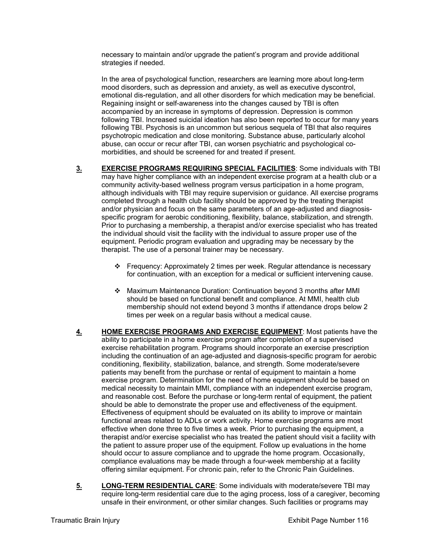necessary to maintain and/or upgrade the patient's program and provide additional strategies if needed.

In the area of psychological function, researchers are learning more about long-term mood disorders, such as depression and anxiety, as well as executive dyscontrol, emotional dis-regulation, and all other disorders for which medication may be beneficial. Regaining insight or self-awareness into the changes caused by TBI is often accompanied by an increase in symptoms of depression. Depression is common following TBI. Increased suicidal ideation has also been reported to occur for many years following TBI. Psychosis is an uncommon but serious sequela of TBI that also requires psychotropic medication and close monitoring. Substance abuse, particularly alcohol abuse, can occur or recur after TBI, can worsen psychiatric and psychological comorbidities, and should be screened for and treated if present.

- **3. EXERCISE PROGRAMS REQUIRING SPECIAL FACILITIES**: Some individuals with TBI may have higher compliance with an independent exercise program at a health club or a community activity-based wellness program versus participation in a home program, although individuals with TBI may require supervision or guidance. All exercise programs completed through a health club facility should be approved by the treating therapist and/or physician and focus on the same parameters of an age-adjusted and diagnosisspecific program for aerobic conditioning, flexibility, balance, stabilization, and strength. Prior to purchasing a membership, a therapist and/or exercise specialist who has treated the individual should visit the facility with the individual to assure proper use of the equipment. Periodic program evaluation and upgrading may be necessary by the therapist. The use of a personal trainer may be necessary.
	- Frequency: Approximately 2 times per week. Regular attendance is necessary for continuation, with an exception for a medical or sufficient intervening cause.
	- Maximum Maintenance Duration: Continuation beyond 3 months after MMI should be based on functional benefit and compliance. At MMI, health club membership should not extend beyond 3 months if attendance drops below 2 times per week on a regular basis without a medical cause.
- **4. HOME EXERCISE PROGRAMS AND EXERCISE EQUIPMENT**: Most patients have the ability to participate in a home exercise program after completion of a supervised exercise rehabilitation program. Programs should incorporate an exercise prescription including the continuation of an age-adjusted and diagnosis-specific program for aerobic conditioning, flexibility, stabilization, balance, and strength. Some moderate/severe patients may benefit from the purchase or rental of equipment to maintain a home exercise program. Determination for the need of home equipment should be based on medical necessity to maintain MMI, compliance with an independent exercise program, and reasonable cost. Before the purchase or long-term rental of equipment, the patient should be able to demonstrate the proper use and effectiveness of the equipment. Effectiveness of equipment should be evaluated on its ability to improve or maintain functional areas related to ADLs or work activity. Home exercise programs are most effective when done three to five times a week. Prior to purchasing the equipment, a therapist and/or exercise specialist who has treated the patient should visit a facility with the patient to assure proper use of the equipment. Follow up evaluations in the home should occur to assure compliance and to upgrade the home program. Occasionally, compliance evaluations may be made through a four-week membership at a facility offering similar equipment. For chronic pain, refer to the Chronic Pain Guidelines.
- **5. LONG-TERM RESIDENTIAL CARE**: Some individuals with moderate/severe TBI may require long-term residential care due to the aging process, loss of a caregiver, becoming unsafe in their environment, or other similar changes. Such facilities or programs may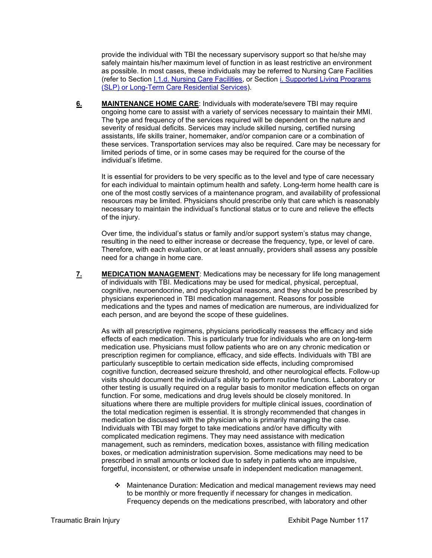provide the individual with TBI the necessary supervisory support so that he/she may safely maintain his/her maximum level of function in as least restrictive an environment as possible. In most cases, these individuals may be referred to Nursing Care Facilities (refer to Section I.1.d. Nursing Care Facilities, or Section i. Supported Living Programs (SLP) or Long-Term Care Residential Services).

**6. MAINTENANCE HOME CARE**: Individuals with moderate/severe TBI may require ongoing home care to assist with a variety of services necessary to maintain their MMI. The type and frequency of the services required will be dependent on the nature and severity of residual deficits. Services may include skilled nursing, certified nursing assistants, life skills trainer, homemaker, and/or companion care or a combination of these services. Transportation services may also be required. Care may be necessary for limited periods of time, or in some cases may be required for the course of the individual's lifetime.

It is essential for providers to be very specific as to the level and type of care necessary for each individual to maintain optimum health and safety. Long-term home health care is one of the most costly services of a maintenance program, and availability of professional resources may be limited. Physicians should prescribe only that care which is reasonably necessary to maintain the individual's functional status or to cure and relieve the effects of the injury.

Over time, the individual's status or family and/or support system's status may change, resulting in the need to either increase or decrease the frequency, type, or level of care. Therefore, with each evaluation, or at least annually, providers shall assess any possible need for a change in home care.

**7. MEDICATION MANAGEMENT**: Medications may be necessary for life long management of individuals with TBI. Medications may be used for medical, physical, perceptual, cognitive, neuroendocrine, and psychological reasons, and they should be prescribed by physicians experienced in TBI medication management. Reasons for possible medications and the types and names of medication are numerous, are individualized for each person, and are beyond the scope of these guidelines.

As with all prescriptive regimens, physicians periodically reassess the efficacy and side effects of each medication. This is particularly true for individuals who are on long-term medication use. Physicians must follow patients who are on any chronic medication or prescription regimen for compliance, efficacy, and side effects. Individuals with TBI are particularly susceptible to certain medication side effects, including compromised cognitive function, decreased seizure threshold, and other neurological effects. Follow-up visits should document the individual's ability to perform routine functions. Laboratory or other testing is usually required on a regular basis to monitor medication effects on organ function. For some, medications and drug levels should be closely monitored. In situations where there are multiple providers for multiple clinical issues, coordination of the total medication regimen is essential. It is strongly recommended that changes in medication be discussed with the physician who is primarily managing the case. Individuals with TBI may forget to take medications and/or have difficulty with complicated medication regimens. They may need assistance with medication management, such as reminders, medication boxes, assistance with filling medication boxes, or medication administration supervision. Some medications may need to be prescribed in small amounts or locked due to safety in patients who are impulsive, forgetful, inconsistent, or otherwise unsafe in independent medication management.

 Maintenance Duration: Medication and medical management reviews may need to be monthly or more frequently if necessary for changes in medication. Frequency depends on the medications prescribed, with laboratory and other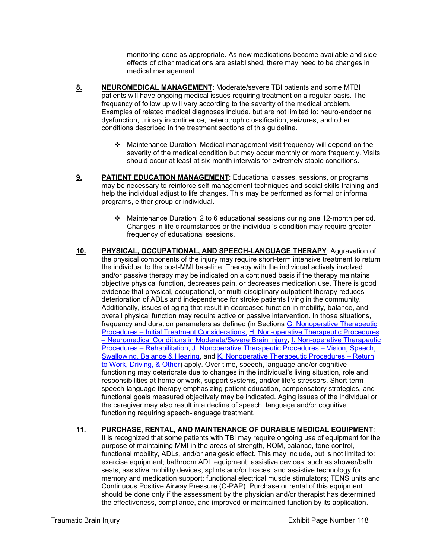monitoring done as appropriate. As new medications become available and side effects of other medications are established, there may need to be changes in medical management

- **8. NEUROMEDICAL MANAGEMENT**: Moderate/severe TBI patients and some MTBI patients will have ongoing medical issues requiring treatment on a regular basis. The frequency of follow up will vary according to the severity of the medical problem. Examples of related medical diagnoses include, but are not limited to: neuro-endocrine dysfunction, urinary incontinence, heterotrophic ossification, seizures, and other conditions described in the treatment sections of this guideline.
	- Maintenance Duration: Medical management visit frequency will depend on the severity of the medical condition but may occur monthly or more frequently. Visits should occur at least at six-month intervals for extremely stable conditions.
- **9. PATIENT EDUCATION MANAGEMENT**: Educational classes, sessions, or programs may be necessary to reinforce self-management techniques and social skills training and help the individual adjust to life changes. This may be performed as formal or informal programs, either group or individual.
	- Maintenance Duration: 2 to 6 educational sessions during one 12-month period. Changes in life circumstances or the individual's condition may require greater frequency of educational sessions.
- **10. PHYSICAL, OCCUPATIONAL, AND SPEECH-LANGUAGE THERAPY**: Aggravation of the physical components of the injury may require short-term intensive treatment to return the individual to the post-MMI baseline. Therapy with the individual actively involved and/or passive therapy may be indicated on a continued basis if the therapy maintains objective physical function, decreases pain, or decreases medication use. There is good evidence that physical, occupational, or multi-disciplinary outpatient therapy reduces deterioration of ADLs and independence for stroke patients living in the community. Additionally, issues of aging that result in decreased function in mobility, balance, and overall physical function may require active or passive intervention. In those situations, frequency and duration parameters as defined (in Sections G. Nonoperative Therapeutic Procedures – Initial Treatment Considerations, H. Non-operative Therapeutic Procedures – Neuromedical Conditions in Moderate/Severe Brain Injury, I. Non-operative Therapeutic Procedures – Rehabilitation, J. Nonoperative Therapeutic Procedures – Vision, Speech, Swallowing, Balance & Hearing, and K. Nonoperative Therapeutic Procedures – Return to Work, Driving, & Other) apply. Over time, speech, language and/or cognitive functioning may deteriorate due to changes in the individual's living situation, role and responsibilities at home or work, support systems, and/or life's stressors. Short-term speech-language therapy emphasizing patient education, compensatory strategies, and functional goals measured objectively may be indicated. Aging issues of the individual or the caregiver may also result in a decline of speech, language and/or cognitive functioning requiring speech-language treatment.
- **11. PURCHASE, RENTAL, AND MAINTENANCE OF DURABLE MEDICAL EQUIPMENT**: It is recognized that some patients with TBI may require ongoing use of equipment for the purpose of maintaining MMI in the areas of strength, ROM, balance, tone control, functional mobility, ADLs, and/or analgesic effect. This may include, but is not limited to: exercise equipment; bathroom ADL equipment; assistive devices, such as shower/bath seats, assistive mobility devices, splints and/or braces, and assistive technology for memory and medication support; functional electrical muscle stimulators; TENS units and Continuous Positive Airway Pressure (C-PAP). Purchase or rental of this equipment should be done only if the assessment by the physician and/or therapist has determined the effectiveness, compliance, and improved or maintained function by its application.